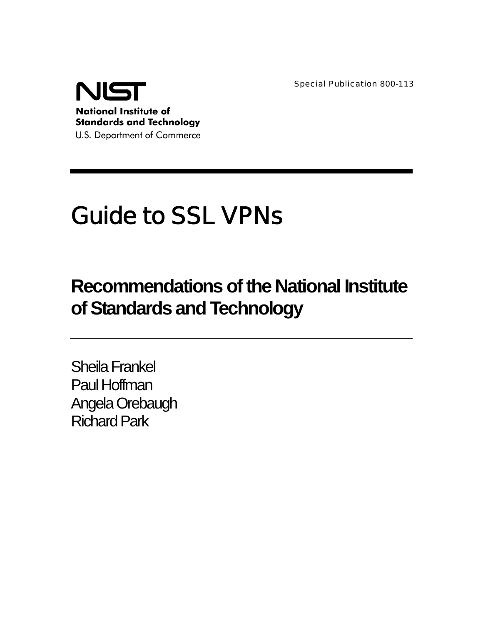Special Publication 800-113



# Guide to SSL VPNs

# **Recommendations of the National Institute of Standards and Technology**

Sheila Frankel Paul Hoffman Angela Orebaugh Richard Park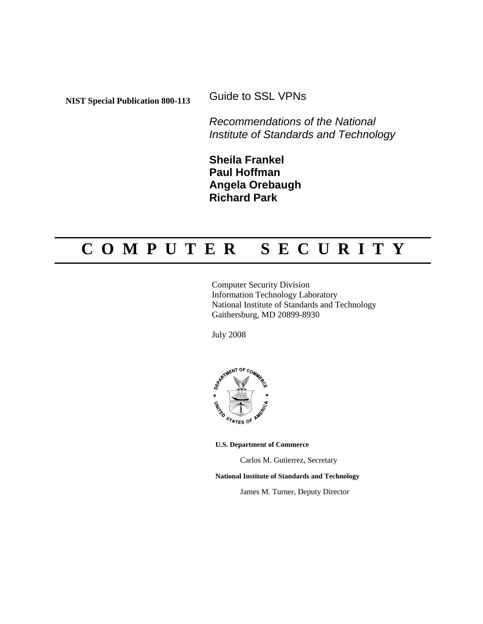**NIST Special Publication 800-113** 

Guide to SSL VPNs

*Recommendations of the National Institute of Standards and Technology* 

**Sheila Frankel Paul Hoffman Angela Orebaugh Richard Park** 

# **C O M P U T E R S E C U R I T Y**

Computer Security Division Information Technology Laboratory National Institute of Standards and Technology Gaithersburg, MD 20899-8930

July 2008



**U.S. Department of Commerce** 

Carlos M. Gutierrez, Secretary

**National Institute of Standards and Technology**

James M. Turner, Deputy Director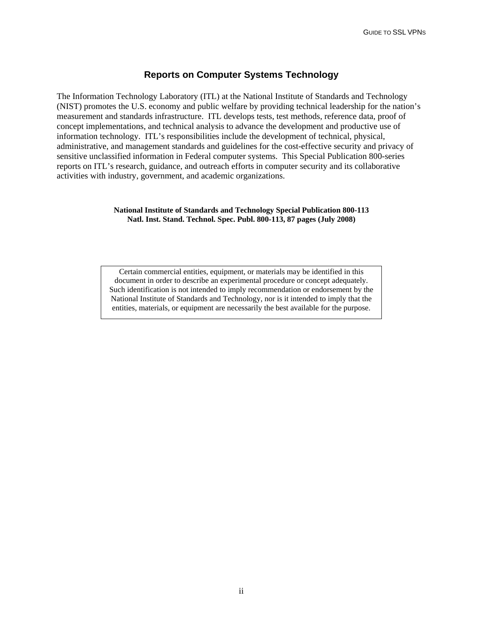# **Reports on Computer Systems Technology**

The Information Technology Laboratory (ITL) at the National Institute of Standards and Technology (NIST) promotes the U.S. economy and public welfare by providing technical leadership for the nation's measurement and standards infrastructure. ITL develops tests, test methods, reference data, proof of concept implementations, and technical analysis to advance the development and productive use of information technology. ITL's responsibilities include the development of technical, physical, administrative, and management standards and guidelines for the cost-effective security and privacy of sensitive unclassified information in Federal computer systems. This Special Publication 800-series reports on ITL's research, guidance, and outreach efforts in computer security and its collaborative activities with industry, government, and academic organizations.

#### **National Institute of Standards and Technology Special Publication 800-113 Natl. Inst. Stand. Technol. Spec. Publ. 800-113, 87 pages (July 2008)**

Certain commercial entities, equipment, or materials may be identified in this document in order to describe an experimental procedure or concept adequately. Such identification is not intended to imply recommendation or endorsement by the National Institute of Standards and Technology, nor is it intended to imply that the entities, materials, or equipment are necessarily the best available for the purpose.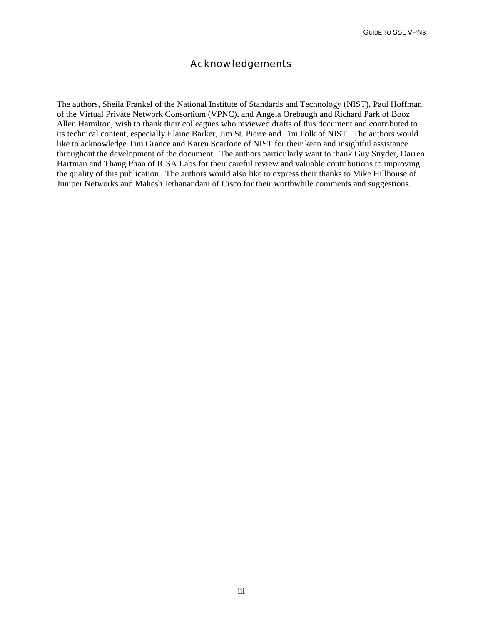# Acknowledgements

The authors, Sheila Frankel of the National Institute of Standards and Technology (NIST), Paul Hoffman of the Virtual Private Network Consortium (VPNC), and Angela Orebaugh and Richard Park of Booz Allen Hamilton, wish to thank their colleagues who reviewed drafts of this document and contributed to its technical content, especially Elaine Barker, Jim St. Pierre and Tim Polk of NIST. The authors would like to acknowledge Tim Grance and Karen Scarfone of NIST for their keen and insightful assistance throughout the development of the document. The authors particularly want to thank Guy Snyder, Darren Hartman and Thang Phan of ICSA Labs for their careful review and valuable contributions to improving the quality of this publication. The authors would also like to express their thanks to Mike Hillhouse of Juniper Networks and Mahesh Jethanandani of Cisco for their worthwhile comments and suggestions.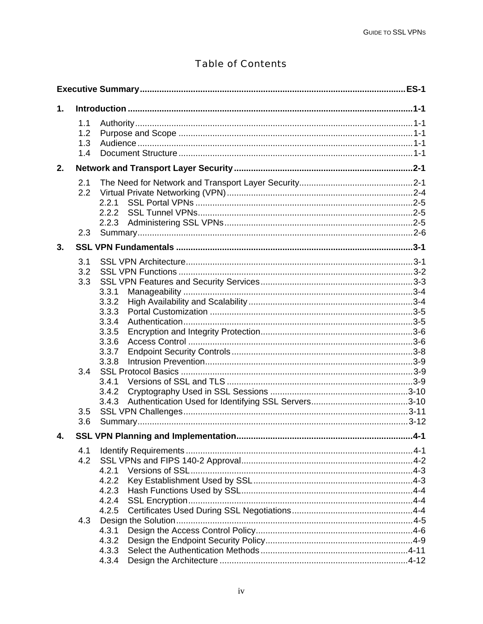# **Table of Contents**

| 1. |                                        |                                                                                                 |      |  |  |  |
|----|----------------------------------------|-------------------------------------------------------------------------------------------------|------|--|--|--|
|    | 1.1<br>1.2<br>1.3<br>1.4               |                                                                                                 |      |  |  |  |
| 2. |                                        |                                                                                                 |      |  |  |  |
|    | 2.1<br>2.2<br>2.3                      | 2.2.1<br>2.2.2<br>2.2.3                                                                         |      |  |  |  |
| 3. |                                        |                                                                                                 |      |  |  |  |
|    | 3.1<br>3.2<br>3.3<br>3.4<br>3.5<br>3.6 | 3.3.1<br>3.3.2<br>3.3.3<br>3.3.4<br>3.3.5<br>3.3.6<br>3.3.7<br>3.3.8<br>3.4.1<br>3.4.2<br>3.4.3 |      |  |  |  |
| 4. |                                        | <b>SSL VPN Planning and Implementation.</b>                                                     | .4-1 |  |  |  |
|    | 4.1<br>4.2<br>4.3                      | 4.2.2<br>4.2.3<br>4.2.4<br>4.2.5<br>4.3.1<br>4.3.2<br>4.3.3<br>4.3.4                            |      |  |  |  |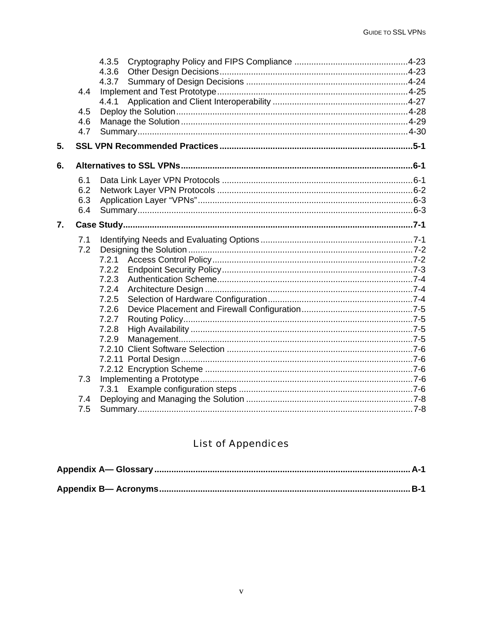|    |     | 4.3.5 |
|----|-----|-------|
|    |     | 4.3.6 |
|    |     | 4.3.7 |
|    | 4.4 |       |
|    |     | 4.4.1 |
|    | 4.5 |       |
|    | 4.6 |       |
|    | 4.7 |       |
| 5. |     |       |
|    |     |       |
| 6. |     |       |
|    | 6.1 |       |
|    | 6.2 |       |
|    | 6.3 |       |
|    | 6.4 |       |
| 7. |     |       |
|    | 7.1 |       |
|    | 7.2 |       |
|    |     | 7.2.1 |
|    |     | 7.2.2 |
|    |     | 7.2.3 |
|    |     | 7.2.4 |
|    |     | 7.2.5 |
|    |     | 7.2.6 |
|    |     | 7.2.7 |
|    |     | 7.2.8 |
|    |     | 7.2.9 |
|    |     |       |
|    |     |       |
|    |     |       |
|    | 7.3 |       |
|    |     | 7.3.1 |
|    | 7.4 |       |
|    | 7.5 |       |

# **List of Appendices**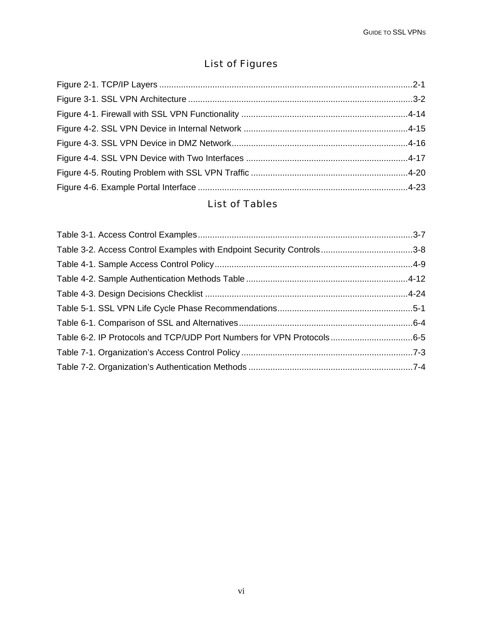# List of Figures

# List of Tables

| Table 3-2. Access Control Examples with Endpoint Security Controls3-8 |
|-----------------------------------------------------------------------|
|                                                                       |
|                                                                       |
|                                                                       |
|                                                                       |
|                                                                       |
|                                                                       |
|                                                                       |
|                                                                       |
|                                                                       |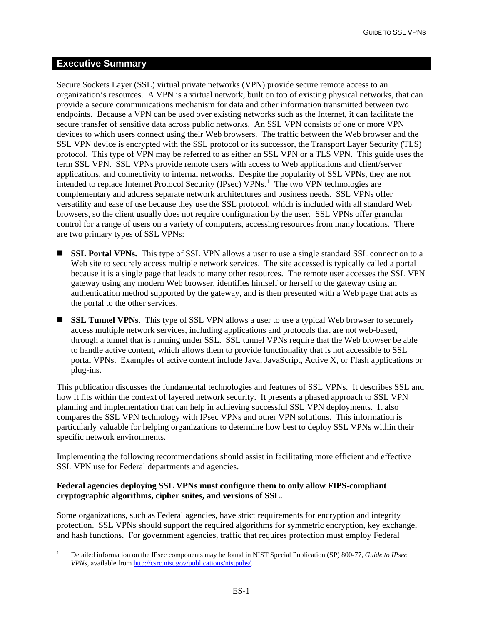# <span id="page-7-0"></span>**Executive Summary**

Secure Sockets Layer (SSL) virtual private networks (VPN) provide secure remote access to an organization's resources. A VPN is a virtual network, built on top of existing physical networks, that can provide a secure communications mechanism for data and other information transmitted between two endpoints. Because a VPN can be used over existing networks such as the Internet, it can facilitate the secure transfer of sensitive data across public networks. An SSL VPN consists of one or more VPN devices to which users connect using their Web browsers. The traffic between the Web browser and the SSL VPN device is encrypted with the SSL protocol or its successor, the Transport Layer Security (TLS) protocol. This type of VPN may be referred to as either an SSL VPN or a TLS VPN. This guide uses the term SSL VPN. SSL VPNs provide remote users with access to Web applications and client/server applications, and connectivity to internal networks. Despite the popularity of SSL VPNs, they are not intended to replace Internet Protocol Security (IPsec) VPNs.<sup>[1](#page-7-1)</sup> The two VPN technologies are complementary and address separate network architectures and business needs. SSL VPNs offer versatility and ease of use because they use the SSL protocol, which is included with all standard Web browsers, so the client usually does not require configuration by the user. SSL VPNs offer granular control for a range of users on a variety of computers, accessing resources from many locations. There are two primary types of SSL VPNs:

- **SSL Portal VPNs.** This type of SSL VPN allows a user to use a single standard SSL connection to a Web site to securely access multiple network services. The site accessed is typically called a portal because it is a single page that leads to many other resources. The remote user accesses the SSL VPN gateway using any modern Web browser, identifies himself or herself to the gateway using an authentication method supported by the gateway, and is then presented with a Web page that acts as the portal to the other services.
- **SSL Tunnel VPNs.** This type of SSL VPN allows a user to use a typical Web browser to securely access multiple network services, including applications and protocols that are not web-based, through a tunnel that is running under SSL. SSL tunnel VPNs require that the Web browser be able to handle active content, which allows them to provide functionality that is not accessible to SSL portal VPNs. Examples of active content include Java, JavaScript, Active X, or Flash applications or plug-ins.

This publication discusses the fundamental technologies and features of SSL VPNs. It describes SSL and how it fits within the context of layered network security. It presents a phased approach to SSL VPN planning and implementation that can help in achieving successful SSL VPN deployments. It also compares the SSL VPN technology with IPsec VPNs and other VPN solutions. This information is particularly valuable for helping organizations to determine how best to deploy SSL VPNs within their specific network environments.

Implementing the following recommendations should assist in facilitating more efficient and effective SSL VPN use for Federal departments and agencies.

# **Federal agencies deploying SSL VPNs must configure them to only allow FIPS-compliant cryptographic algorithms, cipher suites, and versions of SSL.**

Some organizations, such as Federal agencies, have strict requirements for encryption and integrity protection. SSL VPNs should support the required algorithms for symmetric encryption, key exchange, and hash functions. For government agencies, traffic that requires protection must employ Federal

<span id="page-7-1"></span><sup>1</sup> 1 Detailed information on the IPsec components may be found in NIST Special Publication (SP) 800-77, *Guide to IPsec VPNs*, available from [http://csrc.nist.gov/publications/nistpubs/.](http://csrc.nist.gov/publications/nistpubs/)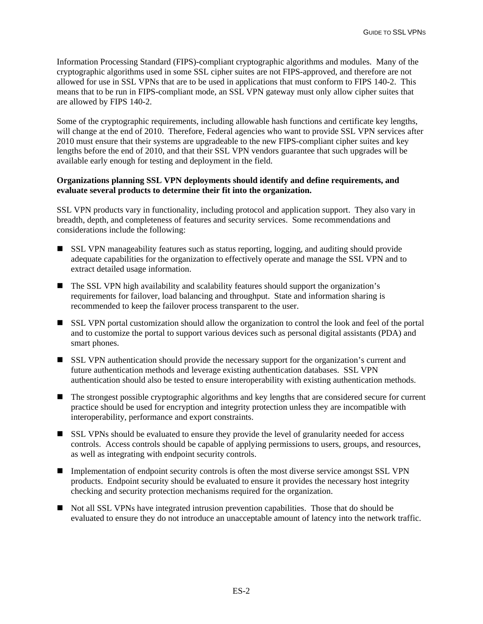Information Processing Standard (FIPS)-compliant cryptographic algorithms and modules. Many of the cryptographic algorithms used in some SSL cipher suites are not FIPS-approved, and therefore are not allowed for use in SSL VPNs that are to be used in applications that must conform to FIPS 140-2. This means that to be run in FIPS-compliant mode, an SSL VPN gateway must only allow cipher suites that are allowed by FIPS 140-2.

Some of the cryptographic requirements, including allowable hash functions and certificate key lengths, will change at the end of 2010. Therefore, Federal agencies who want to provide SSL VPN services after 2010 must ensure that their systems are upgradeable to the new FIPS-compliant cipher suites and key lengths before the end of 2010, and that their SSL VPN vendors guarantee that such upgrades will be available early enough for testing and deployment in the field.

# **Organizations planning SSL VPN deployments should identify and define requirements, and evaluate several products to determine their fit into the organization.**

SSL VPN products vary in functionality, including protocol and application support. They also vary in breadth, depth, and completeness of features and security services. Some recommendations and considerations include the following:

- SSL VPN manageability features such as status reporting, logging, and auditing should provide adequate capabilities for the organization to effectively operate and manage the SSL VPN and to extract detailed usage information.
- The SSL VPN high availability and scalability features should support the organization's requirements for failover, load balancing and throughput. State and information sharing is recommended to keep the failover process transparent to the user.
- SSL VPN portal customization should allow the organization to control the look and feel of the portal and to customize the portal to support various devices such as personal digital assistants (PDA) and smart phones.
- SSL VPN authentication should provide the necessary support for the organization's current and future authentication methods and leverage existing authentication databases. SSL VPN authentication should also be tested to ensure interoperability with existing authentication methods.
- The strongest possible cryptographic algorithms and key lengths that are considered secure for current practice should be used for encryption and integrity protection unless they are incompatible with interoperability, performance and export constraints.
- SSL VPNs should be evaluated to ensure they provide the level of granularity needed for access controls. Access controls should be capable of applying permissions to users, groups, and resources, as well as integrating with endpoint security controls.
- Implementation of endpoint security controls is often the most diverse service amongst SSL VPN products. Endpoint security should be evaluated to ensure it provides the necessary host integrity checking and security protection mechanisms required for the organization.
- Not all SSL VPNs have integrated intrusion prevention capabilities. Those that do should be evaluated to ensure they do not introduce an unacceptable amount of latency into the network traffic.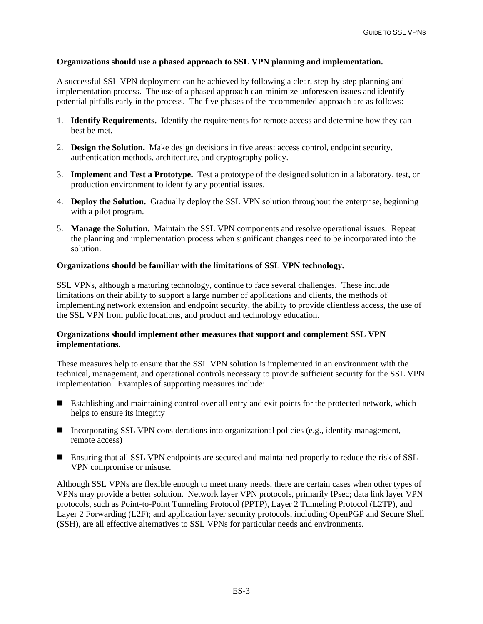# **Organizations should use a phased approach to SSL VPN planning and implementation.**

A successful SSL VPN deployment can be achieved by following a clear, step-by-step planning and implementation process. The use of a phased approach can minimize unforeseen issues and identify potential pitfalls early in the process. The five phases of the recommended approach are as follows:

- 1. **Identify Requirements.** Identify the requirements for remote access and determine how they can best be met.
- 2. **Design the Solution.** Make design decisions in five areas: access control, endpoint security, authentication methods, architecture, and cryptography policy.
- 3. **Implement and Test a Prototype.** Test a prototype of the designed solution in a laboratory, test, or production environment to identify any potential issues.
- 4. **Deploy the Solution.** Gradually deploy the SSL VPN solution throughout the enterprise, beginning with a pilot program.
- 5. **Manage the Solution.** Maintain the SSL VPN components and resolve operational issues. Repeat the planning and implementation process when significant changes need to be incorporated into the solution.

# **Organizations should be familiar with the limitations of SSL VPN technology.**

SSL VPNs, although a maturing technology, continue to face several challenges. These include limitations on their ability to support a large number of applications and clients, the methods of implementing network extension and endpoint security, the ability to provide clientless access, the use of the SSL VPN from public locations, and product and technology education.

# **Organizations should implement other measures that support and complement SSL VPN implementations.**

These measures help to ensure that the SSL VPN solution is implemented in an environment with the technical, management, and operational controls necessary to provide sufficient security for the SSL VPN implementation. Examples of supporting measures include:

- Establishing and maintaining control over all entry and exit points for the protected network, which helps to ensure its integrity
- Incorporating SSL VPN considerations into organizational policies (e.g., identity management, remote access)
- Ensuring that all SSL VPN endpoints are secured and maintained properly to reduce the risk of SSL VPN compromise or misuse.

Although SSL VPNs are flexible enough to meet many needs, there are certain cases when other types of VPNs may provide a better solution. Network layer VPN protocols, primarily IPsec; data link layer VPN protocols, such as Point-to-Point Tunneling Protocol (PPTP), Layer 2 Tunneling Protocol (L2TP), and Layer 2 Forwarding (L2F); and application layer security protocols, including OpenPGP and Secure Shell (SSH), are all effective alternatives to SSL VPNs for particular needs and environments.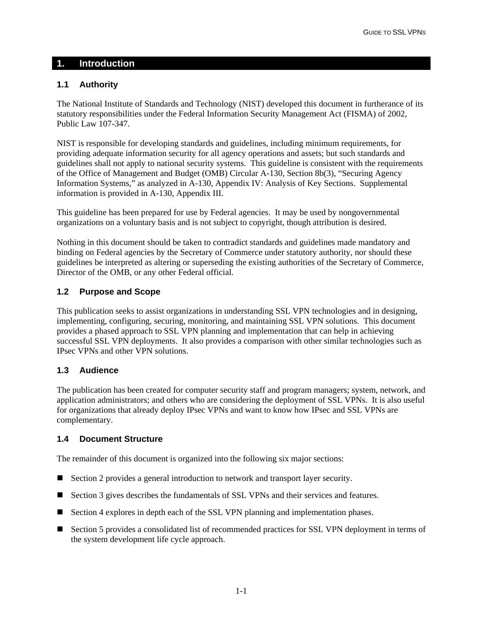# <span id="page-10-0"></span>**1. Introduction**

# **1.1 Authority**

The National Institute of Standards and Technology (NIST) developed this document in furtherance of its statutory responsibilities under the Federal Information Security Management Act (FISMA) of 2002, Public Law 107-347.

NIST is responsible for developing standards and guidelines, including minimum requirements, for providing adequate information security for all agency operations and assets; but such standards and guidelines shall not apply to national security systems. This guideline is consistent with the requirements of the Office of Management and Budget (OMB) Circular A-130, Section 8b(3), "Securing Agency Information Systems," as analyzed in A-130, Appendix IV: Analysis of Key Sections. Supplemental information is provided in A-130, Appendix III.

This guideline has been prepared for use by Federal agencies. It may be used by nongovernmental organizations on a voluntary basis and is not subject to copyright, though attribution is desired.

Nothing in this document should be taken to contradict standards and guidelines made mandatory and binding on Federal agencies by the Secretary of Commerce under statutory authority, nor should these guidelines be interpreted as altering or superseding the existing authorities of the Secretary of Commerce, Director of the OMB, or any other Federal official.

# **1.2 Purpose and Scope**

This publication seeks to assist organizations in understanding SSL VPN technologies and in designing, implementing, configuring, securing, monitoring, and maintaining SSL VPN solutions. This document provides a phased approach to SSL VPN planning and implementation that can help in achieving successful SSL VPN deployments. It also provides a comparison with other similar technologies such as IPsec VPNs and other VPN solutions.

# **1.3 Audience**

The publication has been created for computer security staff and program managers; system, network, and application administrators; and others who are considering the deployment of SSL VPNs. It is also useful for organizations that already deploy IPsec VPNs and want to know how IPsec and SSL VPNs are complementary.

# **1.4 Document Structure**

The remainder of this document is organized into the following six major sections:

- Section 2 provides a general introduction to network and transport layer security.
- Section 3 gives describes the fundamentals of SSL VPNs and their services and features.
- Section 4 explores in depth each of the SSL VPN planning and implementation phases.
- Section 5 provides a consolidated list of recommended practices for SSL VPN deployment in terms of the system development life cycle approach.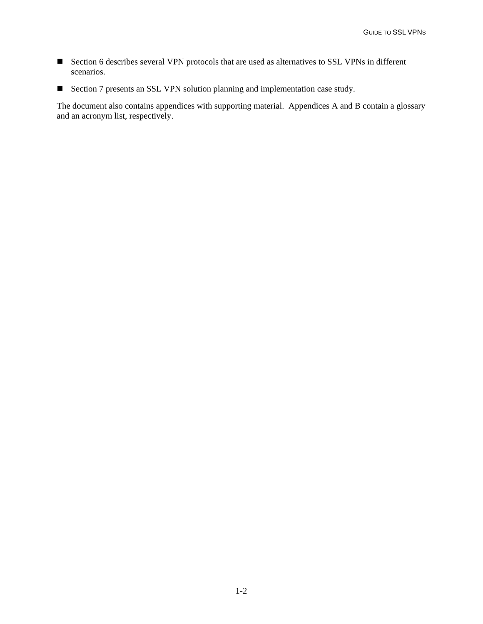- Section 6 describes several VPN protocols that are used as alternatives to SSL VPNs in different scenarios.
- Section 7 presents an SSL VPN solution planning and implementation case study.

The document also contains appendices with supporting material. Appendices A and B contain a glossary and an acronym list, respectively.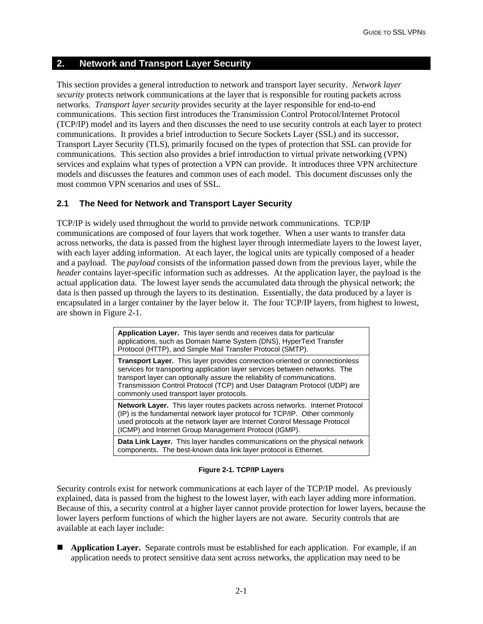# <span id="page-12-0"></span>**2. Network and Transport Layer Security**

This section provides a general introduction to network and transport layer security. *Network layer security* protects network communications at the layer that is responsible for routing packets across networks. *Transport layer security* provides security at the layer responsible for end-to-end communications. This section first introduces the Transmission Control Protocol/Internet Protocol (TCP/IP) model and its layers and then discusses the need to use security controls at each layer to protect communications. It provides a brief introduction to Secure Sockets Layer (SSL) and its successor, Transport Layer Security (TLS), primarily focused on the types of protection that SSL can provide for communications. This section also provides a brief introduction to virtual private networking (VPN) services and explains what types of protection a VPN can provide. It introduces three VPN architecture models and discusses the features and common uses of each model. This document discusses only the most common VPN scenarios and uses of SSL.

# **2.1 The Need for Network and Transport Layer Security**

TCP/IP is widely used throughout the world to provide network communications. TCP/IP communications are composed of four layers that work together. When a user wants to transfer data across networks, the data is passed from the highest layer through intermediate layers to the lowest layer, with each layer adding information. At each layer, the logical units are typically composed of a header and a payload. The *payload* consists of the information passed down from the previous layer, while the *header* contains layer-specific information such as addresses. At the application layer, the payload is the actual application data. The lowest layer sends the accumulated data through the physical network; the data is then passed up through the layers to its destination. Essentially, the data produced by a layer is encapsulated in a larger container by the layer below it. The four TCP/IP layers, from highest to lowest, are shown in Figure 2-1.

| <b>Application Layer.</b> This layer sends and receives data for particular<br>applications, such as Domain Name System (DNS), HyperText Transfer<br>Protocol (HTTP), and Simple Mail Transfer Protocol (SMTP).                                                                                                                                                     |  |  |  |  |
|---------------------------------------------------------------------------------------------------------------------------------------------------------------------------------------------------------------------------------------------------------------------------------------------------------------------------------------------------------------------|--|--|--|--|
| <b>Transport Layer.</b> This layer provides connection-oriented or connectionless<br>services for transporting application layer services between networks. The<br>transport layer can optionally assure the reliability of communications.<br>Transmission Control Protocol (TCP) and User Datagram Protocol (UDP) are<br>commonly used transport layer protocols. |  |  |  |  |
| <b>Network Layer.</b> This layer routes packets across networks. Internet Protocol<br>(IP) is the fundamental network layer protocol for TCP/IP. Other commonly<br>used protocols at the network layer are Internet Control Message Protocol<br>(ICMP) and Internet Group Management Protocol (IGMP).                                                               |  |  |  |  |
| <b>Data Link Layer.</b> This layer handles communications on the physical network<br>components. The best-known data link layer protocol is Ethernet.                                                                                                                                                                                                               |  |  |  |  |

### **Figure 2-1. TCP/IP Layers**

Security controls exist for network communications at each layer of the TCP/IP model. As previously explained, data is passed from the highest to the lowest layer, with each layer adding more information. Because of this, a security control at a higher layer cannot provide protection for lower layers, because the lower layers perform functions of which the higher layers are not aware. Security controls that are available at each layer include:

 **Application Layer.** Separate controls must be established for each application. For example, if an application needs to protect sensitive data sent across networks, the application may need to be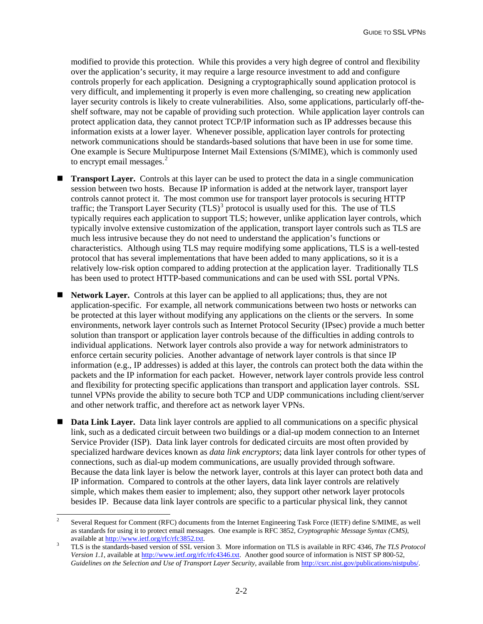modified to provide this protection. While this provides a very high degree of control and flexibility over the application's security, it may require a large resource investment to add and configure controls properly for each application. Designing a cryptographically sound application protocol is very difficult, and implementing it properly is even more challenging, so creating new application layer security controls is likely to create vulnerabilities. Also, some applications, particularly off-theshelf software, may not be capable of providing such protection. While application layer controls can protect application data, they cannot protect TCP/IP information such as IP addresses because this information exists at a lower layer. Whenever possible, application layer controls for protecting network communications should be standards-based solutions that have been in use for some time. One example is Secure Multipurpose Internet Mail Extensions (S/MIME), which is commonly used to encrypt email messages.<sup>[2](#page-13-0)</sup>

 **Transport Layer.** Controls at this layer can be used to protect the data in a single communication session between two hosts. Because IP information is added at the network layer, transport layer controls cannot protect it. The most common use for transport layer protocols is securing HTTP traffic; the Transport Layer Security  $(TLS)^3$  $(TLS)^3$  protocol is usually used for this. The use of TLS typically requires each application to support TLS; however, unlike application layer controls, which typically involve extensive customization of the application, transport layer controls such as TLS are much less intrusive because they do not need to understand the application's functions or characteristics. Although using TLS may require modifying some applications, TLS is a well-tested protocol that has several implementations that have been added to many applications, so it is a relatively low-risk option compared to adding protection at the application layer. Traditionally TLS has been used to protect HTTP-based communications and can be used with SSL portal VPNs.

 **Network Layer.** Controls at this layer can be applied to all applications; thus, they are not application-specific. For example, all network communications between two hosts or networks can be protected at this layer without modifying any applications on the clients or the servers. In some environments, network layer controls such as Internet Protocol Security (IPsec) provide a much better solution than transport or application layer controls because of the difficulties in adding controls to individual applications. Network layer controls also provide a way for network administrators to enforce certain security policies. Another advantage of network layer controls is that since IP information (e.g., IP addresses) is added at this layer, the controls can protect both the data within the packets and the IP information for each packet. However, network layer controls provide less control and flexibility for protecting specific applications than transport and application layer controls. SSL tunnel VPNs provide the ability to secure both TCP and UDP communications including client/server and other network traffic, and therefore act as network layer VPNs.

 **Data Link Layer.** Data link layer controls are applied to all communications on a specific physical link, such as a dedicated circuit between two buildings or a dial-up modem connection to an Internet Service Provider (ISP). Data link layer controls for dedicated circuits are most often provided by specialized hardware devices known as *data link encryptors*; data link layer controls for other types of connections, such as dial-up modem communications, are usually provided through software. Because the data link layer is below the network layer, controls at this layer can protect both data and IP information. Compared to controls at the other layers, data link layer controls are relatively simple, which makes them easier to implement; also, they support other network layer protocols besides IP. Because data link layer controls are specific to a particular physical link, they cannot

l

<span id="page-13-0"></span><sup>2</sup> Several Request for Comment (RFC) documents from the Internet Engineering Task Force (IETF) define S/MIME, as well as standards for using it to protect email messages. One example is RFC 3852, *Cryptographic Message Syntax (CMS)*, available at [http://www.ietf.org/rfc/rfc3852.txt.](http://www.ietf.org/rfc/rfc3852.txt)

<span id="page-13-1"></span>TLS is the standards-based version of SSL version 3. More information on TLS is available in RFC 4346, *The TLS Protocol Version 1.1*, available at [http://www.ietf.org/rfc/rfc4346.txt.](http://www.ietf.org/rfc/rfc4346.txt) Another good source of information is NIST SP 800-52, *Guidelines on the Selection and Use of Transport Layer Security*, available from [http://csrc.nist.gov/publications/nistpubs/.](http://csrc.nist.gov/publications/nistpubs/)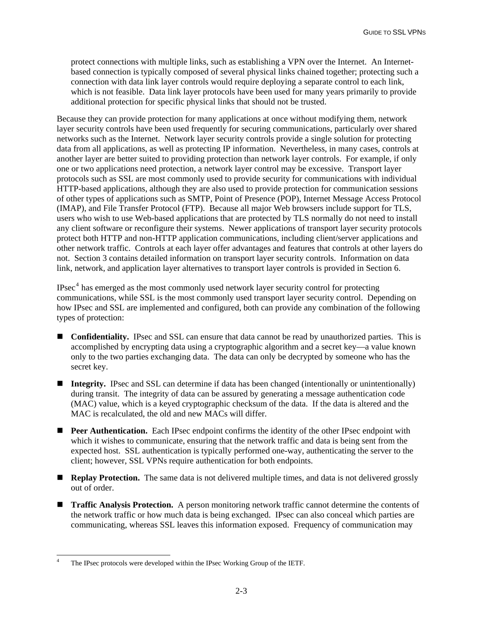protect connections with multiple links, such as establishing a VPN over the Internet. An Internetbased connection is typically composed of several physical links chained together; protecting such a connection with data link layer controls would require deploying a separate control to each link, which is not feasible. Data link layer protocols have been used for many years primarily to provide additional protection for specific physical links that should not be trusted.

Because they can provide protection for many applications at once without modifying them, network layer security controls have been used frequently for securing communications, particularly over shared networks such as the Internet. Network layer security controls provide a single solution for protecting data from all applications, as well as protecting IP information. Nevertheless, in many cases, controls at another layer are better suited to providing protection than network layer controls. For example, if only one or two applications need protection, a network layer control may be excessive. Transport layer protocols such as SSL are most commonly used to provide security for communications with individual HTTP-based applications, although they are also used to provide protection for communication sessions of other types of applications such as SMTP, Point of Presence (POP), Internet Message Access Protocol (IMAP), and File Transfer Protocol (FTP). Because all major Web browsers include support for TLS, users who wish to use Web-based applications that are protected by TLS normally do not need to install any client software or reconfigure their systems. Newer applications of transport layer security protocols protect both HTTP and non-HTTP application communications, including client/server applications and other network traffic. Controls at each layer offer advantages and features that controls at other layers do not. Section 3 contains detailed information on transport layer security controls. Information on data link, network, and application layer alternatives to transport layer controls is provided in Section 6.

IPsec<sup>[4](#page-14-0)</sup> has emerged as the most commonly used network layer security control for protecting communications, while SSL is the most commonly used transport layer security control. Depending on how IPsec and SSL are implemented and configured, both can provide any combination of the following types of protection:

- **Confidentiality.** IPsec and SSL can ensure that data cannot be read by unauthorized parties. This is accomplished by encrypting data using a cryptographic algorithm and a secret key—a value known only to the two parties exchanging data. The data can only be decrypted by someone who has the secret key.
- **Integrity.** IPsec and SSL can determine if data has been changed (intentionally or unintentionally) during transit. The integrity of data can be assured by generating a message authentication code (MAC) value, which is a keyed cryptographic checksum of the data. If the data is altered and the MAC is recalculated, the old and new MACs will differ.
- **Peer Authentication.** Each IPsec endpoint confirms the identity of the other IPsec endpoint with which it wishes to communicate, ensuring that the network traffic and data is being sent from the expected host. SSL authentication is typically performed one-way, authenticating the server to the client; however, SSL VPNs require authentication for both endpoints.
- **Replay Protection.** The same data is not delivered multiple times, and data is not delivered grossly out of order.
- **Traffic Analysis Protection.** A person monitoring network traffic cannot determine the contents of the network traffic or how much data is being exchanged. IPsec can also conceal which parties are communicating, whereas SSL leaves this information exposed. Frequency of communication may

<span id="page-14-0"></span>l 4 The IPsec protocols were developed within the IPsec Working Group of the IETF.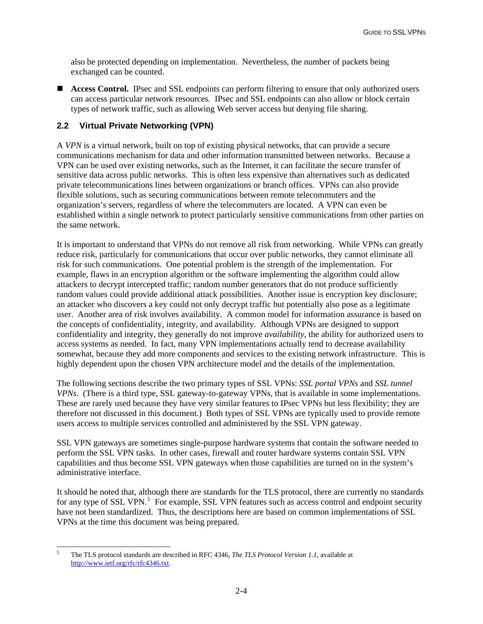<span id="page-15-0"></span>also be protected depending on implementation. Nevertheless, the number of packets being exchanged can be counted.

**Access Control.** IPsec and SSL endpoints can perform filtering to ensure that only authorized users can access particular network resources. IPsec and SSL endpoints can also allow or block certain types of network traffic, such as allowing Web server access but denying file sharing.

# **2.2 Virtual Private Networking (VPN)**

A *VPN* is a virtual network, built on top of existing physical networks, that can provide a secure communications mechanism for data and other information transmitted between networks. Because a VPN can be used over existing networks, such as the Internet, it can facilitate the secure transfer of sensitive data across public networks. This is often less expensive than alternatives such as dedicated private telecommunications lines between organizations or branch offices. VPNs can also provide flexible solutions, such as securing communications between remote telecommuters and the organization's servers, regardless of where the telecommuters are located. A VPN can even be established within a single network to protect particularly sensitive communications from other parties on the same network.

It is important to understand that VPNs do not remove all risk from networking. While VPNs can greatly reduce risk, particularly for communications that occur over public networks, they cannot eliminate all risk for such communications. One potential problem is the strength of the implementation. For example, flaws in an encryption algorithm or the software implementing the algorithm could allow attackers to decrypt intercepted traffic; random number generators that do not produce sufficiently random values could provide additional attack possibilities. Another issue is encryption key disclosure; an attacker who discovers a key could not only decrypt traffic but potentially also pose as a legitimate user. Another area of risk involves availability. A common model for information assurance is based on the concepts of confidentiality, integrity, and availability. Although VPNs are designed to support confidentiality and integrity, they generally do not improve *availability*, the ability for authorized users to access systems as needed. In fact, many VPN implementations actually tend to decrease availability somewhat, because they add more components and services to the existing network infrastructure. This is highly dependent upon the chosen VPN architecture model and the details of the implementation.

The following sections describe the two primary types of SSL VPNs: *SSL portal VPNs* and *SSL tunnel VPNs*. (There is a third type, SSL gateway-to-gateway VPNs, that is available in some implementations. These are rarely used because they have very similar features to IPsec VPNs but less flexibility; they are therefore not discussed in this document.) Both types of SSL VPNs are typically used to provide remote users access to multiple services controlled and administered by the SSL VPN gateway.

SSL VPN gateways are sometimes single-purpose hardware systems that contain the software needed to perform the SSL VPN tasks. In other cases, firewall and router hardware systems contain SSL VPN capabilities and thus become SSL VPN gateways when those capabilities are turned on in the system's administrative interface.

It should be noted that, although there are standards for the TLS protocol, there are currently no standards for any type of SSL VPN.<sup>[5](#page-15-1)</sup> For example, SSL VPN features such as access control and endpoint security have not been standardized. Thus, the descriptions here are based on common implementations of SSL VPNs at the time this document was being prepared.

<span id="page-15-1"></span>l 5 The TLS protocol standards are described in RFC 4346, *The TLS Protocol Version 1.1*, available at <http://www.ietf.org/rfc/rfc4346.txt>.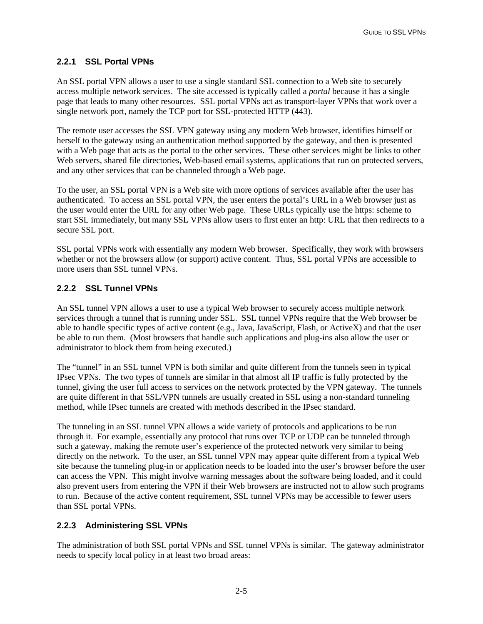# <span id="page-16-0"></span>**2.2.1 SSL Portal VPNs**

An SSL portal VPN allows a user to use a single standard SSL connection to a Web site to securely access multiple network services. The site accessed is typically called a *portal* because it has a single page that leads to many other resources. SSL portal VPNs act as transport-layer VPNs that work over a single network port, namely the TCP port for SSL-protected HTTP (443).

The remote user accesses the SSL VPN gateway using any modern Web browser, identifies himself or herself to the gateway using an authentication method supported by the gateway, and then is presented with a Web page that acts as the portal to the other services. These other services might be links to other Web servers, shared file directories, Web-based email systems, applications that run on protected servers, and any other services that can be channeled through a Web page.

To the user, an SSL portal VPN is a Web site with more options of services available after the user has authenticated. To access an SSL portal VPN, the user enters the portal's URL in a Web browser just as the user would enter the URL for any other Web page. These URLs typically use the https: scheme to start SSL immediately, but many SSL VPNs allow users to first enter an http: URL that then redirects to a secure SSL port.

SSL portal VPNs work with essentially any modern Web browser. Specifically, they work with browsers whether or not the browsers allow (or support) active content. Thus, SSL portal VPNs are accessible to more users than SSL tunnel VPNs.

# **2.2.2 SSL Tunnel VPNs**

An SSL tunnel VPN allows a user to use a typical Web browser to securely access multiple network services through a tunnel that is running under SSL. SSL tunnel VPNs require that the Web browser be able to handle specific types of active content (e.g., Java, JavaScript, Flash, or ActiveX) and that the user be able to run them. (Most browsers that handle such applications and plug-ins also allow the user or administrator to block them from being executed.)

The "tunnel" in an SSL tunnel VPN is both similar and quite different from the tunnels seen in typical IPsec VPNs. The two types of tunnels are similar in that almost all IP traffic is fully protected by the tunnel, giving the user full access to services on the network protected by the VPN gateway. The tunnels are quite different in that SSL/VPN tunnels are usually created in SSL using a non-standard tunneling method, while IPsec tunnels are created with methods described in the IPsec standard.

The tunneling in an SSL tunnel VPN allows a wide variety of protocols and applications to be run through it. For example, essentially any protocol that runs over TCP or UDP can be tunneled through such a gateway, making the remote user's experience of the protected network very similar to being directly on the network. To the user, an SSL tunnel VPN may appear quite different from a typical Web site because the tunneling plug-in or application needs to be loaded into the user's browser before the user can access the VPN. This might involve warning messages about the software being loaded, and it could also prevent users from entering the VPN if their Web browsers are instructed not to allow such programs to run. Because of the active content requirement, SSL tunnel VPNs may be accessible to fewer users than SSL portal VPNs.

# **2.2.3 Administering SSL VPNs**

The administration of both SSL portal VPNs and SSL tunnel VPNs is similar. The gateway administrator needs to specify local policy in at least two broad areas: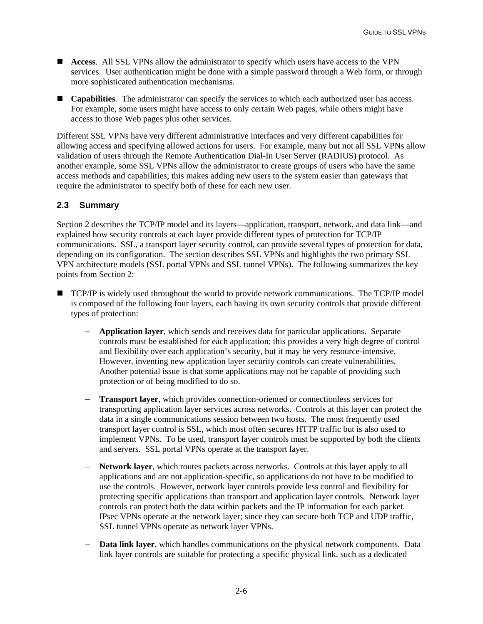- <span id="page-17-0"></span>**Access.** All SSL VPNs allow the administrator to specify which users have access to the VPN services. User authentication might be done with a simple password through a Web form, or through more sophisticated authentication mechanisms.
- **Capabilities**. The administrator can specify the services to which each authorized user has access. For example, some users might have access to only certain Web pages, while others might have access to those Web pages plus other services.

Different SSL VPNs have very different administrative interfaces and very different capabilities for allowing access and specifying allowed actions for users. For example, many but not all SSL VPNs allow validation of users through the Remote Authentication Dial-In User Server (RADIUS) protocol. As another example, some SSL VPNs allow the administrator to create groups of users who have the same access methods and capabilities; this makes adding new users to the system easier than gateways that require the administrator to specify both of these for each new user.

# **2.3 Summary**

Section 2 describes the TCP/IP model and its layers—application, transport, network, and data link—and explained how security controls at each layer provide different types of protection for TCP/IP communications. SSL, a transport layer security control, can provide several types of protection for data, depending on its configuration. The section describes SSL VPNs and highlights the two primary SSL VPN architecture models (SSL portal VPNs and SSL tunnel VPNs). The following summarizes the key points from Section 2:

- **TCP/IP** is widely used throughout the world to provide network communications. The TCP/IP model is composed of the following four layers, each having its own security controls that provide different types of protection:
	- **Application layer**, which sends and receives data for particular applications. Separate controls must be established for each application; this provides a very high degree of control and flexibility over each application's security, but it may be very resource-intensive. However, inventing new application layer security controls can create vulnerabilities. Another potential issue is that some applications may not be capable of providing such protection or of being modified to do so.
	- **Transport layer**, which provides connection-oriented or connectionless services for transporting application layer services across networks. Controls at this layer can protect the data in a single communications session between two hosts. The most frequently used transport layer control is SSL, which most often secures HTTP traffic but is also used to implement VPNs. To be used, transport layer controls must be supported by both the clients and servers. SSL portal VPNs operate at the transport layer.
	- **Network layer**, which routes packets across networks. Controls at this layer apply to all applications and are not application-specific, so applications do not have to be modified to use the controls. However, network layer controls provide less control and flexibility for protecting specific applications than transport and application layer controls. Network layer controls can protect both the data within packets and the IP information for each packet. IPsec VPNs operate at the network layer; since they can secure both TCP and UDP traffic, SSL tunnel VPNs operate as network layer VPNs.
	- **Data link layer**, which handles communications on the physical network components. Data link layer controls are suitable for protecting a specific physical link, such as a dedicated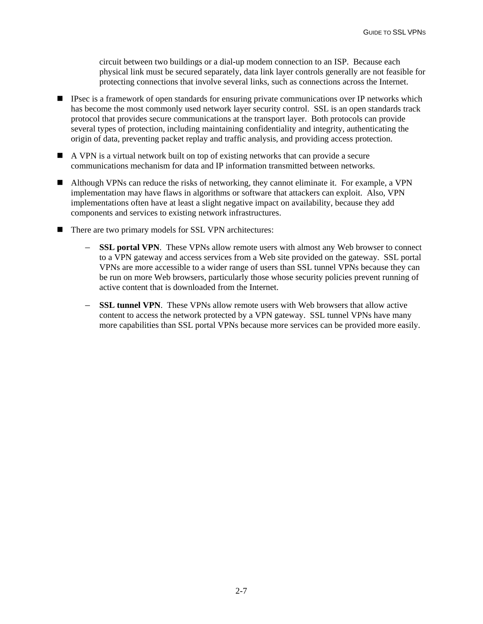circuit between two buildings or a dial-up modem connection to an ISP. Because each physical link must be secured separately, data link layer controls generally are not feasible for protecting connections that involve several links, such as connections across the Internet.

- **IPsec is a framework of open standards for ensuring private communications over IP networks which** has become the most commonly used network layer security control. SSL is an open standards track protocol that provides secure communications at the transport layer. Both protocols can provide several types of protection, including maintaining confidentiality and integrity, authenticating the origin of data, preventing packet replay and traffic analysis, and providing access protection.
- A VPN is a virtual network built on top of existing networks that can provide a secure communications mechanism for data and IP information transmitted between networks.
- Although VPNs can reduce the risks of networking, they cannot eliminate it. For example, a VPN implementation may have flaws in algorithms or software that attackers can exploit. Also, VPN implementations often have at least a slight negative impact on availability, because they add components and services to existing network infrastructures.
- There are two primary models for SSL VPN architectures:
	- **SSL portal VPN.** These VPNs allow remote users with almost any Web browser to connect to a VPN gateway and access services from a Web site provided on the gateway. SSL portal VPNs are more accessible to a wider range of users than SSL tunnel VPNs because they can be run on more Web browsers, particularly those whose security policies prevent running of active content that is downloaded from the Internet.
	- **SSL tunnel VPN**. These VPNs allow remote users with Web browsers that allow active content to access the network protected by a VPN gateway. SSL tunnel VPNs have many more capabilities than SSL portal VPNs because more services can be provided more easily.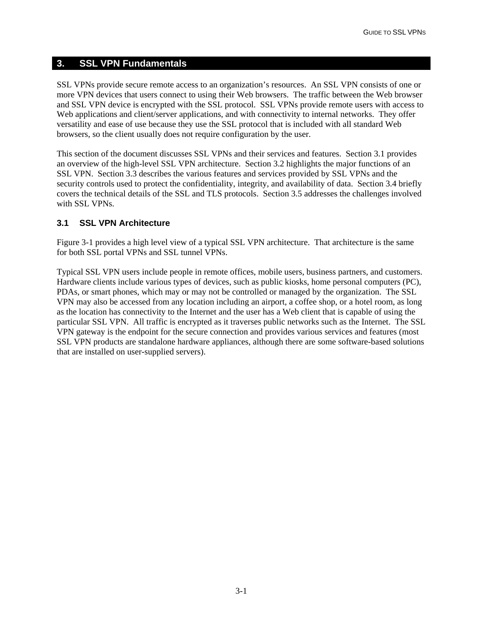# <span id="page-19-0"></span>**3. SSL VPN Fundamentals**

SSL VPNs provide secure remote access to an organization's resources. An SSL VPN consists of one or more VPN devices that users connect to using their Web browsers. The traffic between the Web browser and SSL VPN device is encrypted with the SSL protocol. SSL VPNs provide remote users with access to Web applications and client/server applications, and with connectivity to internal networks. They offer versatility and ease of use because they use the SSL protocol that is included with all standard Web browsers, so the client usually does not require configuration by the user.

This section of the document discusses SSL VPNs and their services and features. Section 3.1 provides an overview of the high-level SSL VPN architecture. Section 3.2 highlights the major functions of an SSL VPN. Section 3.3 describes the various features and services provided by SSL VPNs and the security controls used to protect the confidentiality, integrity, and availability of data. Section 3.4 briefly covers the technical details of the SSL and TLS protocols. Section 3.5 addresses the challenges involved with SSL VPNs.

# **3.1 SSL VPN Architecture**

Figure 3-1 provides a high level view of a typical SSL VPN architecture. That architecture is the same for both SSL portal VPNs and SSL tunnel VPNs.

Typical SSL VPN users include people in remote offices, mobile users, business partners, and customers. Hardware clients include various types of devices, such as public kiosks, home personal computers (PC), PDAs, or smart phones, which may or may not be controlled or managed by the organization. The SSL VPN may also be accessed from any location including an airport, a coffee shop, or a hotel room, as long as the location has connectivity to the Internet and the user has a Web client that is capable of using the particular SSL VPN. All traffic is encrypted as it traverses public networks such as the Internet. The SSL VPN gateway is the endpoint for the secure connection and provides various services and features (most SSL VPN products are standalone hardware appliances, although there are some software-based solutions that are installed on user-supplied servers).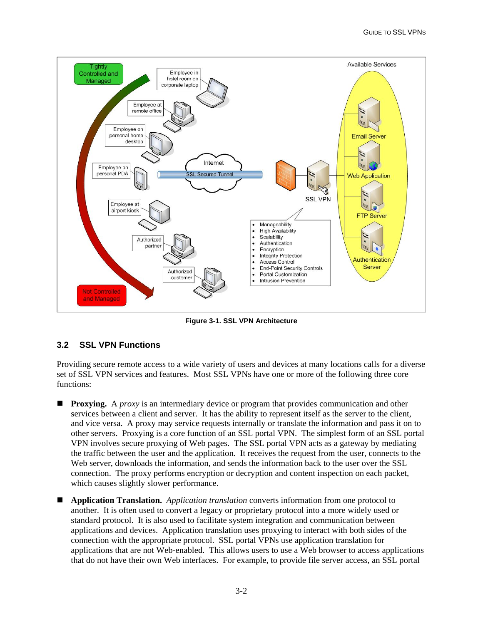<span id="page-20-0"></span>

**Figure 3-1. SSL VPN Architecture** 

# **3.2 SSL VPN Functions**

Providing secure remote access to a wide variety of users and devices at many locations calls for a diverse set of SSL VPN services and features. Most SSL VPNs have one or more of the following three core functions:

- **Proxying.** A *proxy* is an intermediary device or program that provides communication and other services between a client and server. It has the ability to represent itself as the server to the client, and vice versa. A proxy may service requests internally or translate the information and pass it on to other servers. Proxying is a core function of an SSL portal VPN. The simplest form of an SSL portal VPN involves secure proxying of Web pages. The SSL portal VPN acts as a gateway by mediating the traffic between the user and the application. It receives the request from the user, connects to the Web server, downloads the information, and sends the information back to the user over the SSL connection. The proxy performs encryption or decryption and content inspection on each packet, which causes slightly slower performance.
- **Application Translation.** *Application translation* converts information from one protocol to another. It is often used to convert a legacy or proprietary protocol into a more widely used or standard protocol. It is also used to facilitate system integration and communication between applications and devices. Application translation uses proxying to interact with both sides of the connection with the appropriate protocol. SSL portal VPNs use application translation for applications that are not Web-enabled. This allows users to use a Web browser to access applications that do not have their own Web interfaces. For example, to provide file server access, an SSL portal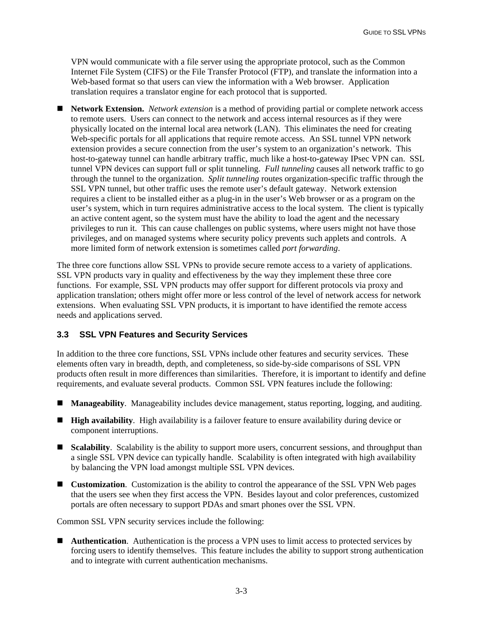<span id="page-21-0"></span>VPN would communicate with a file server using the appropriate protocol, such as the Common Internet File System (CIFS) or the File Transfer Protocol (FTP), and translate the information into a Web-based format so that users can view the information with a Web browser. Application translation requires a translator engine for each protocol that is supported.

 **Network Extension.** *Network extension* is a method of providing partial or complete network access to remote users. Users can connect to the network and access internal resources as if they were physically located on the internal local area network (LAN). This eliminates the need for creating Web-specific portals for all applications that require remote access. An SSL tunnel VPN network extension provides a secure connection from the user's system to an organization's network. This host-to-gateway tunnel can handle arbitrary traffic, much like a host-to-gateway IPsec VPN can. SSL tunnel VPN devices can support full or split tunneling. *Full tunneling* causes all network traffic to go through the tunnel to the organization. *Split tunneling* routes organization-specific traffic through the SSL VPN tunnel, but other traffic uses the remote user's default gateway. Network extension requires a client to be installed either as a plug-in in the user's Web browser or as a program on the user's system, which in turn requires administrative access to the local system. The client is typically an active content agent, so the system must have the ability to load the agent and the necessary privileges to run it. This can cause challenges on public systems, where users might not have those privileges, and on managed systems where security policy prevents such applets and controls. A more limited form of network extension is sometimes called *port forwarding*.

The three core functions allow SSL VPNs to provide secure remote access to a variety of applications. SSL VPN products vary in quality and effectiveness by the way they implement these three core functions. For example, SSL VPN products may offer support for different protocols via proxy and application translation; others might offer more or less control of the level of network access for network extensions. When evaluating SSL VPN products, it is important to have identified the remote access needs and applications served.

# **3.3 SSL VPN Features and Security Services**

In addition to the three core functions, SSL VPNs include other features and security services. These elements often vary in breadth, depth, and completeness, so side-by-side comparisons of SSL VPN products often result in more differences than similarities. Therefore, it is important to identify and define requirements, and evaluate several products. Common SSL VPN features include the following:

- **Manageability**. Manageability includes device management, status reporting, logging, and auditing.
- **High availability.** High availability is a failover feature to ensure availability during device or component interruptions.
- **Scalability**. Scalability is the ability to support more users, concurrent sessions, and throughput than a single SSL VPN device can typically handle. Scalability is often integrated with high availability by balancing the VPN load amongst multiple SSL VPN devices.
- **Customization**. Customization is the ability to control the appearance of the SSL VPN Web pages that the users see when they first access the VPN. Besides layout and color preferences, customized portals are often necessary to support PDAs and smart phones over the SSL VPN.

Common SSL VPN security services include the following:

 **Authentication**. Authentication is the process a VPN uses to limit access to protected services by forcing users to identify themselves. This feature includes the ability to support strong authentication and to integrate with current authentication mechanisms.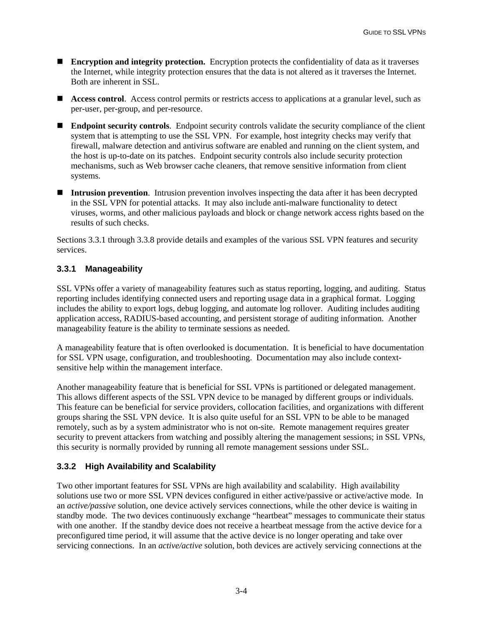- <span id="page-22-0"></span>**Encryption and integrity protection.** Encryption protects the confidentiality of data as it traverses the Internet, while integrity protection ensures that the data is not altered as it traverses the Internet. Both are inherent in SSL.
- **Access control.** Access control permits or restricts access to applications at a granular level, such as per-user, per-group, and per-resource.
- **Endpoint security controls**. Endpoint security controls validate the security compliance of the client system that is attempting to use the SSL VPN. For example, host integrity checks may verify that firewall, malware detection and antivirus software are enabled and running on the client system, and the host is up-to-date on its patches. Endpoint security controls also include security protection mechanisms, such as Web browser cache cleaners, that remove sensitive information from client systems.
- **Intrusion prevention.** Intrusion prevention involves inspecting the data after it has been decrypted in the SSL VPN for potential attacks. It may also include anti-malware functionality to detect viruses, worms, and other malicious payloads and block or change network access rights based on the results of such checks.

Sections 3.3.1 through 3.3.8 provide details and examples of the various SSL VPN features and security services.

#### **3.3.1 Manageability**

SSL VPNs offer a variety of manageability features such as status reporting, logging, and auditing. Status reporting includes identifying connected users and reporting usage data in a graphical format. Logging includes the ability to export logs, debug logging, and automate log rollover. Auditing includes auditing application access, RADIUS-based accounting, and persistent storage of auditing information. Another manageability feature is the ability to terminate sessions as needed.

A manageability feature that is often overlooked is documentation. It is beneficial to have documentation for SSL VPN usage, configuration, and troubleshooting. Documentation may also include contextsensitive help within the management interface.

Another manageability feature that is beneficial for SSL VPNs is partitioned or delegated management. This allows different aspects of the SSL VPN device to be managed by different groups or individuals. This feature can be beneficial for service providers, collocation facilities, and organizations with different groups sharing the SSL VPN device. It is also quite useful for an SSL VPN to be able to be managed remotely, such as by a system administrator who is not on-site. Remote management requires greater security to prevent attackers from watching and possibly altering the management sessions; in SSL VPNs, this security is normally provided by running all remote management sessions under SSL.

# **3.3.2 High Availability and Scalability**

Two other important features for SSL VPNs are high availability and scalability. High availability solutions use two or more SSL VPN devices configured in either active/passive or active/active mode. In an *active/passive* solution, one device actively services connections, while the other device is waiting in standby mode. The two devices continuously exchange "heartbeat" messages to communicate their status with one another. If the standby device does not receive a heartbeat message from the active device for a preconfigured time period, it will assume that the active device is no longer operating and take over servicing connections. In an *active/active* solution, both devices are actively servicing connections at the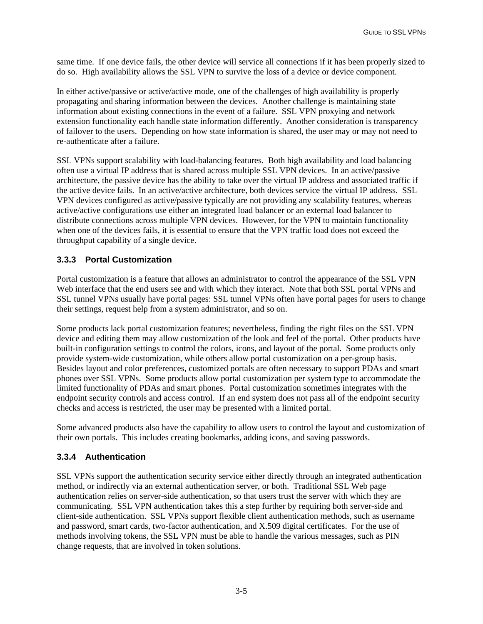<span id="page-23-0"></span>same time. If one device fails, the other device will service all connections if it has been properly sized to do so. High availability allows the SSL VPN to survive the loss of a device or device component.

In either active/passive or active/active mode, one of the challenges of high availability is properly propagating and sharing information between the devices. Another challenge is maintaining state information about existing connections in the event of a failure. SSL VPN proxying and network extension functionality each handle state information differently. Another consideration is transparency of failover to the users. Depending on how state information is shared, the user may or may not need to re-authenticate after a failure.

SSL VPNs support scalability with load-balancing features. Both high availability and load balancing often use a virtual IP address that is shared across multiple SSL VPN devices. In an active/passive architecture, the passive device has the ability to take over the virtual IP address and associated traffic if the active device fails. In an active/active architecture, both devices service the virtual IP address. SSL VPN devices configured as active/passive typically are not providing any scalability features, whereas active/active configurations use either an integrated load balancer or an external load balancer to distribute connections across multiple VPN devices. However, for the VPN to maintain functionality when one of the devices fails, it is essential to ensure that the VPN traffic load does not exceed the throughput capability of a single device.

# **3.3.3 Portal Customization**

Portal customization is a feature that allows an administrator to control the appearance of the SSL VPN Web interface that the end users see and with which they interact. Note that both SSL portal VPNs and SSL tunnel VPNs usually have portal pages: SSL tunnel VPNs often have portal pages for users to change their settings, request help from a system administrator, and so on.

Some products lack portal customization features; nevertheless, finding the right files on the SSL VPN device and editing them may allow customization of the look and feel of the portal. Other products have built-in configuration settings to control the colors, icons, and layout of the portal. Some products only provide system-wide customization, while others allow portal customization on a per-group basis. Besides layout and color preferences, customized portals are often necessary to support PDAs and smart phones over SSL VPNs. Some products allow portal customization per system type to accommodate the limited functionality of PDAs and smart phones. Portal customization sometimes integrates with the endpoint security controls and access control. If an end system does not pass all of the endpoint security checks and access is restricted, the user may be presented with a limited portal.

Some advanced products also have the capability to allow users to control the layout and customization of their own portals. This includes creating bookmarks, adding icons, and saving passwords.

# **3.3.4 Authentication**

SSL VPNs support the authentication security service either directly through an integrated authentication method, or indirectly via an external authentication server, or both. Traditional SSL Web page authentication relies on server-side authentication, so that users trust the server with which they are communicating. SSL VPN authentication takes this a step further by requiring both server-side and client-side authentication. SSL VPNs support flexible client authentication methods, such as username and password, smart cards, two-factor authentication, and X.509 digital certificates. For the use of methods involving tokens, the SSL VPN must be able to handle the various messages, such as PIN change requests, that are involved in token solutions.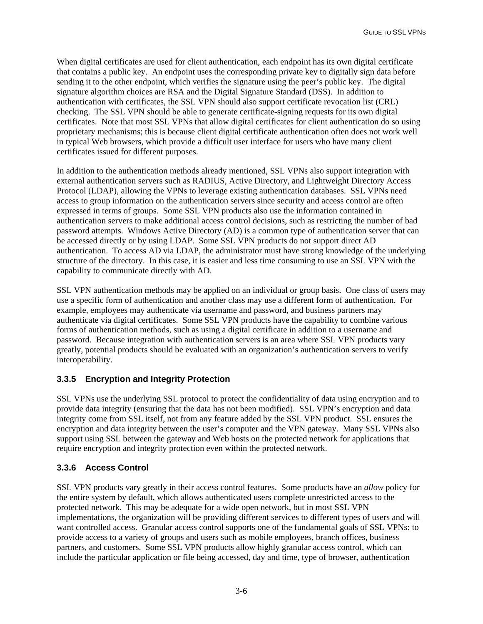<span id="page-24-0"></span>When digital certificates are used for client authentication, each endpoint has its own digital certificate that contains a public key. An endpoint uses the corresponding private key to digitally sign data before sending it to the other endpoint, which verifies the signature using the peer's public key. The digital signature algorithm choices are RSA and the Digital Signature Standard (DSS). In addition to authentication with certificates, the SSL VPN should also support certificate revocation list (CRL) checking. The SSL VPN should be able to generate certificate-signing requests for its own digital certificates. Note that most SSL VPNs that allow digital certificates for client authentication do so using proprietary mechanisms; this is because client digital certificate authentication often does not work well in typical Web browsers, which provide a difficult user interface for users who have many client certificates issued for different purposes.

In addition to the authentication methods already mentioned, SSL VPNs also support integration with external authentication servers such as RADIUS, Active Directory, and Lightweight Directory Access Protocol (LDAP), allowing the VPNs to leverage existing authentication databases. SSL VPNs need access to group information on the authentication servers since security and access control are often expressed in terms of groups. Some SSL VPN products also use the information contained in authentication servers to make additional access control decisions, such as restricting the number of bad password attempts. Windows Active Directory (AD) is a common type of authentication server that can be accessed directly or by using LDAP. Some SSL VPN products do not support direct AD authentication. To access AD via LDAP, the administrator must have strong knowledge of the underlying structure of the directory. In this case, it is easier and less time consuming to use an SSL VPN with the capability to communicate directly with AD.

SSL VPN authentication methods may be applied on an individual or group basis. One class of users may use a specific form of authentication and another class may use a different form of authentication. For example, employees may authenticate via username and password, and business partners may authenticate via digital certificates. Some SSL VPN products have the capability to combine various forms of authentication methods, such as using a digital certificate in addition to a username and password. Because integration with authentication servers is an area where SSL VPN products vary greatly, potential products should be evaluated with an organization's authentication servers to verify interoperability.

# **3.3.5 Encryption and Integrity Protection**

SSL VPNs use the underlying SSL protocol to protect the confidentiality of data using encryption and to provide data integrity (ensuring that the data has not been modified). SSL VPN's encryption and data integrity come from SSL itself, not from any feature added by the SSL VPN product. SSL ensures the encryption and data integrity between the user's computer and the VPN gateway. Many SSL VPNs also support using SSL between the gateway and Web hosts on the protected network for applications that require encryption and integrity protection even within the protected network.

# **3.3.6 Access Control**

SSL VPN products vary greatly in their access control features. Some products have an *allow* policy for the entire system by default, which allows authenticated users complete unrestricted access to the protected network. This may be adequate for a wide open network, but in most SSL VPN implementations, the organization will be providing different services to different types of users and will want controlled access. Granular access control supports one of the fundamental goals of SSL VPNs: to provide access to a variety of groups and users such as mobile employees, branch offices, business partners, and customers. Some SSL VPN products allow highly granular access control, which can include the particular application or file being accessed, day and time, type of browser, authentication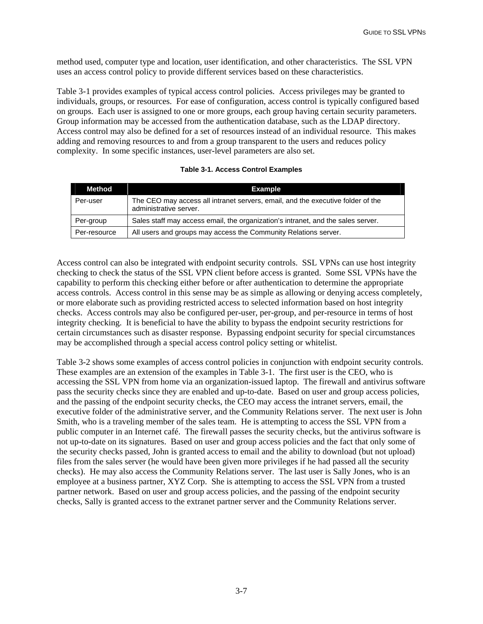<span id="page-25-0"></span>method used, computer type and location, user identification, and other characteristics. The SSL VPN uses an access control policy to provide different services based on these characteristics.

Table 3-1 provides examples of typical access control policies. Access privileges may be granted to individuals, groups, or resources. For ease of configuration, access control is typically configured based on groups. Each user is assigned to one or more groups, each group having certain security parameters. Group information may be accessed from the authentication database, such as the LDAP directory. Access control may also be defined for a set of resources instead of an individual resource. This makes adding and removing resources to and from a group transparent to the users and reduces policy complexity. In some specific instances, user-level parameters are also set.

### **Table 3-1. Access Control Examples**

| Method       | Example                                                                                                   |
|--------------|-----------------------------------------------------------------------------------------------------------|
| Per-user     | The CEO may access all intranet servers, email, and the executive folder of the<br>administrative server. |
| Per-group    | Sales staff may access email, the organization's intranet, and the sales server.                          |
| Per-resource | All users and groups may access the Community Relations server.                                           |

Access control can also be integrated with endpoint security controls. SSL VPNs can use host integrity checking to check the status of the SSL VPN client before access is granted. Some SSL VPNs have the capability to perform this checking either before or after authentication to determine the appropriate access controls. Access control in this sense may be as simple as allowing or denying access completely, or more elaborate such as providing restricted access to selected information based on host integrity checks. Access controls may also be configured per-user, per-group, and per-resource in terms of host integrity checking. It is beneficial to have the ability to bypass the endpoint security restrictions for certain circumstances such as disaster response. Bypassing endpoint security for special circumstances may be accomplished through a special access control policy setting or whitelist.

Table 3-2 shows some examples of access control policies in conjunction with endpoint security controls. These examples are an extension of the examples in Table 3-1. The first user is the CEO, who is accessing the SSL VPN from home via an organization-issued laptop. The firewall and antivirus software pass the security checks since they are enabled and up-to-date. Based on user and group access policies, and the passing of the endpoint security checks, the CEO may access the intranet servers, email, the executive folder of the administrative server, and the Community Relations server. The next user is John Smith, who is a traveling member of the sales team. He is attempting to access the SSL VPN from a public computer in an Internet café. The firewall passes the security checks, but the antivirus software is not up-to-date on its signatures. Based on user and group access policies and the fact that only some of the security checks passed, John is granted access to email and the ability to download (but not upload) files from the sales server (he would have been given more privileges if he had passed all the security checks). He may also access the Community Relations server. The last user is Sally Jones, who is an employee at a business partner, XYZ Corp. She is attempting to access the SSL VPN from a trusted partner network. Based on user and group access policies, and the passing of the endpoint security checks, Sally is granted access to the extranet partner server and the Community Relations server.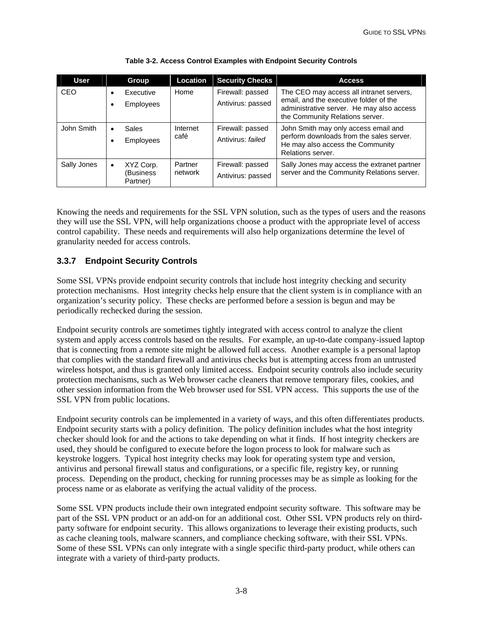<span id="page-26-0"></span>

| <b>User</b> |           | Group                              | Location           | <b>Security Checks</b>                | <b>Access</b>                                                                                                                                                      |
|-------------|-----------|------------------------------------|--------------------|---------------------------------------|--------------------------------------------------------------------------------------------------------------------------------------------------------------------|
| CEO         |           | Executive<br><b>Employees</b>      | Home               | Firewall: passed<br>Antivirus: passed | The CEO may access all intranet servers,<br>email, and the executive folder of the<br>administrative server. He may also access<br>the Community Relations server. |
| John Smith  |           | Sales<br><b>Employees</b>          | Internet<br>café   | Firewall: passed<br>Antivirus: failed | John Smith may only access email and<br>perform downloads from the sales server.<br>He may also access the Community<br>Relations server.                          |
| Sally Jones | $\bullet$ | XYZ Corp.<br>(Business<br>Partner) | Partner<br>network | Firewall: passed<br>Antivirus: passed | Sally Jones may access the extranet partner<br>server and the Community Relations server.                                                                          |

### **Table 3-2. Access Control Examples with Endpoint Security Controls**

Knowing the needs and requirements for the SSL VPN solution, such as the types of users and the reasons they will use the SSL VPN, will help organizations choose a product with the appropriate level of access control capability. These needs and requirements will also help organizations determine the level of granularity needed for access controls.

# **3.3.7 Endpoint Security Controls**

Some SSL VPNs provide endpoint security controls that include host integrity checking and security protection mechanisms. Host integrity checks help ensure that the client system is in compliance with an organization's security policy. These checks are performed before a session is begun and may be periodically rechecked during the session.

Endpoint security controls are sometimes tightly integrated with access control to analyze the client system and apply access controls based on the results. For example, an up-to-date company-issued laptop that is connecting from a remote site might be allowed full access. Another example is a personal laptop that complies with the standard firewall and antivirus checks but is attempting access from an untrusted wireless hotspot, and thus is granted only limited access. Endpoint security controls also include security protection mechanisms, such as Web browser cache cleaners that remove temporary files, cookies, and other session information from the Web browser used for SSL VPN access. This supports the use of the SSL VPN from public locations.

Endpoint security controls can be implemented in a variety of ways, and this often differentiates products. Endpoint security starts with a policy definition. The policy definition includes what the host integrity checker should look for and the actions to take depending on what it finds. If host integrity checkers are used, they should be configured to execute before the logon process to look for malware such as keystroke loggers. Typical host integrity checks may look for operating system type and version, antivirus and personal firewall status and configurations, or a specific file, registry key, or running process. Depending on the product, checking for running processes may be as simple as looking for the process name or as elaborate as verifying the actual validity of the process.

Some SSL VPN products include their own integrated endpoint security software. This software may be part of the SSL VPN product or an add-on for an additional cost. Other SSL VPN products rely on thirdparty software for endpoint security. This allows organizations to leverage their existing products, such as cache cleaning tools, malware scanners, and compliance checking software, with their SSL VPNs. Some of these SSL VPNs can only integrate with a single specific third-party product, while others can integrate with a variety of third-party products.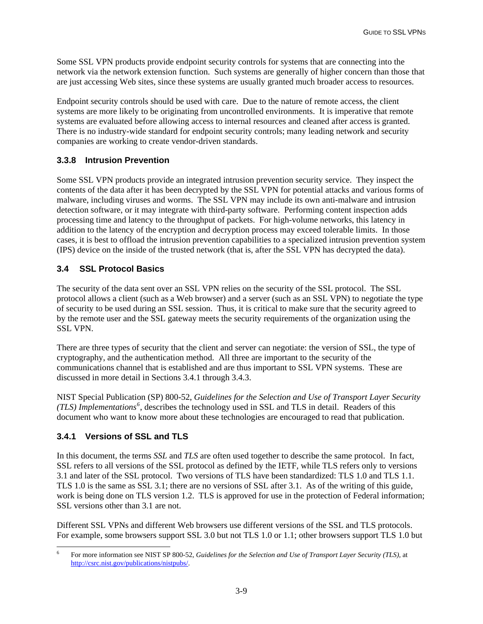<span id="page-27-0"></span>Some SSL VPN products provide endpoint security controls for systems that are connecting into the network via the network extension function. Such systems are generally of higher concern than those that are just accessing Web sites, since these systems are usually granted much broader access to resources.

Endpoint security controls should be used with care. Due to the nature of remote access, the client systems are more likely to be originating from uncontrolled environments. It is imperative that remote systems are evaluated before allowing access to internal resources and cleaned after access is granted. There is no industry-wide standard for endpoint security controls; many leading network and security companies are working to create vendor-driven standards.

# **3.3.8 Intrusion Prevention**

Some SSL VPN products provide an integrated intrusion prevention security service. They inspect the contents of the data after it has been decrypted by the SSL VPN for potential attacks and various forms of malware, including viruses and worms. The SSL VPN may include its own anti-malware and intrusion detection software, or it may integrate with third-party software. Performing content inspection adds processing time and latency to the throughput of packets. For high-volume networks, this latency in addition to the latency of the encryption and decryption process may exceed tolerable limits. In those cases, it is best to offload the intrusion prevention capabilities to a specialized intrusion prevention system (IPS) device on the inside of the trusted network (that is, after the SSL VPN has decrypted the data).

# **3.4 SSL Protocol Basics**

The security of the data sent over an SSL VPN relies on the security of the SSL protocol. The SSL protocol allows a client (such as a Web browser) and a server (such as an SSL VPN) to negotiate the type of security to be used during an SSL session. Thus, it is critical to make sure that the security agreed to by the remote user and the SSL gateway meets the security requirements of the organization using the SSL VPN.

There are three types of security that the client and server can negotiate: the version of SSL, the type of cryptography, and the authentication method. All three are important to the security of the communications channel that is established and are thus important to SSL VPN systems. These are discussed in more detail in Sections 3.4.1 through 3.4.3.

NIST Special Publication (SP) 800-52, *Guidelines for the Selection and Use of Transport Layer Security (TLS) Implementations[6](#page-27-1)* , describes the technology used in SSL and TLS in detail. Readers of this document who want to know more about these technologies are encouraged to read that publication.

# **3.4.1 Versions of SSL and TLS**

In this document, the terms *SSL* and *TLS* are often used together to describe the same protocol. In fact, SSL refers to all versions of the SSL protocol as defined by the IETF, while TLS refers only to versions 3.1 and later of the SSL protocol. Two versions of TLS have been standardized: TLS 1.0 and TLS 1.1. TLS 1.0 is the same as SSL 3.1; there are no versions of SSL after 3.1. As of the writing of this guide, work is being done on TLS version 1.2. TLS is approved for use in the protection of Federal information; SSL versions other than 3.1 are not.

Different SSL VPNs and different Web browsers use different versions of the SSL and TLS protocols. For example, some browsers support SSL 3.0 but not TLS 1.0 or 1.1; other browsers support TLS 1.0 but

<span id="page-27-1"></span> $\frac{1}{6}$  For more information see NIST SP 800-52, *Guidelines for the Selection and Use of Transport Layer Security (TLS),* at [http://csrc.nist.gov/publications/nistpubs/.](http://csrc.nist.gov/publications/nistpubs/)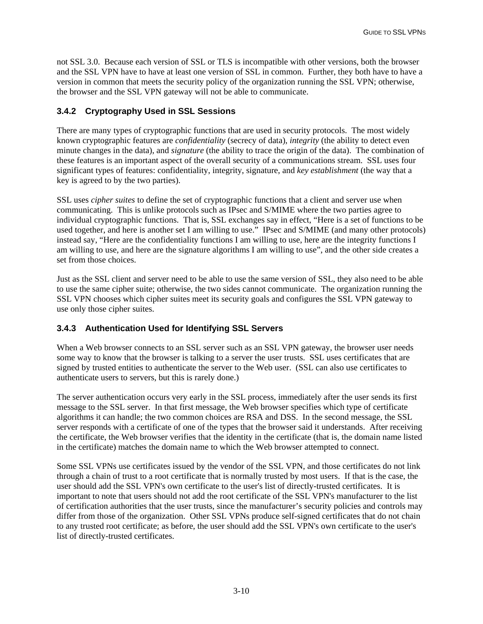<span id="page-28-0"></span>not SSL 3.0. Because each version of SSL or TLS is incompatible with other versions, both the browser and the SSL VPN have to have at least one version of SSL in common. Further, they both have to have a version in common that meets the security policy of the organization running the SSL VPN; otherwise, the browser and the SSL VPN gateway will not be able to communicate.

# **3.4.2 Cryptography Used in SSL Sessions**

There are many types of cryptographic functions that are used in security protocols. The most widely known cryptographic features are *confidentiality* (secrecy of data), *integrity* (the ability to detect even minute changes in the data), and *signature* (the ability to trace the origin of the data). The combination of these features is an important aspect of the overall security of a communications stream. SSL uses four significant types of features: confidentiality, integrity, signature, and *key establishment* (the way that a key is agreed to by the two parties).

SSL uses *cipher suites* to define the set of cryptographic functions that a client and server use when communicating. This is unlike protocols such as IPsec and S/MIME where the two parties agree to individual cryptographic functions. That is, SSL exchanges say in effect, "Here is a set of functions to be used together, and here is another set I am willing to use." IPsec and S/MIME (and many other protocols) instead say, "Here are the confidentiality functions I am willing to use, here are the integrity functions I am willing to use, and here are the signature algorithms I am willing to use", and the other side creates a set from those choices.

Just as the SSL client and server need to be able to use the same version of SSL, they also need to be able to use the same cipher suite; otherwise, the two sides cannot communicate. The organization running the SSL VPN chooses which cipher suites meet its security goals and configures the SSL VPN gateway to use only those cipher suites.

# **3.4.3 Authentication Used for Identifying SSL Servers**

When a Web browser connects to an SSL server such as an SSL VPN gateway, the browser user needs some way to know that the browser is talking to a server the user trusts. SSL uses certificates that are signed by trusted entities to authenticate the server to the Web user. (SSL can also use certificates to authenticate users to servers, but this is rarely done.)

The server authentication occurs very early in the SSL process, immediately after the user sends its first message to the SSL server. In that first message, the Web browser specifies which type of certificate algorithms it can handle; the two common choices are RSA and DSS. In the second message, the SSL server responds with a certificate of one of the types that the browser said it understands. After receiving the certificate, the Web browser verifies that the identity in the certificate (that is, the domain name listed in the certificate) matches the domain name to which the Web browser attempted to connect.

Some SSL VPNs use certificates issued by the vendor of the SSL VPN, and those certificates do not link through a chain of trust to a root certificate that is normally trusted by most users. If that is the case, the user should add the SSL VPN's own certificate to the user's list of directly-trusted certificates. It is important to note that users should not add the root certificate of the SSL VPN's manufacturer to the list of certification authorities that the user trusts, since the manufacturer's security policies and controls may differ from those of the organization. Other SSL VPNs produce self-signed certificates that do not chain to any trusted root certificate; as before, the user should add the SSL VPN's own certificate to the user's list of directly-trusted certificates.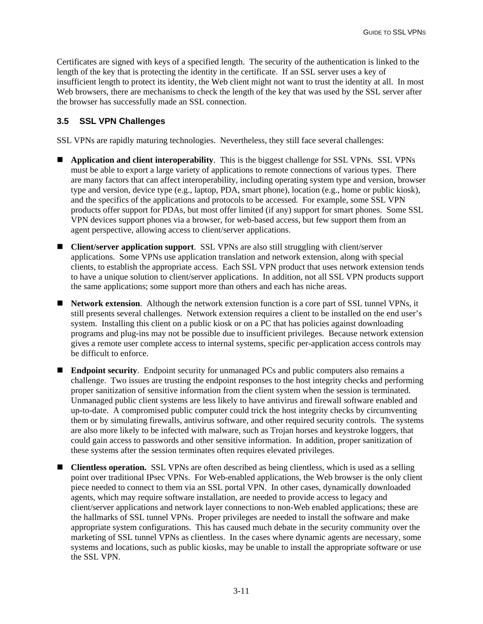<span id="page-29-0"></span>Certificates are signed with keys of a specified length. The security of the authentication is linked to the length of the key that is protecting the identity in the certificate. If an SSL server uses a key of insufficient length to protect its identity, the Web client might not want to trust the identity at all. In most Web browsers, there are mechanisms to check the length of the key that was used by the SSL server after the browser has successfully made an SSL connection.

# **3.5 SSL VPN Challenges**

SSL VPNs are rapidly maturing technologies. Nevertheless, they still face several challenges:

- **Application and client interoperability**. This is the biggest challenge for SSL VPNs. SSL VPNs must be able to export a large variety of applications to remote connections of various types. There are many factors that can affect interoperability, including operating system type and version, browser type and version, device type (e.g., laptop, PDA, smart phone), location (e.g., home or public kiosk), and the specifics of the applications and protocols to be accessed. For example, some SSL VPN products offer support for PDAs, but most offer limited (if any) support for smart phones. Some SSL VPN devices support phones via a browser, for web-based access, but few support them from an agent perspective, allowing access to client/server applications.
- **Client/server application support**. SSL VPNs are also still struggling with client/server applications. Some VPNs use application translation and network extension, along with special clients, to establish the appropriate access. Each SSL VPN product that uses network extension tends to have a unique solution to client/server applications. In addition, not all SSL VPN products support the same applications; some support more than others and each has niche areas.
- **Network extension**. Although the network extension function is a core part of SSL tunnel VPNs, it still presents several challenges. Network extension requires a client to be installed on the end user's system. Installing this client on a public kiosk or on a PC that has policies against downloading programs and plug-ins may not be possible due to insufficient privileges. Because network extension gives a remote user complete access to internal systems, specific per-application access controls may be difficult to enforce.
- **Endpoint security**. Endpoint security for unmanaged PCs and public computers also remains a challenge. Two issues are trusting the endpoint responses to the host integrity checks and performing proper sanitization of sensitive information from the client system when the session is terminated. Unmanaged public client systems are less likely to have antivirus and firewall software enabled and up-to-date. A compromised public computer could trick the host integrity checks by circumventing them or by simulating firewalls, antivirus software, and other required security controls. The systems are also more likely to be infected with malware, such as Trojan horses and keystroke loggers, that could gain access to passwords and other sensitive information. In addition, proper sanitization of these systems after the session terminates often requires elevated privileges.
- **Clientless operation.** SSL VPNs are often described as being clientless, which is used as a selling point over traditional IPsec VPNs. For Web-enabled applications, the Web browser is the only client piece needed to connect to them via an SSL portal VPN. In other cases, dynamically downloaded agents, which may require software installation, are needed to provide access to legacy and client/server applications and network layer connections to non-Web enabled applications; these are the hallmarks of SSL tunnel VPNs. Proper privileges are needed to install the software and make appropriate system configurations. This has caused much debate in the security community over the marketing of SSL tunnel VPNs as clientless. In the cases where dynamic agents are necessary, some systems and locations, such as public kiosks, may be unable to install the appropriate software or use the SSL VPN.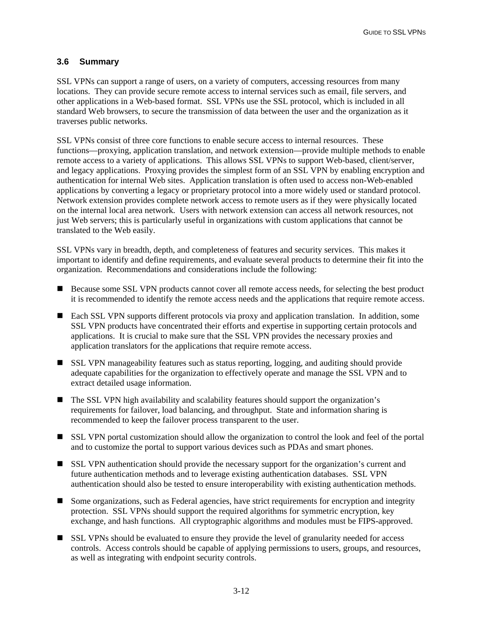# <span id="page-30-0"></span>**3.6 Summary**

SSL VPNs can support a range of users, on a variety of computers, accessing resources from many locations. They can provide secure remote access to internal services such as email, file servers, and other applications in a Web-based format. SSL VPNs use the SSL protocol, which is included in all standard Web browsers, to secure the transmission of data between the user and the organization as it traverses public networks.

SSL VPNs consist of three core functions to enable secure access to internal resources. These functions—proxying, application translation, and network extension—provide multiple methods to enable remote access to a variety of applications. This allows SSL VPNs to support Web-based, client/server, and legacy applications. Proxying provides the simplest form of an SSL VPN by enabling encryption and authentication for internal Web sites. Application translation is often used to access non-Web-enabled applications by converting a legacy or proprietary protocol into a more widely used or standard protocol. Network extension provides complete network access to remote users as if they were physically located on the internal local area network. Users with network extension can access all network resources, not just Web servers; this is particularly useful in organizations with custom applications that cannot be translated to the Web easily.

SSL VPNs vary in breadth, depth, and completeness of features and security services. This makes it important to identify and define requirements, and evaluate several products to determine their fit into the organization. Recommendations and considerations include the following:

- Because some SSL VPN products cannot cover all remote access needs, for selecting the best product it is recommended to identify the remote access needs and the applications that require remote access.
- Each SSL VPN supports different protocols via proxy and application translation. In addition, some SSL VPN products have concentrated their efforts and expertise in supporting certain protocols and applications. It is crucial to make sure that the SSL VPN provides the necessary proxies and application translators for the applications that require remote access.
- SSL VPN manageability features such as status reporting, logging, and auditing should provide adequate capabilities for the organization to effectively operate and manage the SSL VPN and to extract detailed usage information.
- The SSL VPN high availability and scalability features should support the organization's requirements for failover, load balancing, and throughput. State and information sharing is recommended to keep the failover process transparent to the user.
- SSL VPN portal customization should allow the organization to control the look and feel of the portal and to customize the portal to support various devices such as PDAs and smart phones.
- SSL VPN authentication should provide the necessary support for the organization's current and future authentication methods and to leverage existing authentication databases. SSL VPN authentication should also be tested to ensure interoperability with existing authentication methods.
- Some organizations, such as Federal agencies, have strict requirements for encryption and integrity protection. SSL VPNs should support the required algorithms for symmetric encryption, key exchange, and hash functions. All cryptographic algorithms and modules must be FIPS-approved.
- SSL VPNs should be evaluated to ensure they provide the level of granularity needed for access controls. Access controls should be capable of applying permissions to users, groups, and resources, as well as integrating with endpoint security controls.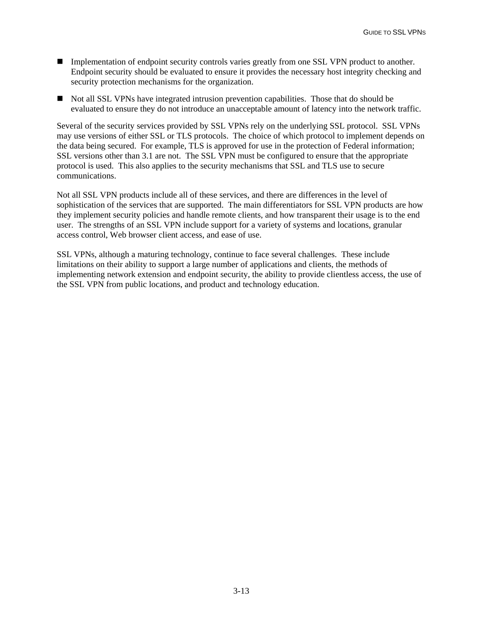- Implementation of endpoint security controls varies greatly from one SSL VPN product to another. Endpoint security should be evaluated to ensure it provides the necessary host integrity checking and security protection mechanisms for the organization.
- Not all SSL VPNs have integrated intrusion prevention capabilities. Those that do should be evaluated to ensure they do not introduce an unacceptable amount of latency into the network traffic.

Several of the security services provided by SSL VPNs rely on the underlying SSL protocol. SSL VPNs may use versions of either SSL or TLS protocols. The choice of which protocol to implement depends on the data being secured. For example, TLS is approved for use in the protection of Federal information; SSL versions other than 3.1 are not. The SSL VPN must be configured to ensure that the appropriate protocol is used. This also applies to the security mechanisms that SSL and TLS use to secure communications.

Not all SSL VPN products include all of these services, and there are differences in the level of sophistication of the services that are supported. The main differentiators for SSL VPN products are how they implement security policies and handle remote clients, and how transparent their usage is to the end user. The strengths of an SSL VPN include support for a variety of systems and locations, granular access control, Web browser client access, and ease of use.

SSL VPNs, although a maturing technology, continue to face several challenges. These include limitations on their ability to support a large number of applications and clients, the methods of implementing network extension and endpoint security, the ability to provide clientless access, the use of the SSL VPN from public locations, and product and technology education.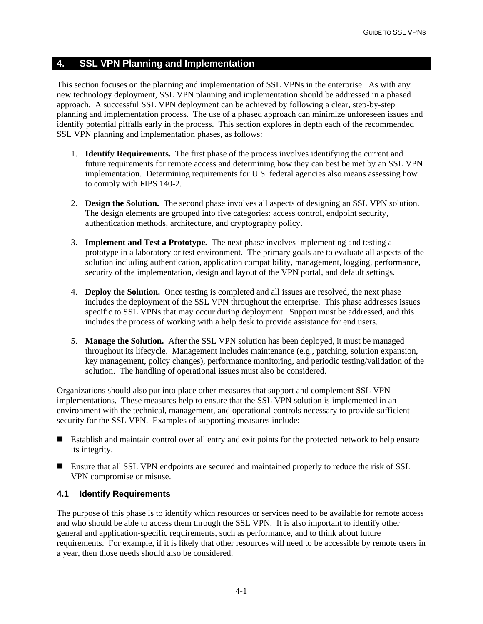# <span id="page-32-0"></span>**4. SSL VPN Planning and Implementation**

This section focuses on the planning and implementation of SSL VPNs in the enterprise. As with any new technology deployment, SSL VPN planning and implementation should be addressed in a phased approach. A successful SSL VPN deployment can be achieved by following a clear, step-by-step planning and implementation process. The use of a phased approach can minimize unforeseen issues and identify potential pitfalls early in the process. This section explores in depth each of the recommended SSL VPN planning and implementation phases, as follows:

- 1. **Identify Requirements.** The first phase of the process involves identifying the current and future requirements for remote access and determining how they can best be met by an SSL VPN implementation. Determining requirements for U.S. federal agencies also means assessing how to comply with FIPS 140-2.
- 2. **Design the Solution.** The second phase involves all aspects of designing an SSL VPN solution. The design elements are grouped into five categories: access control, endpoint security, authentication methods, architecture, and cryptography policy.
- 3. **Implement and Test a Prototype.** The next phase involves implementing and testing a prototype in a laboratory or test environment. The primary goals are to evaluate all aspects of the solution including authentication, application compatibility, management, logging, performance, security of the implementation, design and layout of the VPN portal, and default settings.
- 4. **Deploy the Solution.** Once testing is completed and all issues are resolved, the next phase includes the deployment of the SSL VPN throughout the enterprise. This phase addresses issues specific to SSL VPNs that may occur during deployment. Support must be addressed, and this includes the process of working with a help desk to provide assistance for end users.
- 5. **Manage the Solution.** After the SSL VPN solution has been deployed, it must be managed throughout its lifecycle. Management includes maintenance (e.g., patching, solution expansion, key management, policy changes), performance monitoring, and periodic testing/validation of the solution. The handling of operational issues must also be considered.

Organizations should also put into place other measures that support and complement SSL VPN implementations. These measures help to ensure that the SSL VPN solution is implemented in an environment with the technical, management, and operational controls necessary to provide sufficient security for the SSL VPN. Examples of supporting measures include:

- Establish and maintain control over all entry and exit points for the protected network to help ensure its integrity.
- Ensure that all SSL VPN endpoints are secured and maintained properly to reduce the risk of SSL VPN compromise or misuse.

# **4.1 Identify Requirements**

The purpose of this phase is to identify which resources or services need to be available for remote access and who should be able to access them through the SSL VPN. It is also important to identify other general and application-specific requirements, such as performance, and to think about future requirements. For example, if it is likely that other resources will need to be accessible by remote users in a year, then those needs should also be considered.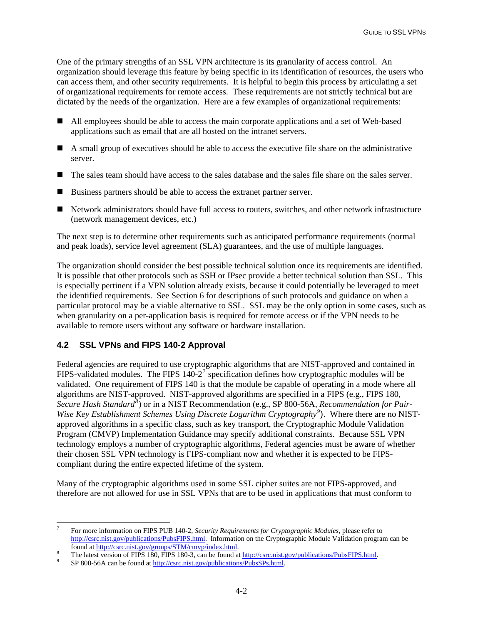<span id="page-33-0"></span>One of the primary strengths of an SSL VPN architecture is its granularity of access control. An organization should leverage this feature by being specific in its identification of resources, the users who can access them, and other security requirements. It is helpful to begin this process by articulating a set of organizational requirements for remote access. These requirements are not strictly technical but are dictated by the needs of the organization. Here are a few examples of organizational requirements:

- All employees should be able to access the main corporate applications and a set of Web-based applications such as email that are all hosted on the intranet servers.
- A small group of executives should be able to access the executive file share on the administrative server.
- The sales team should have access to the sales database and the sales file share on the sales server.
- Business partners should be able to access the extranet partner server.
- Network administrators should have full access to routers, switches, and other network infrastructure (network management devices, etc.)

The next step is to determine other requirements such as anticipated performance requirements (normal and peak loads), service level agreement (SLA) guarantees, and the use of multiple languages.

The organization should consider the best possible technical solution once its requirements are identified. It is possible that other protocols such as SSH or IPsec provide a better technical solution than SSL. This is especially pertinent if a VPN solution already exists, because it could potentially be leveraged to meet the identified requirements. See Section 6 for descriptions of such protocols and guidance on when a particular protocol may be a viable alternative to SSL. SSL may be the only option in some cases, such as when granularity on a per-application basis is required for remote access or if the VPN needs to be available to remote users without any software or hardware installation.

# **4.2 SSL VPNs and FIPS 140-2 Approval**

-

Federal agencies are required to use cryptographic algorithms that are NIST-approved and contained in FIPS-validated modules. The FIPS  $140-2^7$  $140-2^7$  specification defines how cryptographic modules will be validated. One requirement of FIPS 140 is that the module be capable of operating in a mode where all algorithms are NIST-approved. NIST-approved algorithms are specified in a FIPS (e.g., FIPS 180, *Secure Hash Standard[8](#page-33-2)* ) or in a NIST Recommendation (e.g., SP 800-56A, *Recommendation for Pair-Wise Key Establishment Schemes Using Discrete Logarithm Cryptography[9](#page-33-3)* ). Where there are no NISTapproved algorithms in a specific class, such as key transport, the Cryptographic Module Validation Program (CMVP) Implementation Guidance may specify additional constraints. Because SSL VPN technology employs a number of cryptographic algorithms, Federal agencies must be aware of whether their chosen SSL VPN technology is FIPS-compliant now and whether it is expected to be FIPScompliant during the entire expected lifetime of the system.

Many of the cryptographic algorithms used in some SSL cipher suites are not FIPS-approved, and therefore are not allowed for use in SSL VPNs that are to be used in applications that must conform to

<span id="page-33-1"></span><sup>7</sup> For more information on FIPS PUB 140-2, *Security Requirements for Cryptographic Modules,* please refer to <http://csrc.nist.gov/publications/PubsFIPS.html>. Information on the Cryptographic Module Validation program can be found at <u>http://csrc.nist.gov/groups/STM/cmvp/index.html.</u>

<span id="page-33-2"></span>The latest version of FIPS 180, FIPS 180-3, can be found at [http://csrc.nist.gov/publications/PubsFIPS.html.](http://csrc.nist.gov/publications/PubsFIPS.html)

<span id="page-33-3"></span>SP 800-56A can be found at [http://csrc.nist.gov/publications/PubsSPs.html.](http://csrc.nist.gov/publications/PubsSPs.html)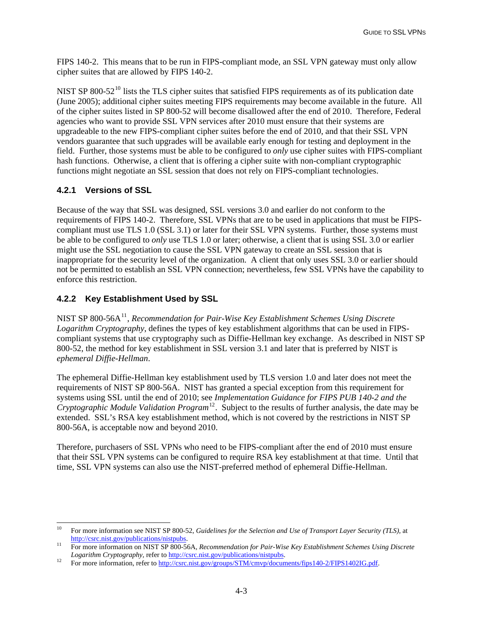<span id="page-34-0"></span>FIPS 140-2. This means that to be run in FIPS-compliant mode, an SSL VPN gateway must only allow cipher suites that are allowed by FIPS 140-2.

NIST SP 800-52 $^{10}$  $^{10}$  $^{10}$  lists the TLS cipher suites that satisfied FIPS requirements as of its publication date (June 2005); additional cipher suites meeting FIPS requirements may become available in the future. All of the cipher suites listed in SP 800-52 will become disallowed after the end of 2010. Therefore, Federal agencies who want to provide SSL VPN services after 2010 must ensure that their systems are upgradeable to the new FIPS-compliant cipher suites before the end of 2010, and that their SSL VPN vendors guarantee that such upgrades will be available early enough for testing and deployment in the field. Further, those systems must be able to be configured to *only* use cipher suites with FIPS-compliant hash functions. Otherwise, a client that is offering a cipher suite with non-compliant cryptographic functions might negotiate an SSL session that does not rely on FIPS-compliant technologies.

#### **4.2.1 Versions of SSL**

Because of the way that SSL was designed, SSL versions 3.0 and earlier do not conform to the requirements of FIPS 140-2. Therefore, SSL VPNs that are to be used in applications that must be FIPScompliant must use TLS 1.0 (SSL 3.1) or later for their SSL VPN systems. Further, those systems must be able to be configured to *only* use TLS 1.0 or later; otherwise, a client that is using SSL 3.0 or earlier might use the SSL negotiation to cause the SSL VPN gateway to create an SSL session that is inappropriate for the security level of the organization. A client that only uses SSL 3.0 or earlier should not be permitted to establish an SSL VPN connection; nevertheless, few SSL VPNs have the capability to enforce this restriction.

# **4.2.2 Key Establishment Used by SSL**

NIST SP 800-56A<sup>[11](#page-34-2)</sup>, *Recommendation for Pair-Wise Key Establishment Schemes Using Discrete Logarithm Cryptography*, defines the types of key establishment algorithms that can be used in FIPScompliant systems that use cryptography such as Diffie-Hellman key exchange. As described in NIST SP 800-52, the method for key establishment in SSL version 3.1 and later that is preferred by NIST is *ephemeral Diffie-Hellman*.

The ephemeral Diffie-Hellman key establishment used by TLS version 1.0 and later does not meet the requirements of NIST SP 800-56A. NIST has granted a special exception from this requirement for systems using SSL until the end of 2010; see *Implementation Guidance for FIPS PUB 140-2 and the Cryptographic Module Validation Program*[12](#page-34-3). Subject to the results of further analysis, the date may be extended. SSL's RSA key establishment method, which is not covered by the restrictions in NIST SP 800-56A, is acceptable now and beyond 2010.

Therefore, purchasers of SSL VPNs who need to be FIPS-compliant after the end of 2010 must ensure that their SSL VPN systems can be configured to require RSA key establishment at that time. Until that time, SSL VPN systems can also use the NIST-preferred method of ephemeral Diffie-Hellman.

<span id="page-34-1"></span> $10$ 10 For more information see NIST SP 800-52, *Guidelines for the Selection and Use of Transport Layer Security (TLS),* at <http://csrc.nist.gov/publications/nistpubs>. 11 [For more information on NIST SP 800-5](http://csrc.nist.gov/publications/nistpubs)6A, *Recommendation for Pair-Wise Key Establishment Schemes Using Discrete* 

<span id="page-34-2"></span>*LogarithmCryptography,* refe[r to](http://csrc.nist.gov/groups/STM/cmvp/documents/fips140-2/FIPS1402IG.pdf) [http://csrc.nist.gov/publications/nistpubs.](http://csrc.nist.gov/publications/nistpubs)<br><sup>12</sup> For more information, refer to<http://csrc.nist.gov/groups/STM/cmvp/documents/fips140-2/FIPS1402IG.pdf>.

<span id="page-34-3"></span>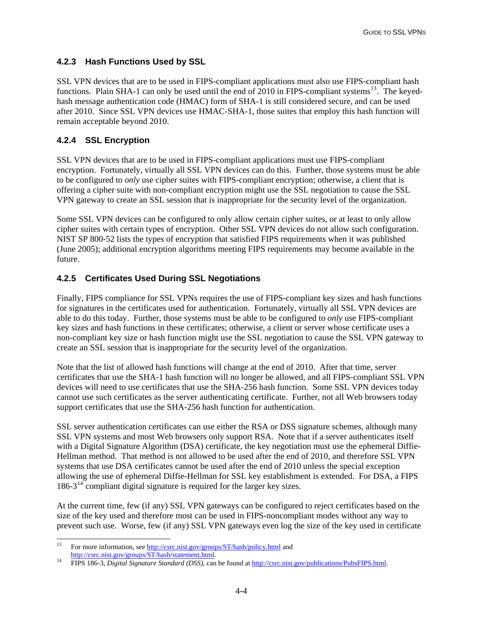# <span id="page-35-0"></span>**4.2.3 Hash Functions Used by SSL**

SSL VPN devices that are to be used in FIPS-compliant applications must also use FIPS-compliant hash functions. Plain SHA-1 can only be used until the end of  $2010$  in FIPS-compliant systems<sup>[13](#page-35-1)</sup>. The keyedhash message authentication code (HMAC) form of SHA-1 is still considered secure, and can be used after 2010. Since SSL VPN devices use HMAC-SHA-1, those suites that employ this hash function will remain acceptable beyond 2010.

# **4.2.4 SSL Encryption**

SSL VPN devices that are to be used in FIPS-compliant applications must use FIPS-compliant encryption. Fortunately, virtually all SSL VPN devices can do this. Further, those systems must be able to be configured to *only* use cipher suites with FIPS-compliant encryption; otherwise, a client that is offering a cipher suite with non-compliant encryption might use the SSL negotiation to cause the SSL VPN gateway to create an SSL session that is inappropriate for the security level of the organization.

Some SSL VPN devices can be configured to only allow certain cipher suites, or at least to only allow cipher suites with certain types of encryption. Other SSL VPN devices do not allow such configuration. NIST SP 800-52 lists the types of encryption that satisfied FIPS requirements when it was published (June 2005); additional encryption algorithms meeting FIPS requirements may become available in the future.

# **4.2.5 Certificates Used During SSL Negotiations**

Finally, FIPS compliance for SSL VPNs requires the use of FIPS-compliant key sizes and hash functions for signatures in the certificates used for authentication. Fortunately, virtually all SSL VPN devices are able to do this today. Further, those systems must be able to be configured to *only* use FIPS-compliant key sizes and hash functions in these certificates; otherwise, a client or server whose certificate uses a non-compliant key size or hash function might use the SSL negotiation to cause the SSL VPN gateway to create an SSL session that is inappropriate for the security level of the organization.

Note that the list of allowed hash functions will change at the end of 2010. After that time, server certificates that use the SHA-1 hash function will no longer be allowed, and all FIPS-compliant SSL VPN devices will need to use certificates that use the SHA-256 hash function. Some SSL VPN devices today cannot use such certificates as the server authenticating certificate. Further, not all Web browsers today support certificates that use the SHA-256 hash function for authentication.

SSL server authentication certificates can use either the RSA or DSS signature schemes, although many SSL VPN systems and most Web browsers only support RSA. Note that if a server authenticates itself with a Digital Signature Algorithm (DSA) certificate, the key negotiation must use the ephemeral Diffie-Hellman method. That method is not allowed to be used after the end of 2010, and therefore SSL VPN systems that use DSA certificates cannot be used after the end of 2010 unless the special exception allowing the use of ephemeral Diffie-Hellman for SSL key establishment is extended. For DSA, a FIPS  $186-3<sup>14</sup>$  $186-3<sup>14</sup>$  $186-3<sup>14</sup>$  compliant digital signature is required for the larger key sizes.

At the current time, few (if any) SSL VPN gateways can be configured to reject certificates based on the size of the key used and therefore most can be used in FIPS-noncompliant modes without any way to prevent such use. Worse, few (if any) SSL VPN gateways even log the size of the key used in certificate

<span id="page-35-1"></span> $13$ For more information, see<http://csrc.nist.gov/groups/ST/hash/policy.html>and

<span id="page-35-2"></span>[http://csrc.nist.gov/groups/ST/hash/statement.html.](http://csrc.nist.gov/groups/ST/hash/statement.html) 14 FIPS 186-3, *Digital Signature Standard (DSS)*, can be found at [http://csrc.nist.gov/publications/PubsFIPS.html.](http://csrc.nist.gov/publications/PubsFIPS.html)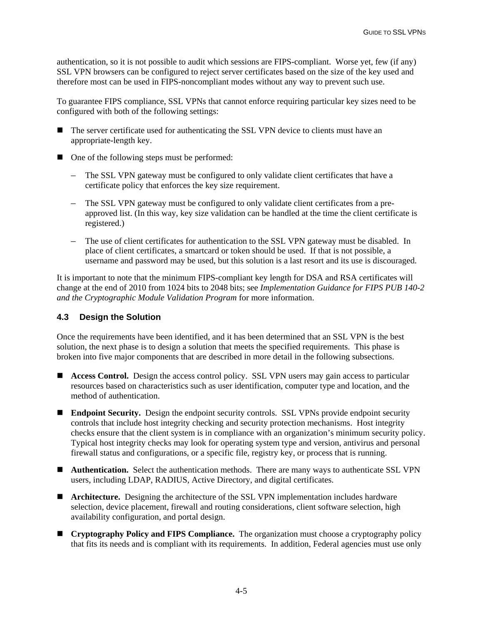authentication, so it is not possible to audit which sessions are FIPS-compliant. Worse yet, few (if any) SSL VPN browsers can be configured to reject server certificates based on the size of the key used and therefore most can be used in FIPS-noncompliant modes without any way to prevent such use.

To guarantee FIPS compliance, SSL VPNs that cannot enforce requiring particular key sizes need to be configured with both of the following settings:

- The server certificate used for authenticating the SSL VPN device to clients must have an appropriate-length key.
- One of the following steps must be performed:
	- The SSL VPN gateway must be configured to only validate client certificates that have a certificate policy that enforces the key size requirement.
	- The SSL VPN gateway must be configured to only validate client certificates from a preapproved list. (In this way, key size validation can be handled at the time the client certificate is registered.)
	- The use of client certificates for authentication to the SSL VPN gateway must be disabled. In place of client certificates, a smartcard or token should be used. If that is not possible, a username and password may be used, but this solution is a last resort and its use is discouraged.

It is important to note that the minimum FIPS-compliant key length for DSA and RSA certificates will change at the end of 2010 from 1024 bits to 2048 bits; see *Implementation Guidance for FIPS PUB 140-2 and the Cryptographic Module Validation Program* for more information.

## **4.3 Design the Solution**

Once the requirements have been identified, and it has been determined that an SSL VPN is the best solution, the next phase is to design a solution that meets the specified requirements. This phase is broken into five major components that are described in more detail in the following subsections.

- **Access Control.** Design the access control policy. SSL VPN users may gain access to particular resources based on characteristics such as user identification, computer type and location, and the method of authentication.
- Endpoint Security. Design the endpoint security controls. SSL VPNs provide endpoint security controls that include host integrity checking and security protection mechanisms. Host integrity checks ensure that the client system is in compliance with an organization's minimum security policy. Typical host integrity checks may look for operating system type and version, antivirus and personal firewall status and configurations, or a specific file, registry key, or process that is running.
- **Authentication.** Select the authentication methods. There are many ways to authenticate SSL VPN users, including LDAP, RADIUS, Active Directory, and digital certificates.
- **Architecture.** Designing the architecture of the SSL VPN implementation includes hardware selection, device placement, firewall and routing considerations, client software selection, high availability configuration, and portal design.
- **Cryptography Policy and FIPS Compliance.** The organization must choose a cryptography policy that fits its needs and is compliant with its requirements. In addition, Federal agencies must use only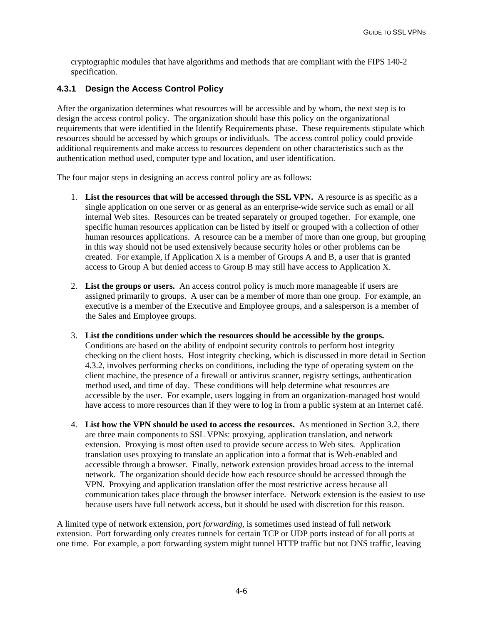cryptographic modules that have algorithms and methods that are compliant with the FIPS 140-2 specification.

# **4.3.1 Design the Access Control Policy**

After the organization determines what resources will be accessible and by whom, the next step is to design the access control policy. The organization should base this policy on the organizational requirements that were identified in the Identify Requirements phase. These requirements stipulate which resources should be accessed by which groups or individuals. The access control policy could provide additional requirements and make access to resources dependent on other characteristics such as the authentication method used, computer type and location, and user identification.

The four major steps in designing an access control policy are as follows:

- 1. **List the resources that will be accessed through the SSL VPN.** A resource is as specific as a single application on one server or as general as an enterprise-wide service such as email or all internal Web sites. Resources can be treated separately or grouped together. For example, one specific human resources application can be listed by itself or grouped with a collection of other human resources applications. A resource can be a member of more than one group, but grouping in this way should not be used extensively because security holes or other problems can be created. For example, if Application X is a member of Groups A and B, a user that is granted access to Group A but denied access to Group B may still have access to Application X.
- 2. **List the groups or users.** An access control policy is much more manageable if users are assigned primarily to groups. A user can be a member of more than one group. For example, an executive is a member of the Executive and Employee groups, and a salesperson is a member of the Sales and Employee groups.
- 3. **List the conditions under which the resources should be accessible by the groups.** Conditions are based on the ability of endpoint security controls to perform host integrity checking on the client hosts. Host integrity checking, which is discussed in more detail in Section 4.3.2, involves performing checks on conditions, including the type of operating system on the client machine, the presence of a firewall or antivirus scanner, registry settings, authentication method used, and time of day. These conditions will help determine what resources are accessible by the user. For example, users logging in from an organization-managed host would have access to more resources than if they were to log in from a public system at an Internet café.
- 4. **List how the VPN should be used to access the resources.** As mentioned in Section 3.2, there are three main components to SSL VPNs: proxying, application translation, and network extension. Proxying is most often used to provide secure access to Web sites. Application translation uses proxying to translate an application into a format that is Web-enabled and accessible through a browser. Finally, network extension provides broad access to the internal network. The organization should decide how each resource should be accessed through the VPN. Proxying and application translation offer the most restrictive access because all communication takes place through the browser interface. Network extension is the easiest to use because users have full network access, but it should be used with discretion for this reason.

A limited type of network extension, *port forwarding*, is sometimes used instead of full network extension. Port forwarding only creates tunnels for certain TCP or UDP ports instead of for all ports at one time. For example, a port forwarding system might tunnel HTTP traffic but not DNS traffic, leaving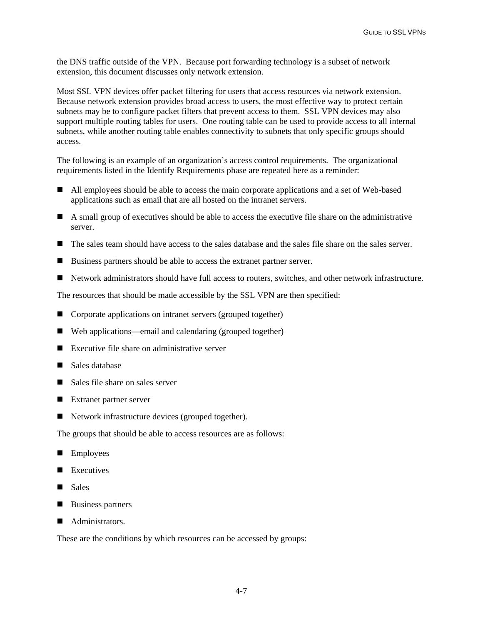the DNS traffic outside of the VPN. Because port forwarding technology is a subset of network extension, this document discusses only network extension.

Most SSL VPN devices offer packet filtering for users that access resources via network extension. Because network extension provides broad access to users, the most effective way to protect certain subnets may be to configure packet filters that prevent access to them. SSL VPN devices may also support multiple routing tables for users. One routing table can be used to provide access to all internal subnets, while another routing table enables connectivity to subnets that only specific groups should access.

The following is an example of an organization's access control requirements. The organizational requirements listed in the Identify Requirements phase are repeated here as a reminder:

- All employees should be able to access the main corporate applications and a set of Web-based applications such as email that are all hosted on the intranet servers.
- A small group of executives should be able to access the executive file share on the administrative server.
- The sales team should have access to the sales database and the sales file share on the sales server.
- Business partners should be able to access the extranet partner server.
- Network administrators should have full access to routers, switches, and other network infrastructure.

The resources that should be made accessible by the SSL VPN are then specified:

- Corporate applications on intranet servers (grouped together)
- Web applications—email and calendaring (grouped together)
- $\blacksquare$  Executive file share on administrative server
- Sales database
- Sales file share on sales server
- **Extranet partner server**
- Network infrastructure devices (grouped together).

The groups that should be able to access resources are as follows:

- **Employees**
- Executives
- Sales
- Business partners
- Administrators.

These are the conditions by which resources can be accessed by groups: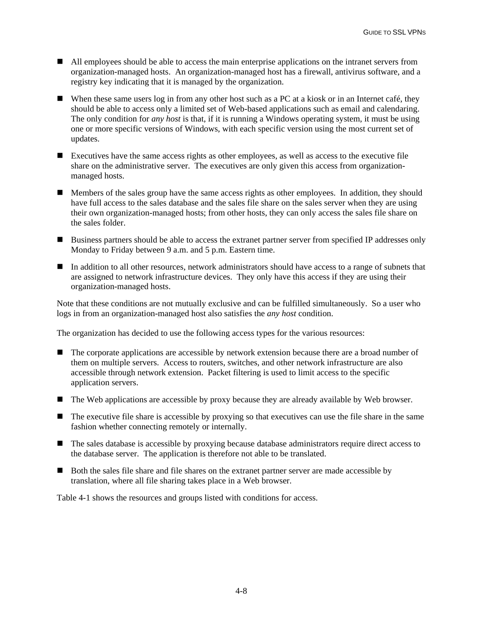- All employees should be able to access the main enterprise applications on the intranet servers from organization-managed hosts. An organization-managed host has a firewall, antivirus software, and a registry key indicating that it is managed by the organization.
- When these same users log in from any other host such as a PC at a kiosk or in an Internet café, they should be able to access only a limited set of Web-based applications such as email and calendaring. The only condition for *any host* is that, if it is running a Windows operating system, it must be using one or more specific versions of Windows, with each specific version using the most current set of updates.
- Executives have the same access rights as other employees, as well as access to the executive file share on the administrative server. The executives are only given this access from organizationmanaged hosts.
- **Members of the sales group have the same access rights as other employees. In addition, they should** have full access to the sales database and the sales file share on the sales server when they are using their own organization-managed hosts; from other hosts, they can only access the sales file share on the sales folder.
- Business partners should be able to access the extranet partner server from specified IP addresses only Monday to Friday between 9 a.m. and 5 p.m. Eastern time.
- In addition to all other resources, network administrators should have access to a range of subnets that are assigned to network infrastructure devices. They only have this access if they are using their organization-managed hosts.

Note that these conditions are not mutually exclusive and can be fulfilled simultaneously. So a user who logs in from an organization-managed host also satisfies the *any host* condition.

The organization has decided to use the following access types for the various resources:

- The corporate applications are accessible by network extension because there are a broad number of them on multiple servers. Access to routers, switches, and other network infrastructure are also accessible through network extension. Packet filtering is used to limit access to the specific application servers.
- The Web applications are accessible by proxy because they are already available by Web browser.
- The executive file share is accessible by proxying so that executives can use the file share in the same fashion whether connecting remotely or internally.
- The sales database is accessible by proxying because database administrators require direct access to the database server. The application is therefore not able to be translated.
- Both the sales file share and file shares on the extranet partner server are made accessible by translation, where all file sharing takes place in a Web browser.

Table 4-1 shows the resources and groups listed with conditions for access.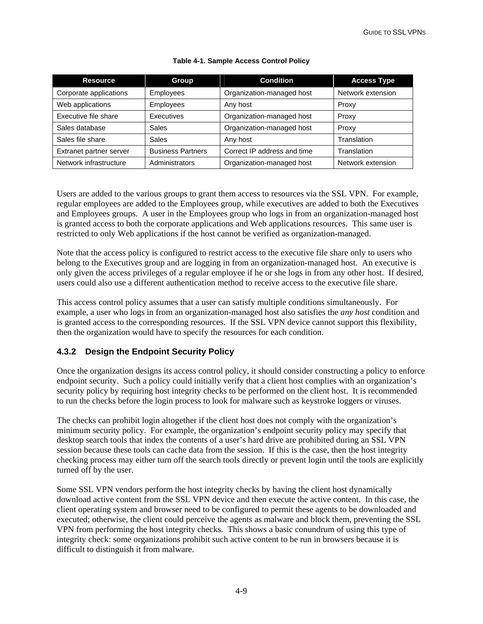| <b>Resource</b>         | Group                    | <b>Condition</b>            | <b>Access Type</b> |
|-------------------------|--------------------------|-----------------------------|--------------------|
| Corporate applications  | <b>Employees</b>         | Organization-managed host   | Network extension  |
| Web applications        | <b>Employees</b>         | Any host                    | Proxy              |
| Executive file share    | Executives               | Organization-managed host   | Proxy              |
| Sales database          | Sales                    | Organization-managed host   | Proxy              |
| Sales file share        | <b>Sales</b>             | Any host                    | Translation        |
| Extranet partner server | <b>Business Partners</b> | Correct IP address and time | Translation        |
| Network infrastructure  | Administrators           | Organization-managed host   | Network extension  |

#### **Table 4-1. Sample Access Control Policy**

Users are added to the various groups to grant them access to resources via the SSL VPN. For example, regular employees are added to the Employees group, while executives are added to both the Executives and Employees groups. A user in the Employees group who logs in from an organization-managed host is granted access to both the corporate applications and Web applications resources. This same user is restricted to only Web applications if the host cannot be verified as organization-managed.

Note that the access policy is configured to restrict access to the executive file share only to users who belong to the Executives group and are logging in from an organization-managed host. An executive is only given the access privileges of a regular employee if he or she logs in from any other host. If desired, users could also use a different authentication method to receive access to the executive file share.

This access control policy assumes that a user can satisfy multiple conditions simultaneously. For example, a user who logs in from an organization-managed host also satisfies the *any host* condition and is granted access to the corresponding resources. If the SSL VPN device cannot support this flexibility, then the organization would have to specify the resources for each condition.

## **4.3.2 Design the Endpoint Security Policy**

Once the organization designs its access control policy, it should consider constructing a policy to enforce endpoint security. Such a policy could initially verify that a client host complies with an organization's security policy by requiring host integrity checks to be performed on the client host. It is recommended to run the checks before the login process to look for malware such as keystroke loggers or viruses.

The checks can prohibit login altogether if the client host does not comply with the organization's minimum security policy. For example, the organization's endpoint security policy may specify that desktop search tools that index the contents of a user's hard drive are prohibited during an SSL VPN session because these tools can cache data from the session. If this is the case, then the host integrity checking process may either turn off the search tools directly or prevent login until the tools are explicitly turned off by the user.

Some SSL VPN vendors perform the host integrity checks by having the client host dynamically download active content from the SSL VPN device and then execute the active content. In this case, the client operating system and browser need to be configured to permit these agents to be downloaded and executed; otherwise, the client could perceive the agents as malware and block them, preventing the SSL VPN from performing the host integrity checks. This shows a basic conundrum of using this type of integrity check: some organizations prohibit such active content to be run in browsers because it is difficult to distinguish it from malware.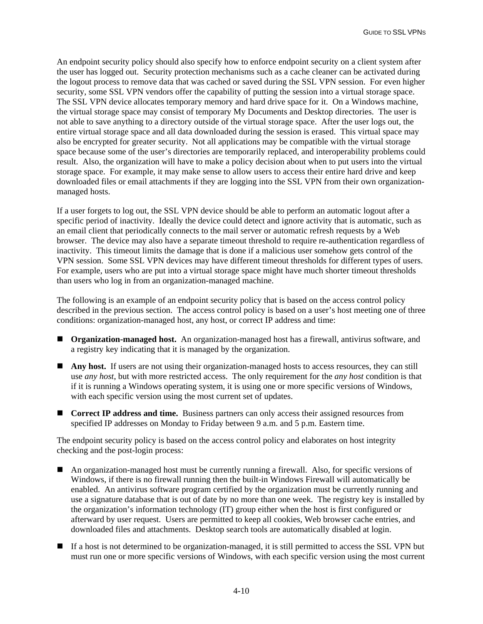An endpoint security policy should also specify how to enforce endpoint security on a client system after the user has logged out. Security protection mechanisms such as a cache cleaner can be activated during the logout process to remove data that was cached or saved during the SSL VPN session. For even higher security, some SSL VPN vendors offer the capability of putting the session into a virtual storage space. The SSL VPN device allocates temporary memory and hard drive space for it. On a Windows machine, the virtual storage space may consist of temporary My Documents and Desktop directories. The user is not able to save anything to a directory outside of the virtual storage space. After the user logs out, the entire virtual storage space and all data downloaded during the session is erased. This virtual space may also be encrypted for greater security. Not all applications may be compatible with the virtual storage space because some of the user's directories are temporarily replaced, and interoperability problems could result. Also, the organization will have to make a policy decision about when to put users into the virtual storage space. For example, it may make sense to allow users to access their entire hard drive and keep downloaded files or email attachments if they are logging into the SSL VPN from their own organizationmanaged hosts.

If a user forgets to log out, the SSL VPN device should be able to perform an automatic logout after a specific period of inactivity. Ideally the device could detect and ignore activity that is automatic, such as an email client that periodically connects to the mail server or automatic refresh requests by a Web browser. The device may also have a separate timeout threshold to require re-authentication regardless of inactivity. This timeout limits the damage that is done if a malicious user somehow gets control of the VPN session. Some SSL VPN devices may have different timeout thresholds for different types of users. For example, users who are put into a virtual storage space might have much shorter timeout thresholds than users who log in from an organization-managed machine.

The following is an example of an endpoint security policy that is based on the access control policy described in the previous section. The access control policy is based on a user's host meeting one of three conditions: organization-managed host, any host, or correct IP address and time:

- **Organization-managed host.** An organization-managed host has a firewall, antivirus software, and a registry key indicating that it is managed by the organization.
- **Any host.** If users are not using their organization-managed hosts to access resources, they can still use *any host*, but with more restricted access. The only requirement for the *any host* condition is that if it is running a Windows operating system, it is using one or more specific versions of Windows, with each specific version using the most current set of updates.
- **Correct IP address and time.** Business partners can only access their assigned resources from specified IP addresses on Monday to Friday between 9 a.m. and 5 p.m. Eastern time.

The endpoint security policy is based on the access control policy and elaborates on host integrity checking and the post-login process:

- An organization-managed host must be currently running a firewall. Also, for specific versions of Windows, if there is no firewall running then the built-in Windows Firewall will automatically be enabled. An antivirus software program certified by the organization must be currently running and use a signature database that is out of date by no more than one week. The registry key is installed by the organization's information technology (IT) group either when the host is first configured or afterward by user request. Users are permitted to keep all cookies, Web browser cache entries, and downloaded files and attachments. Desktop search tools are automatically disabled at login.
- If a host is not determined to be organization-managed, it is still permitted to access the SSL VPN but must run one or more specific versions of Windows, with each specific version using the most current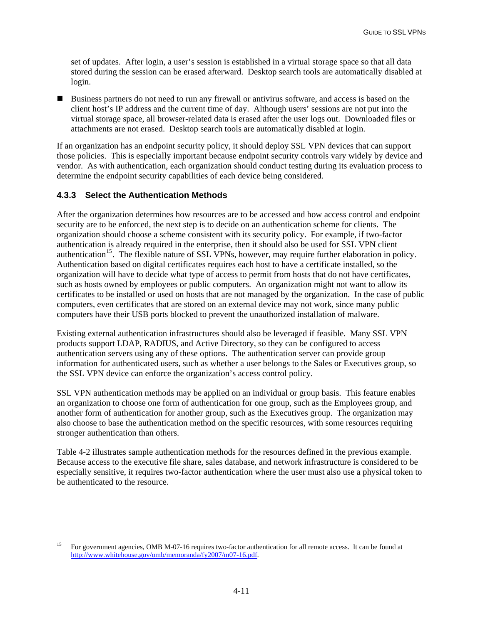set of updates. After login, a user's session is established in a virtual storage space so that all data stored during the session can be erased afterward. Desktop search tools are automatically disabled at login.

Business partners do not need to run any firewall or antivirus software, and access is based on the client host's IP address and the current time of day. Although users' sessions are not put into the virtual storage space, all browser-related data is erased after the user logs out. Downloaded files or attachments are not erased. Desktop search tools are automatically disabled at login.

If an organization has an endpoint security policy, it should deploy SSL VPN devices that can support those policies. This is especially important because endpoint security controls vary widely by device and vendor. As with authentication, each organization should conduct testing during its evaluation process to determine the endpoint security capabilities of each device being considered.

### **4.3.3 Select the Authentication Methods**

After the organization determines how resources are to be accessed and how access control and endpoint security are to be enforced, the next step is to decide on an authentication scheme for clients. The organization should choose a scheme consistent with its security policy. For example, if two-factor authentication is already required in the enterprise, then it should also be used for SSL VPN client authentication<sup>[15](#page-42-0)</sup>. The flexible nature of SSL VPNs, however, may require further elaboration in policy. Authentication based on digital certificates requires each host to have a certificate installed, so the organization will have to decide what type of access to permit from hosts that do not have certificates, such as hosts owned by employees or public computers. An organization might not want to allow its certificates to be installed or used on hosts that are not managed by the organization. In the case of public computers, even certificates that are stored on an external device may not work, since many public computers have their USB ports blocked to prevent the unauthorized installation of malware.

Existing external authentication infrastructures should also be leveraged if feasible. Many SSL VPN products support LDAP, RADIUS, and Active Directory, so they can be configured to access authentication servers using any of these options. The authentication server can provide group information for authenticated users, such as whether a user belongs to the Sales or Executives group, so the SSL VPN device can enforce the organization's access control policy.

SSL VPN authentication methods may be applied on an individual or group basis. This feature enables an organization to choose one form of authentication for one group, such as the Employees group, and another form of authentication for another group, such as the Executives group. The organization may also choose to base the authentication method on the specific resources, with some resources requiring stronger authentication than others.

Table 4-2 illustrates sample authentication methods for the resources defined in the previous example. Because access to the executive file share, sales database, and network infrastructure is considered to be especially sensitive, it requires two-factor authentication where the user must also use a physical token to be authenticated to the resource.

<span id="page-42-0"></span><sup>15</sup> 15 For government agencies, OMB M-07-16 requires two-factor authentication for all remote access. It can be found at <http://www.whitehouse.gov/omb/memoranda/fy2007/m07-16.pdf>.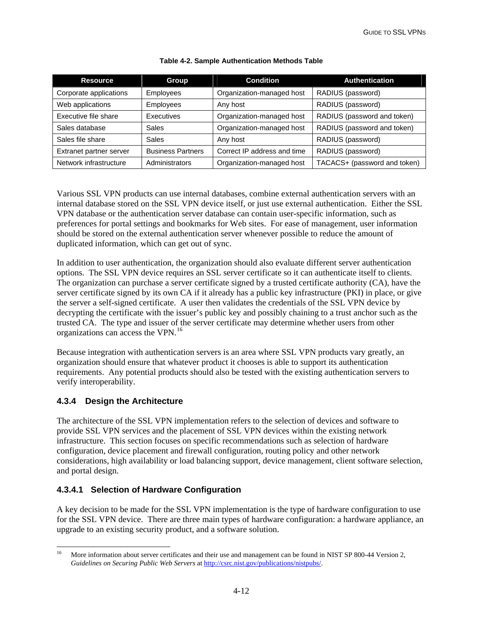| <b>Resource</b>         | <b>Group</b>             | <b>Condition</b>            | <b>Authentication</b>        |
|-------------------------|--------------------------|-----------------------------|------------------------------|
| Corporate applications  | <b>Employees</b>         | Organization-managed host   | RADIUS (password)            |
| Web applications        | <b>Employees</b>         | Any host                    | RADIUS (password)            |
| Executive file share    | Executives               | Organization-managed host   | RADIUS (password and token)  |
| Sales database          | <b>Sales</b>             | Organization-managed host   | RADIUS (password and token)  |
| Sales file share        | <b>Sales</b>             | Any host                    | RADIUS (password)            |
| Extranet partner server | <b>Business Partners</b> | Correct IP address and time | RADIUS (password)            |
| Network infrastructure  | Administrators           | Organization-managed host   | TACACS+ (password and token) |

#### **Table 4-2. Sample Authentication Methods Table**

Various SSL VPN products can use internal databases, combine external authentication servers with an internal database stored on the SSL VPN device itself, or just use external authentication. Either the SSL VPN database or the authentication server database can contain user-specific information, such as preferences for portal settings and bookmarks for Web sites. For ease of management, user information should be stored on the external authentication server whenever possible to reduce the amount of duplicated information, which can get out of sync.

In addition to user authentication, the organization should also evaluate different server authentication options. The SSL VPN device requires an SSL server certificate so it can authenticate itself to clients. The organization can purchase a server certificate signed by a trusted certificate authority (CA), have the server certificate signed by its own CA if it already has a public key infrastructure (PKI) in place, or give the server a self-signed certificate. A user then validates the credentials of the SSL VPN device by decrypting the certificate with the issuer's public key and possibly chaining to a trust anchor such as the trusted CA. The type and issuer of the server certificate may determine whether users from other organizations can access the VPN.[16](#page-43-0)

Because integration with authentication servers is an area where SSL VPN products vary greatly, an organization should ensure that whatever product it chooses is able to support its authentication requirements. Any potential products should also be tested with the existing authentication servers to verify interoperability.

# **4.3.4 Design the Architecture**

The architecture of the SSL VPN implementation refers to the selection of devices and software to provide SSL VPN services and the placement of SSL VPN devices within the existing network infrastructure. This section focuses on specific recommendations such as selection of hardware configuration, device placement and firewall configuration, routing policy and other network considerations, high availability or load balancing support, device management, client software selection, and portal design.

# **4.3.4.1 Selection of Hardware Configuration**

A key decision to be made for the SSL VPN implementation is the type of hardware configuration to use for the SSL VPN device. There are three main types of hardware configuration: a hardware appliance, an upgrade to an existing security product, and a software solution.

<span id="page-43-0"></span><sup>16</sup> 16 More information about server certificates and their use and management can be found in NIST SP 800-44 Version 2, *Guidelines on Securing Public Web Servers* at <http://csrc.nist.gov/publications/nistpubs/>.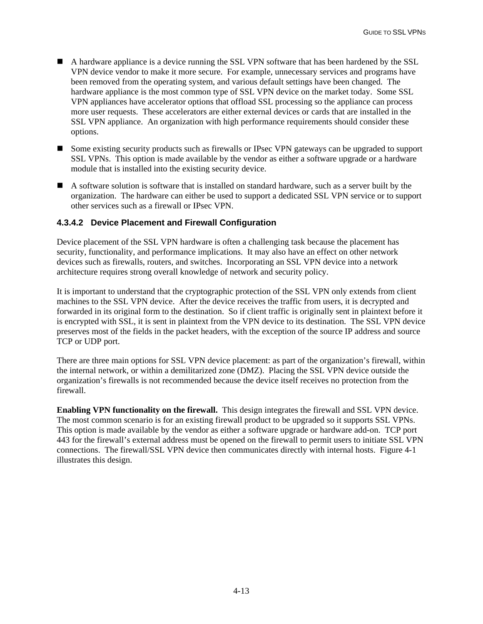- A hardware appliance is a device running the SSL VPN software that has been hardened by the SSL VPN device vendor to make it more secure. For example, unnecessary services and programs have been removed from the operating system, and various default settings have been changed. The hardware appliance is the most common type of SSL VPN device on the market today. Some SSL VPN appliances have accelerator options that offload SSL processing so the appliance can process more user requests. These accelerators are either external devices or cards that are installed in the SSL VPN appliance. An organization with high performance requirements should consider these options.
- Some existing security products such as firewalls or IPsec VPN gateways can be upgraded to support SSL VPNs. This option is made available by the vendor as either a software upgrade or a hardware module that is installed into the existing security device.
- A software solution is software that is installed on standard hardware, such as a server built by the organization. The hardware can either be used to support a dedicated SSL VPN service or to support other services such as a firewall or IPsec VPN.

## **4.3.4.2 Device Placement and Firewall Configuration**

Device placement of the SSL VPN hardware is often a challenging task because the placement has security, functionality, and performance implications. It may also have an effect on other network devices such as firewalls, routers, and switches. Incorporating an SSL VPN device into a network architecture requires strong overall knowledge of network and security policy.

It is important to understand that the cryptographic protection of the SSL VPN only extends from client machines to the SSL VPN device. After the device receives the traffic from users, it is decrypted and forwarded in its original form to the destination. So if client traffic is originally sent in plaintext before it is encrypted with SSL, it is sent in plaintext from the VPN device to its destination. The SSL VPN device preserves most of the fields in the packet headers, with the exception of the source IP address and source TCP or UDP port.

There are three main options for SSL VPN device placement: as part of the organization's firewall, within the internal network, or within a demilitarized zone (DMZ). Placing the SSL VPN device outside the organization's firewalls is not recommended because the device itself receives no protection from the firewall.

**Enabling VPN functionality on the firewall.** This design integrates the firewall and SSL VPN device. The most common scenario is for an existing firewall product to be upgraded so it supports SSL VPNs. This option is made available by the vendor as either a software upgrade or hardware add-on. TCP port 443 for the firewall's external address must be opened on the firewall to permit users to initiate SSL VPN connections. The firewall/SSL VPN device then communicates directly with internal hosts. Figure 4-1 illustrates this design.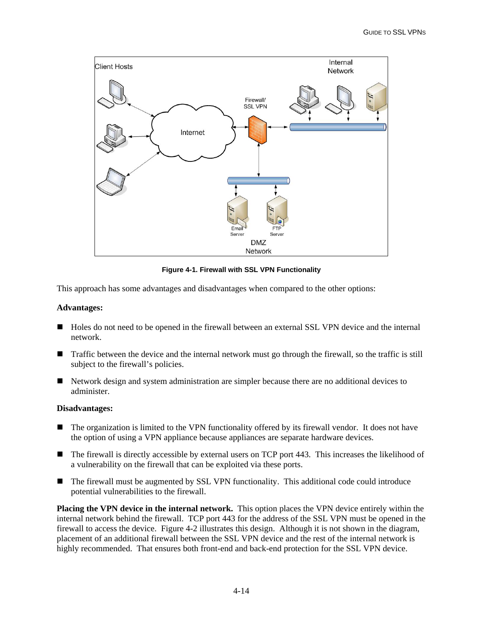

**Figure 4-1. Firewall with SSL VPN Functionality**

This approach has some advantages and disadvantages when compared to the other options:

#### **Advantages:**

- Holes do not need to be opened in the firewall between an external SSL VPN device and the internal network.
- **Traffic between the device and the internal network must go through the firewall, so the traffic is still** subject to the firewall's policies.
- Network design and system administration are simpler because there are no additional devices to administer.

#### **Disadvantages:**

- The organization is limited to the VPN functionality offered by its firewall vendor. It does not have the option of using a VPN appliance because appliances are separate hardware devices.
- The firewall is directly accessible by external users on TCP port 443. This increases the likelihood of a vulnerability on the firewall that can be exploited via these ports.
- The firewall must be augmented by SSL VPN functionality. This additional code could introduce potential vulnerabilities to the firewall.

**Placing the VPN device in the internal network.** This option places the VPN device entirely within the internal network behind the firewall. TCP port 443 for the address of the SSL VPN must be opened in the firewall to access the device. Figure 4-2 illustrates this design. Although it is not shown in the diagram, placement of an additional firewall between the SSL VPN device and the rest of the internal network is highly recommended. That ensures both front-end and back-end protection for the SSL VPN device.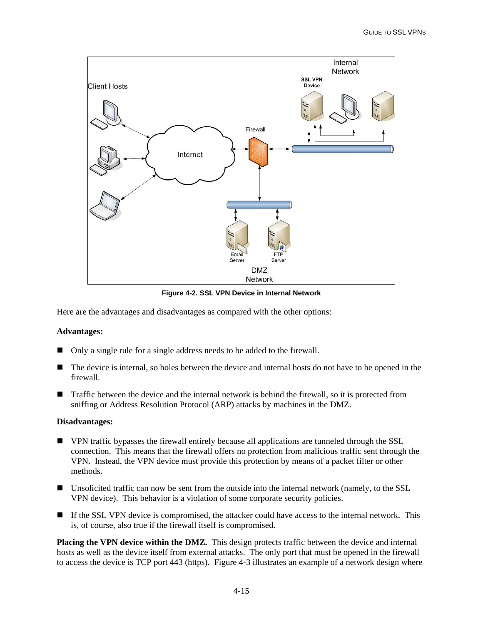

**Figure 4-2. SSL VPN Device in Internal Network** 

Here are the advantages and disadvantages as compared with the other options:

### **Advantages:**

- Only a single rule for a single address needs to be added to the firewall.
- The device is internal, so holes between the device and internal hosts do not have to be opened in the firewall.
- **Traffic between the device and the internal network is behind the firewall, so it is protected from** sniffing or Address Resolution Protocol (ARP) attacks by machines in the DMZ.

#### **Disadvantages:**

- VPN traffic bypasses the firewall entirely because all applications are tunneled through the SSL connection. This means that the firewall offers no protection from malicious traffic sent through the VPN. Instead, the VPN device must provide this protection by means of a packet filter or other methods.
- Unsolicited traffic can now be sent from the outside into the internal network (namely, to the SSL VPN device). This behavior is a violation of some corporate security policies.
- If the SSL VPN device is compromised, the attacker could have access to the internal network. This is, of course, also true if the firewall itself is compromised.

**Placing the VPN device within the DMZ.** This design protects traffic between the device and internal hosts as well as the device itself from external attacks. The only port that must be opened in the firewall to access the device is TCP port 443 (https). Figure 4-3 illustrates an example of a network design where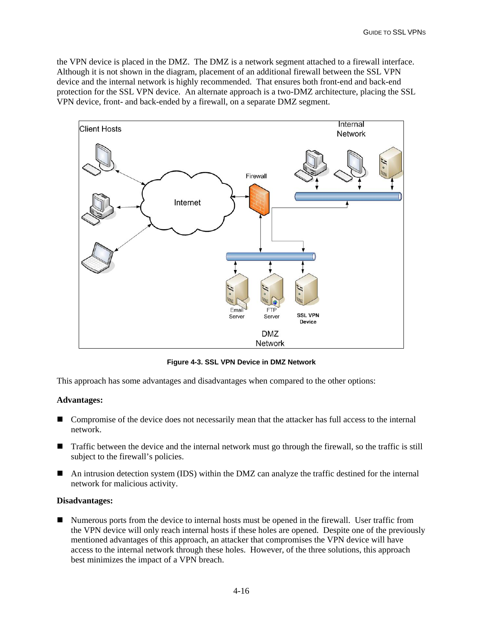the VPN device is placed in the DMZ. The DMZ is a network segment attached to a firewall interface. Although it is not shown in the diagram, placement of an additional firewall between the SSL VPN device and the internal network is highly recommended. That ensures both front-end and back-end protection for the SSL VPN device. An alternate approach is a two-DMZ architecture, placing the SSL VPN device, front- and back-ended by a firewall, on a separate DMZ segment.



**Figure 4-3. SSL VPN Device in DMZ Network** 

This approach has some advantages and disadvantages when compared to the other options:

### **Advantages:**

- $\blacksquare$  Compromise of the device does not necessarily mean that the attacker has full access to the internal network.
- **Traffic between the device and the internal network must go through the firewall, so the traffic is still** subject to the firewall's policies.
- An intrusion detection system (IDS) within the DMZ can analyze the traffic destined for the internal network for malicious activity.

#### **Disadvantages:**

 Numerous ports from the device to internal hosts must be opened in the firewall. User traffic from the VPN device will only reach internal hosts if these holes are opened. Despite one of the previously mentioned advantages of this approach, an attacker that compromises the VPN device will have access to the internal network through these holes. However, of the three solutions, this approach best minimizes the impact of a VPN breach.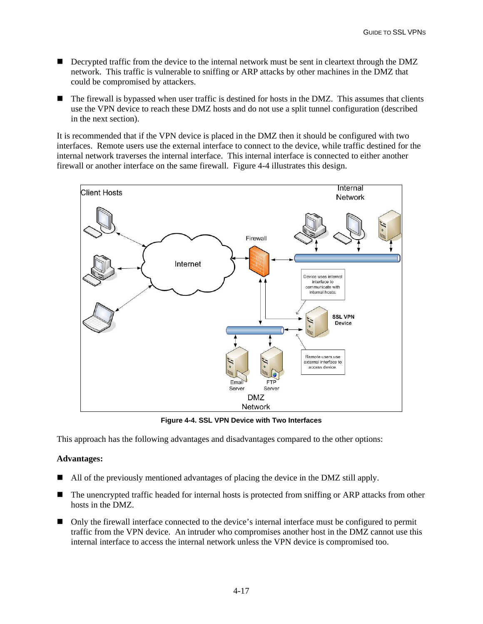- Decrypted traffic from the device to the internal network must be sent in cleartext through the DMZ network. This traffic is vulnerable to sniffing or ARP attacks by other machines in the DMZ that could be compromised by attackers.
- The firewall is bypassed when user traffic is destined for hosts in the DMZ. This assumes that clients use the VPN device to reach these DMZ hosts and do not use a split tunnel configuration (described in the next section).

It is recommended that if the VPN device is placed in the DMZ then it should be configured with two interfaces. Remote users use the external interface to connect to the device, while traffic destined for the internal network traverses the internal interface. This internal interface is connected to either another firewall or another interface on the same firewall. Figure 4-4 illustrates this design.



**Figure 4-4. SSL VPN Device with Two Interfaces** 

This approach has the following advantages and disadvantages compared to the other options:

### **Advantages:**

- All of the previously mentioned advantages of placing the device in the DMZ still apply.
- The unencrypted traffic headed for internal hosts is protected from sniffing or ARP attacks from other hosts in the DMZ.
- Only the firewall interface connected to the device's internal interface must be configured to permit traffic from the VPN device. An intruder who compromises another host in the DMZ cannot use this internal interface to access the internal network unless the VPN device is compromised too.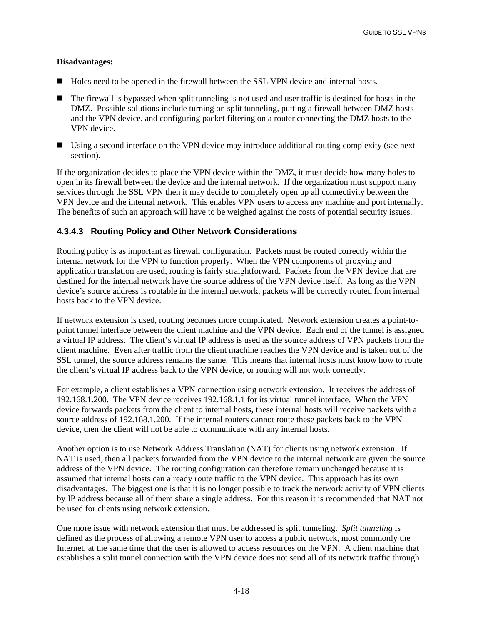### **Disadvantages:**

- Holes need to be opened in the firewall between the SSL VPN device and internal hosts.
- The firewall is bypassed when split tunneling is not used and user traffic is destined for hosts in the DMZ. Possible solutions include turning on split tunneling, putting a firewall between DMZ hosts and the VPN device, and configuring packet filtering on a router connecting the DMZ hosts to the VPN device.
- Using a second interface on the VPN device may introduce additional routing complexity (see next section).

If the organization decides to place the VPN device within the DMZ, it must decide how many holes to open in its firewall between the device and the internal network. If the organization must support many services through the SSL VPN then it may decide to completely open up all connectivity between the VPN device and the internal network. This enables VPN users to access any machine and port internally. The benefits of such an approach will have to be weighed against the costs of potential security issues.

## **4.3.4.3 Routing Policy and Other Network Considerations**

Routing policy is as important as firewall configuration. Packets must be routed correctly within the internal network for the VPN to function properly. When the VPN components of proxying and application translation are used, routing is fairly straightforward. Packets from the VPN device that are destined for the internal network have the source address of the VPN device itself. As long as the VPN device's source address is routable in the internal network, packets will be correctly routed from internal hosts back to the VPN device.

If network extension is used, routing becomes more complicated. Network extension creates a point-topoint tunnel interface between the client machine and the VPN device. Each end of the tunnel is assigned a virtual IP address. The client's virtual IP address is used as the source address of VPN packets from the client machine. Even after traffic from the client machine reaches the VPN device and is taken out of the SSL tunnel, the source address remains the same. This means that internal hosts must know how to route the client's virtual IP address back to the VPN device, or routing will not work correctly.

For example, a client establishes a VPN connection using network extension. It receives the address of 192.168.1.200. The VPN device receives 192.168.1.1 for its virtual tunnel interface. When the VPN device forwards packets from the client to internal hosts, these internal hosts will receive packets with a source address of 192.168.1.200. If the internal routers cannot route these packets back to the VPN device, then the client will not be able to communicate with any internal hosts.

Another option is to use Network Address Translation (NAT) for clients using network extension. If NAT is used, then all packets forwarded from the VPN device to the internal network are given the source address of the VPN device. The routing configuration can therefore remain unchanged because it is assumed that internal hosts can already route traffic to the VPN device. This approach has its own disadvantages. The biggest one is that it is no longer possible to track the network activity of VPN clients by IP address because all of them share a single address. For this reason it is recommended that NAT not be used for clients using network extension.

One more issue with network extension that must be addressed is split tunneling. *Split tunneling* is defined as the process of allowing a remote VPN user to access a public network, most commonly the Internet, at the same time that the user is allowed to access resources on the VPN. A client machine that establishes a split tunnel connection with the VPN device does not send all of its network traffic through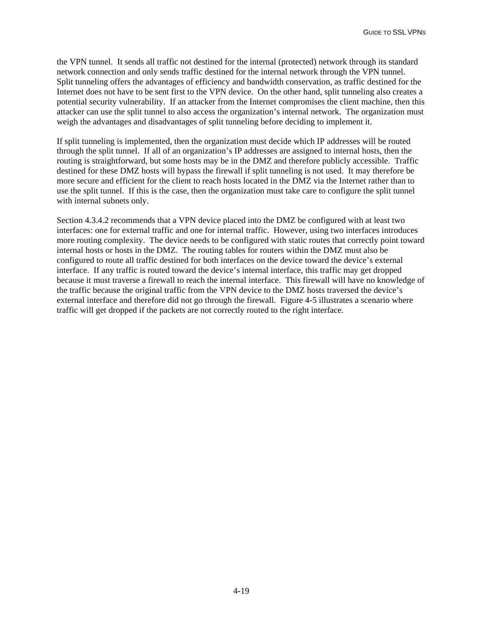the VPN tunnel. It sends all traffic not destined for the internal (protected) network through its standard network connection and only sends traffic destined for the internal network through the VPN tunnel. Split tunneling offers the advantages of efficiency and bandwidth conservation, as traffic destined for the Internet does not have to be sent first to the VPN device. On the other hand, split tunneling also creates a potential security vulnerability. If an attacker from the Internet compromises the client machine, then this attacker can use the split tunnel to also access the organization's internal network. The organization must weigh the advantages and disadvantages of split tunneling before deciding to implement it.

If split tunneling is implemented, then the organization must decide which IP addresses will be routed through the split tunnel. If all of an organization's IP addresses are assigned to internal hosts, then the routing is straightforward, but some hosts may be in the DMZ and therefore publicly accessible. Traffic destined for these DMZ hosts will bypass the firewall if split tunneling is not used. It may therefore be more secure and efficient for the client to reach hosts located in the DMZ via the Internet rather than to use the split tunnel. If this is the case, then the organization must take care to configure the split tunnel with internal subnets only.

Section 4.3.4.2 recommends that a VPN device placed into the DMZ be configured with at least two interfaces: one for external traffic and one for internal traffic. However, using two interfaces introduces more routing complexity. The device needs to be configured with static routes that correctly point toward internal hosts or hosts in the DMZ. The routing tables for routers within the DMZ must also be configured to route all traffic destined for both interfaces on the device toward the device's external interface. If any traffic is routed toward the device's internal interface, this traffic may get dropped because it must traverse a firewall to reach the internal interface. This firewall will have no knowledge of the traffic because the original traffic from the VPN device to the DMZ hosts traversed the device's external interface and therefore did not go through the firewall. Figure 4-5 illustrates a scenario where traffic will get dropped if the packets are not correctly routed to the right interface.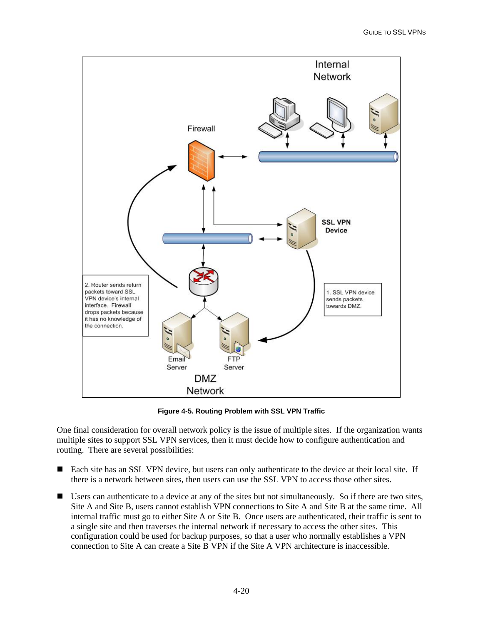

**Figure 4-5. Routing Problem with SSL VPN Traffic** 

One final consideration for overall network policy is the issue of multiple sites. If the organization wants multiple sites to support SSL VPN services, then it must decide how to configure authentication and routing. There are several possibilities:

- Each site has an SSL VPN device, but users can only authenticate to the device at their local site. If there is a network between sites, then users can use the SSL VPN to access those other sites.
- Users can authenticate to a device at any of the sites but not simultaneously. So if there are two sites, Site A and Site B, users cannot establish VPN connections to Site A and Site B at the same time. All internal traffic must go to either Site A or Site B. Once users are authenticated, their traffic is sent to a single site and then traverses the internal network if necessary to access the other sites. This configuration could be used for backup purposes, so that a user who normally establishes a VPN connection to Site A can create a Site B VPN if the Site A VPN architecture is inaccessible.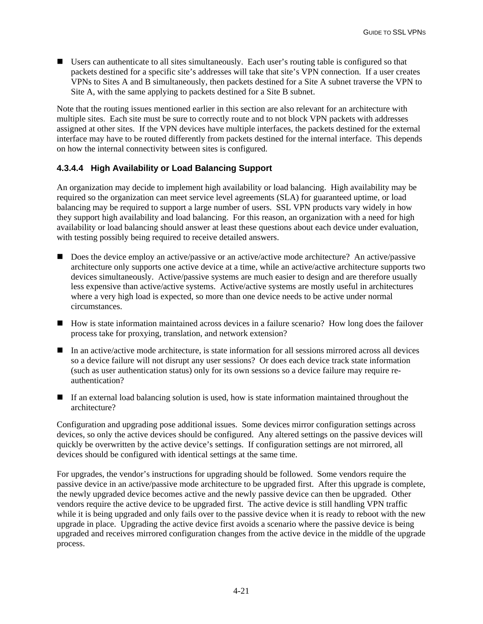■ Users can authenticate to all sites simultaneously. Each user's routing table is configured so that packets destined for a specific site's addresses will take that site's VPN connection. If a user creates VPNs to Sites A and B simultaneously, then packets destined for a Site A subnet traverse the VPN to Site A, with the same applying to packets destined for a Site B subnet.

Note that the routing issues mentioned earlier in this section are also relevant for an architecture with multiple sites. Each site must be sure to correctly route and to not block VPN packets with addresses assigned at other sites. If the VPN devices have multiple interfaces, the packets destined for the external interface may have to be routed differently from packets destined for the internal interface. This depends on how the internal connectivity between sites is configured.

## **4.3.4.4 High Availability or Load Balancing Support**

An organization may decide to implement high availability or load balancing. High availability may be required so the organization can meet service level agreements (SLA) for guaranteed uptime, or load balancing may be required to support a large number of users. SSL VPN products vary widely in how they support high availability and load balancing. For this reason, an organization with a need for high availability or load balancing should answer at least these questions about each device under evaluation, with testing possibly being required to receive detailed answers.

- Does the device employ an active/passive or an active/active mode architecture? An active/passive architecture only supports one active device at a time, while an active/active architecture supports two devices simultaneously. Active/passive systems are much easier to design and are therefore usually less expensive than active/active systems. Active/active systems are mostly useful in architectures where a very high load is expected, so more than one device needs to be active under normal circumstances.
- How is state information maintained across devices in a failure scenario? How long does the failover process take for proxying, translation, and network extension?
- In an active/active mode architecture, is state information for all sessions mirrored across all devices so a device failure will not disrupt any user sessions? Or does each device track state information (such as user authentication status) only for its own sessions so a device failure may require reauthentication?
- If an external load balancing solution is used, how is state information maintained throughout the architecture?

Configuration and upgrading pose additional issues. Some devices mirror configuration settings across devices, so only the active devices should be configured. Any altered settings on the passive devices will quickly be overwritten by the active device's settings. If configuration settings are not mirrored, all devices should be configured with identical settings at the same time.

For upgrades, the vendor's instructions for upgrading should be followed. Some vendors require the passive device in an active/passive mode architecture to be upgraded first. After this upgrade is complete, the newly upgraded device becomes active and the newly passive device can then be upgraded. Other vendors require the active device to be upgraded first. The active device is still handling VPN traffic while it is being upgraded and only fails over to the passive device when it is ready to reboot with the new upgrade in place. Upgrading the active device first avoids a scenario where the passive device is being upgraded and receives mirrored configuration changes from the active device in the middle of the upgrade process.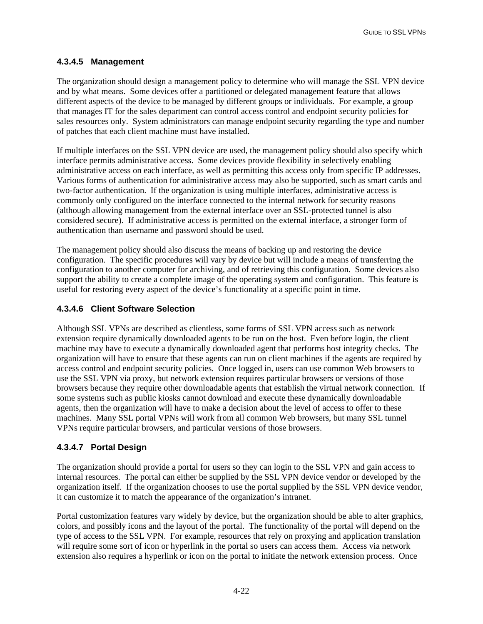## **4.3.4.5 Management**

The organization should design a management policy to determine who will manage the SSL VPN device and by what means. Some devices offer a partitioned or delegated management feature that allows different aspects of the device to be managed by different groups or individuals. For example, a group that manages IT for the sales department can control access control and endpoint security policies for sales resources only. System administrators can manage endpoint security regarding the type and number of patches that each client machine must have installed.

If multiple interfaces on the SSL VPN device are used, the management policy should also specify which interface permits administrative access. Some devices provide flexibility in selectively enabling administrative access on each interface, as well as permitting this access only from specific IP addresses. Various forms of authentication for administrative access may also be supported, such as smart cards and two-factor authentication. If the organization is using multiple interfaces, administrative access is commonly only configured on the interface connected to the internal network for security reasons (although allowing management from the external interface over an SSL-protected tunnel is also considered secure). If administrative access is permitted on the external interface, a stronger form of authentication than username and password should be used.

The management policy should also discuss the means of backing up and restoring the device configuration. The specific procedures will vary by device but will include a means of transferring the configuration to another computer for archiving, and of retrieving this configuration. Some devices also support the ability to create a complete image of the operating system and configuration. This feature is useful for restoring every aspect of the device's functionality at a specific point in time.

## **4.3.4.6 Client Software Selection**

Although SSL VPNs are described as clientless, some forms of SSL VPN access such as network extension require dynamically downloaded agents to be run on the host. Even before login, the client machine may have to execute a dynamically downloaded agent that performs host integrity checks. The organization will have to ensure that these agents can run on client machines if the agents are required by access control and endpoint security policies. Once logged in, users can use common Web browsers to use the SSL VPN via proxy, but network extension requires particular browsers or versions of those browsers because they require other downloadable agents that establish the virtual network connection. If some systems such as public kiosks cannot download and execute these dynamically downloadable agents, then the organization will have to make a decision about the level of access to offer to these machines. Many SSL portal VPNs will work from all common Web browsers, but many SSL tunnel VPNs require particular browsers, and particular versions of those browsers.

# **4.3.4.7 Portal Design**

The organization should provide a portal for users so they can login to the SSL VPN and gain access to internal resources. The portal can either be supplied by the SSL VPN device vendor or developed by the organization itself. If the organization chooses to use the portal supplied by the SSL VPN device vendor, it can customize it to match the appearance of the organization's intranet.

Portal customization features vary widely by device, but the organization should be able to alter graphics, colors, and possibly icons and the layout of the portal. The functionality of the portal will depend on the type of access to the SSL VPN. For example, resources that rely on proxying and application translation will require some sort of icon or hyperlink in the portal so users can access them. Access via network extension also requires a hyperlink or icon on the portal to initiate the network extension process. Once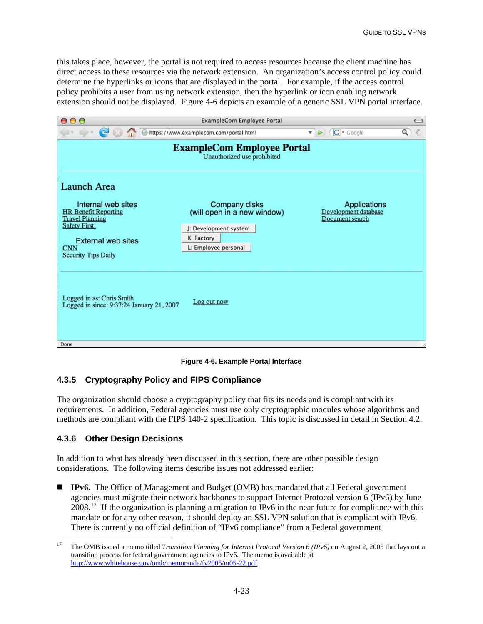this takes place, however, the portal is not required to access resources because the client machine has direct access to these resources via the network extension. An organization's access control policy could determine the hyperlinks or icons that are displayed in the portal. For example, if the access control policy prohibits a user from using network extension, then the hyperlink or icon enabling network extension should not be displayed. Figure 4-6 depicts an example of a generic SSL VPN portal interface.

| 000                                                                                                                                                                                       | <b>ExampleCom Employee Portal</b>                                                                           |                                                                |   |
|-------------------------------------------------------------------------------------------------------------------------------------------------------------------------------------------|-------------------------------------------------------------------------------------------------------------|----------------------------------------------------------------|---|
| https://www.examplecom.com/portal.html                                                                                                                                                    |                                                                                                             | G · Google<br>$\triangleright$<br>$\boldsymbol{\mathrm{v}}$    | Q |
|                                                                                                                                                                                           | <b>ExampleCom Employee Portal</b><br>Unauthorized use prohibited                                            |                                                                |   |
| <b>Launch Area</b>                                                                                                                                                                        |                                                                                                             |                                                                |   |
| Internal web sites<br><b>HR Benefit Reporting</b><br><b>Travel Planning</b><br><b>Safety First!</b><br><b>External web sites</b><br>$\overline{\text{CNN}}$<br><b>Security Tips Daily</b> | Company disks<br>(will open in a new window)<br>J: Development system<br>K: Factory<br>L: Employee personal | <b>Applications</b><br>Development database<br>Document search |   |
| Logged in as: Chris Smith<br>Logged in since: 9:37:24 January 21, 2007                                                                                                                    | Log out now                                                                                                 |                                                                |   |
| Done                                                                                                                                                                                      |                                                                                                             |                                                                |   |

**Figure 4-6. Example Portal Interface** 

## **4.3.5 Cryptography Policy and FIPS Compliance**

The organization should choose a cryptography policy that fits its needs and is compliant with its requirements. In addition, Federal agencies must use only cryptographic modules whose algorithms and methods are compliant with the FIPS 140-2 specification. This topic is discussed in detail in Section 4.2.

## **4.3.6 Other Design Decisions**

In addition to what has already been discussed in this section, there are other possible design considerations. The following items describe issues not addressed earlier:

 **IPv6.** The Office of Management and Budget (OMB) has mandated that all Federal government agencies must migrate their network backbones to support Internet Protocol version 6 (IPv6) by June 2008.[17](#page-54-0) If the organization is planning a migration to IPv6 in the near future for compliance with this mandate or for any other reason, it should deploy an SSL VPN solution that is compliant with IPv6. There is currently no official definition of "IPv6 compliance" from a Federal government

<span id="page-54-0"></span><sup>17</sup> 17 The OMB issued a memo titled *Transition Planning for Internet Protocol Version 6 (IPv6)* on August 2, 2005 that lays out a transition process for federal government agencies to IPv6. The memo is available at <http://www.whitehouse.gov/omb/memoranda/fy2005/m05-22.pdf>.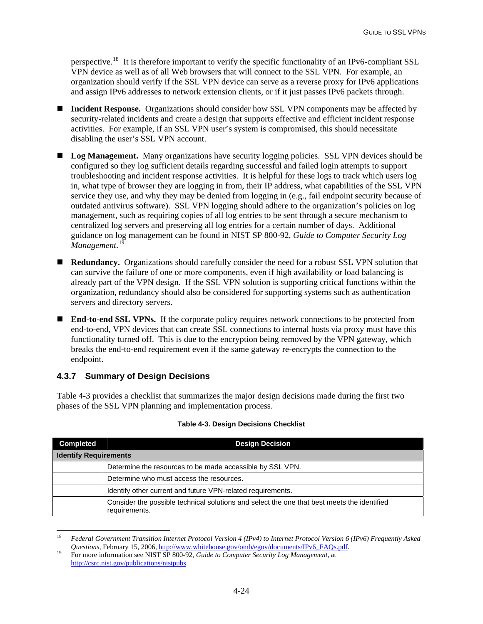perspective.[18](#page-55-0) It is therefore important to verify the specific functionality of an IPv6-compliant SSL VPN device as well as of all Web browsers that will connect to the SSL VPN. For example, an organization should verify if the SSL VPN device can serve as a reverse proxy for IPv6 applications and assign IPv6 addresses to network extension clients, or if it just passes IPv6 packets through.

- **Incident Response.** Organizations should consider how SSL VPN components may be affected by security-related incidents and create a design that supports effective and efficient incident response activities. For example, if an SSL VPN user's system is compromised, this should necessitate disabling the user's SSL VPN account.
- **Log Management.** Many organizations have security logging policies. SSL VPN devices should be configured so they log sufficient details regarding successful and failed login attempts to support troubleshooting and incident response activities. It is helpful for these logs to track which users log in, what type of browser they are logging in from, their IP address, what capabilities of the SSL VPN service they use, and why they may be denied from logging in (e.g., fail endpoint security because of outdated antivirus software). SSL VPN logging should adhere to the organization's policies on log management, such as requiring copies of all log entries to be sent through a secure mechanism to centralized log servers and preserving all log entries for a certain number of days. Additional guidance on log management can be found in NIST SP 800-92, *Guide to Computer Security Log Management*. [19](#page-55-1)
- **Redundancy.** Organizations should carefully consider the need for a robust SSL VPN solution that can survive the failure of one or more components, even if high availability or load balancing is already part of the VPN design. If the SSL VPN solution is supporting critical functions within the organization, redundancy should also be considered for supporting systems such as authentication servers and directory servers.
- End-to-end SSL VPNs. If the corporate policy requires network connections to be protected from end-to-end, VPN devices that can create SSL connections to internal hosts via proxy must have this functionality turned off. This is due to the encryption being removed by the VPN gateway, which breaks the end-to-end requirement even if the same gateway re-encrypts the connection to the endpoint.

## **4.3.7 Summary of Design Decisions**

Table 4-3 provides a checklist that summarizes the major design decisions made during the first two phases of the SSL VPN planning and implementation process.

| <b>Completed</b>             | <b>Design Decision</b>                                                                                       |  |  |  |
|------------------------------|--------------------------------------------------------------------------------------------------------------|--|--|--|
| <b>Identify Requirements</b> |                                                                                                              |  |  |  |
|                              | Determine the resources to be made accessible by SSL VPN.                                                    |  |  |  |
|                              | Determine who must access the resources.                                                                     |  |  |  |
|                              | Identify other current and future VPN-related requirements.                                                  |  |  |  |
|                              | Consider the possible technical solutions and select the one that best meets the identified<br>requirements. |  |  |  |

#### **Table 4-3. Design Decisions Checklist**

<span id="page-55-0"></span>l 18 *Federal Government Transition Internet Protocol Version 4 (IPv4) to Internet Protocol Version 6 (IPv6) Frequently Asked* 

<span id="page-55-1"></span><sup>&</sup>lt;sup>19</sup> For more information see NIST SP 800-92, *Guide to Computer Security Log Management*, at <http://csrc.nist.gov/publications/nistpubs>.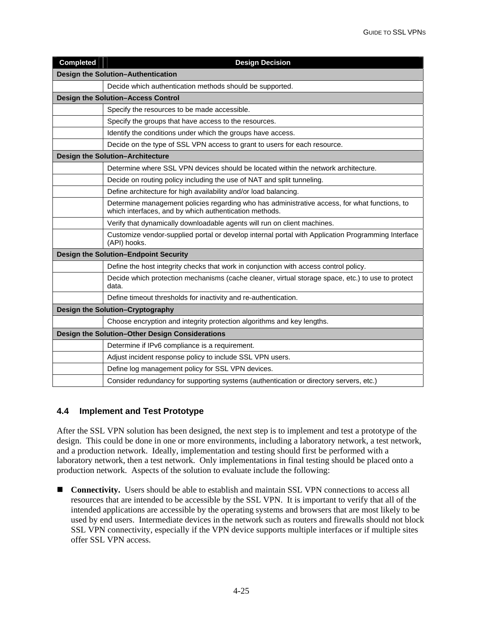| <b>Completed</b> | <b>Design Decision</b>                                                                                                                                  |  |  |  |
|------------------|---------------------------------------------------------------------------------------------------------------------------------------------------------|--|--|--|
|                  | Design the Solution-Authentication                                                                                                                      |  |  |  |
|                  | Decide which authentication methods should be supported.                                                                                                |  |  |  |
|                  | <b>Design the Solution-Access Control</b>                                                                                                               |  |  |  |
|                  | Specify the resources to be made accessible.                                                                                                            |  |  |  |
|                  | Specify the groups that have access to the resources.                                                                                                   |  |  |  |
|                  | Identify the conditions under which the groups have access.                                                                                             |  |  |  |
|                  | Decide on the type of SSL VPN access to grant to users for each resource.                                                                               |  |  |  |
|                  | <b>Design the Solution-Architecture</b>                                                                                                                 |  |  |  |
|                  | Determine where SSL VPN devices should be located within the network architecture.                                                                      |  |  |  |
|                  | Decide on routing policy including the use of NAT and split tunneling.                                                                                  |  |  |  |
|                  | Define architecture for high availability and/or load balancing.                                                                                        |  |  |  |
|                  | Determine management policies regarding who has administrative access, for what functions, to<br>which interfaces, and by which authentication methods. |  |  |  |
|                  | Verify that dynamically downloadable agents will run on client machines.                                                                                |  |  |  |
|                  | Customize vendor-supplied portal or develop internal portal with Application Programming Interface<br>(API) hooks.                                      |  |  |  |
|                  | <b>Design the Solution-Endpoint Security</b>                                                                                                            |  |  |  |
|                  | Define the host integrity checks that work in conjunction with access control policy.                                                                   |  |  |  |
|                  | Decide which protection mechanisms (cache cleaner, virtual storage space, etc.) to use to protect<br>data.                                              |  |  |  |
|                  | Define timeout thresholds for inactivity and re-authentication.                                                                                         |  |  |  |
|                  | <b>Design the Solution-Cryptography</b>                                                                                                                 |  |  |  |
|                  | Choose encryption and integrity protection algorithms and key lengths.                                                                                  |  |  |  |
|                  | Design the Solution-Other Design Considerations                                                                                                         |  |  |  |
|                  | Determine if IPv6 compliance is a requirement.                                                                                                          |  |  |  |
|                  | Adjust incident response policy to include SSL VPN users.                                                                                               |  |  |  |
|                  | Define log management policy for SSL VPN devices.                                                                                                       |  |  |  |
|                  | Consider redundancy for supporting systems (authentication or directory servers, etc.)                                                                  |  |  |  |

## **4.4 Implement and Test Prototype**

After the SSL VPN solution has been designed, the next step is to implement and test a prototype of the design. This could be done in one or more environments, including a laboratory network, a test network, and a production network. Ideally, implementation and testing should first be performed with a laboratory network, then a test network. Only implementations in final testing should be placed onto a production network. Aspects of the solution to evaluate include the following:

■ Connectivity. Users should be able to establish and maintain SSL VPN connections to access all resources that are intended to be accessible by the SSL VPN. It is important to verify that all of the intended applications are accessible by the operating systems and browsers that are most likely to be used by end users. Intermediate devices in the network such as routers and firewalls should not block SSL VPN connectivity, especially if the VPN device supports multiple interfaces or if multiple sites offer SSL VPN access.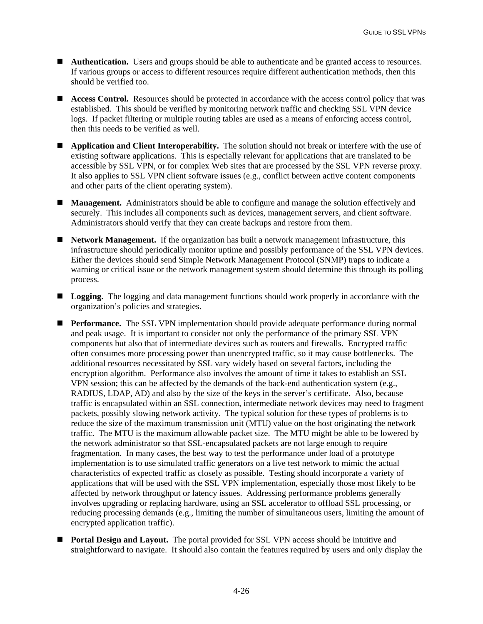- **Authentication.** Users and groups should be able to authenticate and be granted access to resources. If various groups or access to different resources require different authentication methods, then this should be verified too.
- **Access Control.** Resources should be protected in accordance with the access control policy that was established. This should be verified by monitoring network traffic and checking SSL VPN device logs. If packet filtering or multiple routing tables are used as a means of enforcing access control, then this needs to be verified as well.
- **Application and Client Interoperability.** The solution should not break or interfere with the use of existing software applications. This is especially relevant for applications that are translated to be accessible by SSL VPN, or for complex Web sites that are processed by the SSL VPN reverse proxy. It also applies to SSL VPN client software issues (e.g., conflict between active content components and other parts of the client operating system).
- **Management.** Administrators should be able to configure and manage the solution effectively and securely. This includes all components such as devices, management servers, and client software. Administrators should verify that they can create backups and restore from them.
- **Network Management.** If the organization has built a network management infrastructure, this infrastructure should periodically monitor uptime and possibly performance of the SSL VPN devices. Either the devices should send Simple Network Management Protocol (SNMP) traps to indicate a warning or critical issue or the network management system should determine this through its polling process.
- **Logging.** The logging and data management functions should work properly in accordance with the organization's policies and strategies.
- **Performance.** The SSL VPN implementation should provide adequate performance during normal and peak usage. It is important to consider not only the performance of the primary SSL VPN components but also that of intermediate devices such as routers and firewalls. Encrypted traffic often consumes more processing power than unencrypted traffic, so it may cause bottlenecks. The additional resources necessitated by SSL vary widely based on several factors, including the encryption algorithm. Performance also involves the amount of time it takes to establish an SSL VPN session; this can be affected by the demands of the back-end authentication system (e.g., RADIUS, LDAP, AD) and also by the size of the keys in the server's certificate. Also, because traffic is encapsulated within an SSL connection, intermediate network devices may need to fragment packets, possibly slowing network activity. The typical solution for these types of problems is to reduce the size of the maximum transmission unit (MTU) value on the host originating the network traffic. The MTU is the maximum allowable packet size. The MTU might be able to be lowered by the network administrator so that SSL-encapsulated packets are not large enough to require fragmentation. In many cases, the best way to test the performance under load of a prototype implementation is to use simulated traffic generators on a live test network to mimic the actual characteristics of expected traffic as closely as possible. Testing should incorporate a variety of applications that will be used with the SSL VPN implementation, especially those most likely to be affected by network throughput or latency issues. Addressing performance problems generally involves upgrading or replacing hardware, using an SSL accelerator to offload SSL processing, or reducing processing demands (e.g., limiting the number of simultaneous users, limiting the amount of encrypted application traffic).
- **Portal Design and Layout.** The portal provided for SSL VPN access should be intuitive and straightforward to navigate. It should also contain the features required by users and only display the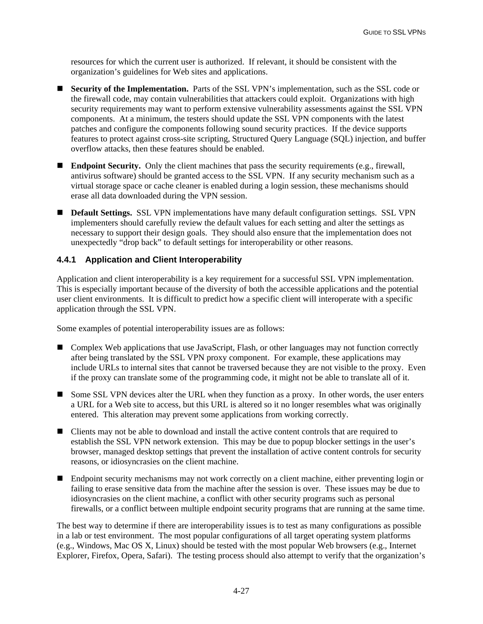resources for which the current user is authorized. If relevant, it should be consistent with the organization's guidelines for Web sites and applications.

- **Security of the Implementation.** Parts of the SSL VPN's implementation, such as the SSL code or the firewall code, may contain vulnerabilities that attackers could exploit. Organizations with high security requirements may want to perform extensive vulnerability assessments against the SSL VPN components. At a minimum, the testers should update the SSL VPN components with the latest patches and configure the components following sound security practices. If the device supports features to protect against cross-site scripting, Structured Query Language (SQL) injection, and buffer overflow attacks, then these features should be enabled.
- **Endpoint Security.** Only the client machines that pass the security requirements (e.g., firewall, antivirus software) should be granted access to the SSL VPN. If any security mechanism such as a virtual storage space or cache cleaner is enabled during a login session, these mechanisms should erase all data downloaded during the VPN session.
- **Default Settings.** SSL VPN implementations have many default configuration settings. SSL VPN implementers should carefully review the default values for each setting and alter the settings as necessary to support their design goals. They should also ensure that the implementation does not unexpectedly "drop back" to default settings for interoperability or other reasons.

### **4.4.1 Application and Client Interoperability**

Application and client interoperability is a key requirement for a successful SSL VPN implementation. This is especially important because of the diversity of both the accessible applications and the potential user client environments. It is difficult to predict how a specific client will interoperate with a specific application through the SSL VPN.

Some examples of potential interoperability issues are as follows:

- Complex Web applications that use JavaScript, Flash, or other languages may not function correctly after being translated by the SSL VPN proxy component. For example, these applications may include URLs to internal sites that cannot be traversed because they are not visible to the proxy. Even if the proxy can translate some of the programming code, it might not be able to translate all of it.
- Some SSL VPN devices alter the URL when they function as a proxy. In other words, the user enters a URL for a Web site to access, but this URL is altered so it no longer resembles what was originally entered. This alteration may prevent some applications from working correctly.
- Clients may not be able to download and install the active content controls that are required to establish the SSL VPN network extension. This may be due to popup blocker settings in the user's browser, managed desktop settings that prevent the installation of active content controls for security reasons, or idiosyncrasies on the client machine.
- Endpoint security mechanisms may not work correctly on a client machine, either preventing login or failing to erase sensitive data from the machine after the session is over. These issues may be due to idiosyncrasies on the client machine, a conflict with other security programs such as personal firewalls, or a conflict between multiple endpoint security programs that are running at the same time.

The best way to determine if there are interoperability issues is to test as many configurations as possible in a lab or test environment. The most popular configurations of all target operating system platforms (e.g., Windows, Mac OS X, Linux) should be tested with the most popular Web browsers (e.g., Internet Explorer, Firefox, Opera, Safari). The testing process should also attempt to verify that the organization's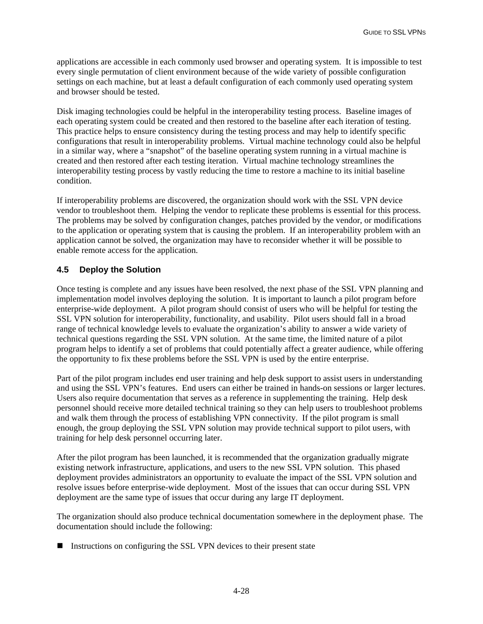applications are accessible in each commonly used browser and operating system. It is impossible to test every single permutation of client environment because of the wide variety of possible configuration settings on each machine, but at least a default configuration of each commonly used operating system and browser should be tested.

Disk imaging technologies could be helpful in the interoperability testing process. Baseline images of each operating system could be created and then restored to the baseline after each iteration of testing. This practice helps to ensure consistency during the testing process and may help to identify specific configurations that result in interoperability problems. Virtual machine technology could also be helpful in a similar way, where a "snapshot" of the baseline operating system running in a virtual machine is created and then restored after each testing iteration. Virtual machine technology streamlines the interoperability testing process by vastly reducing the time to restore a machine to its initial baseline condition.

If interoperability problems are discovered, the organization should work with the SSL VPN device vendor to troubleshoot them. Helping the vendor to replicate these problems is essential for this process. The problems may be solved by configuration changes, patches provided by the vendor, or modifications to the application or operating system that is causing the problem. If an interoperability problem with an application cannot be solved, the organization may have to reconsider whether it will be possible to enable remote access for the application.

## **4.5 Deploy the Solution**

Once testing is complete and any issues have been resolved, the next phase of the SSL VPN planning and implementation model involves deploying the solution. It is important to launch a pilot program before enterprise-wide deployment. A pilot program should consist of users who will be helpful for testing the SSL VPN solution for interoperability, functionality, and usability. Pilot users should fall in a broad range of technical knowledge levels to evaluate the organization's ability to answer a wide variety of technical questions regarding the SSL VPN solution. At the same time, the limited nature of a pilot program helps to identify a set of problems that could potentially affect a greater audience, while offering the opportunity to fix these problems before the SSL VPN is used by the entire enterprise.

Part of the pilot program includes end user training and help desk support to assist users in understanding and using the SSL VPN's features. End users can either be trained in hands-on sessions or larger lectures. Users also require documentation that serves as a reference in supplementing the training. Help desk personnel should receive more detailed technical training so they can help users to troubleshoot problems and walk them through the process of establishing VPN connectivity. If the pilot program is small enough, the group deploying the SSL VPN solution may provide technical support to pilot users, with training for help desk personnel occurring later.

After the pilot program has been launched, it is recommended that the organization gradually migrate existing network infrastructure, applications, and users to the new SSL VPN solution. This phased deployment provides administrators an opportunity to evaluate the impact of the SSL VPN solution and resolve issues before enterprise-wide deployment. Most of the issues that can occur during SSL VPN deployment are the same type of issues that occur during any large IT deployment.

The organization should also produce technical documentation somewhere in the deployment phase. The documentation should include the following:

■ Instructions on configuring the SSL VPN devices to their present state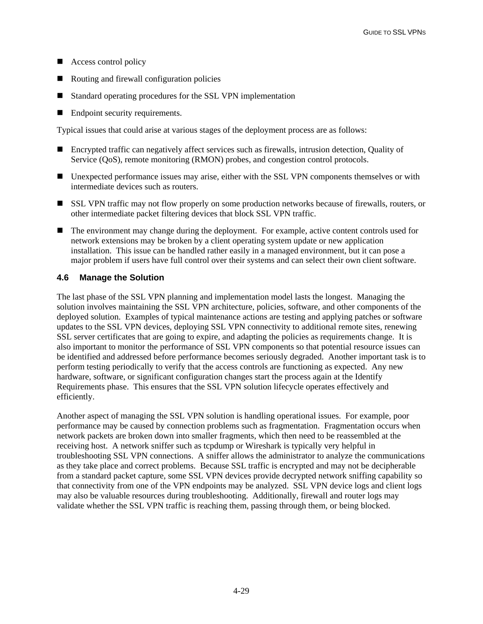- Access control policy
- Routing and firewall configuration policies
- Standard operating procedures for the SSL VPN implementation
- Endpoint security requirements.

Typical issues that could arise at various stages of the deployment process are as follows:

- Encrypted traffic can negatively affect services such as firewalls, intrusion detection, Quality of Service (QoS), remote monitoring (RMON) probes, and congestion control protocols.
- Unexpected performance issues may arise, either with the SSL VPN components themselves or with intermediate devices such as routers.
- SSL VPN traffic may not flow properly on some production networks because of firewalls, routers, or other intermediate packet filtering devices that block SSL VPN traffic.
- The environment may change during the deployment. For example, active content controls used for network extensions may be broken by a client operating system update or new application installation. This issue can be handled rather easily in a managed environment, but it can pose a major problem if users have full control over their systems and can select their own client software.

### **4.6 Manage the Solution**

The last phase of the SSL VPN planning and implementation model lasts the longest. Managing the solution involves maintaining the SSL VPN architecture, policies, software, and other components of the deployed solution. Examples of typical maintenance actions are testing and applying patches or software updates to the SSL VPN devices, deploying SSL VPN connectivity to additional remote sites, renewing SSL server certificates that are going to expire, and adapting the policies as requirements change. It is also important to monitor the performance of SSL VPN components so that potential resource issues can be identified and addressed before performance becomes seriously degraded. Another important task is to perform testing periodically to verify that the access controls are functioning as expected. Any new hardware, software, or significant configuration changes start the process again at the Identify Requirements phase. This ensures that the SSL VPN solution lifecycle operates effectively and efficiently.

Another aspect of managing the SSL VPN solution is handling operational issues. For example, poor performance may be caused by connection problems such as fragmentation. Fragmentation occurs when network packets are broken down into smaller fragments, which then need to be reassembled at the receiving host. A network sniffer such as tcpdump or Wireshark is typically very helpful in troubleshooting SSL VPN connections. A sniffer allows the administrator to analyze the communications as they take place and correct problems. Because SSL traffic is encrypted and may not be decipherable from a standard packet capture, some SSL VPN devices provide decrypted network sniffing capability so that connectivity from one of the VPN endpoints may be analyzed. SSL VPN device logs and client logs may also be valuable resources during troubleshooting. Additionally, firewall and router logs may validate whether the SSL VPN traffic is reaching them, passing through them, or being blocked.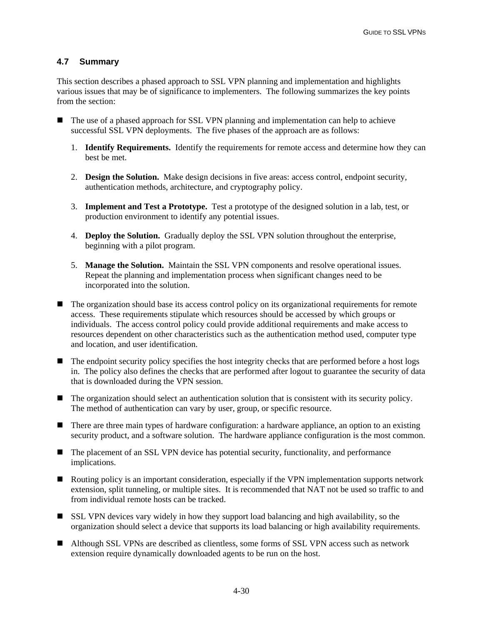### **4.7 Summary**

This section describes a phased approach to SSL VPN planning and implementation and highlights various issues that may be of significance to implementers. The following summarizes the key points from the section:

- The use of a phased approach for SSL VPN planning and implementation can help to achieve successful SSL VPN deployments. The five phases of the approach are as follows:
	- 1. **Identify Requirements.** Identify the requirements for remote access and determine how they can best be met.
	- 2. **Design the Solution.** Make design decisions in five areas: access control, endpoint security, authentication methods, architecture, and cryptography policy.
	- 3. **Implement and Test a Prototype.** Test a prototype of the designed solution in a lab, test, or production environment to identify any potential issues.
	- 4. **Deploy the Solution.** Gradually deploy the SSL VPN solution throughout the enterprise, beginning with a pilot program.
	- 5. **Manage the Solution.** Maintain the SSL VPN components and resolve operational issues. Repeat the planning and implementation process when significant changes need to be incorporated into the solution.
- The organization should base its access control policy on its organizational requirements for remote access. These requirements stipulate which resources should be accessed by which groups or individuals. The access control policy could provide additional requirements and make access to resources dependent on other characteristics such as the authentication method used, computer type and location, and user identification.
- $\blacksquare$  The endpoint security policy specifies the host integrity checks that are performed before a host logs in. The policy also defines the checks that are performed after logout to guarantee the security of data that is downloaded during the VPN session.
- The organization should select an authentication solution that is consistent with its security policy. The method of authentication can vary by user, group, or specific resource.
- There are three main types of hardware configuration: a hardware appliance, an option to an existing security product, and a software solution. The hardware appliance configuration is the most common.
- The placement of an SSL VPN device has potential security, functionality, and performance implications.
- Routing policy is an important consideration, especially if the VPN implementation supports network extension, split tunneling, or multiple sites. It is recommended that NAT not be used so traffic to and from individual remote hosts can be tracked.
- SSL VPN devices vary widely in how they support load balancing and high availability, so the organization should select a device that supports its load balancing or high availability requirements.
- Although SSL VPNs are described as clientless, some forms of SSL VPN access such as network extension require dynamically downloaded agents to be run on the host.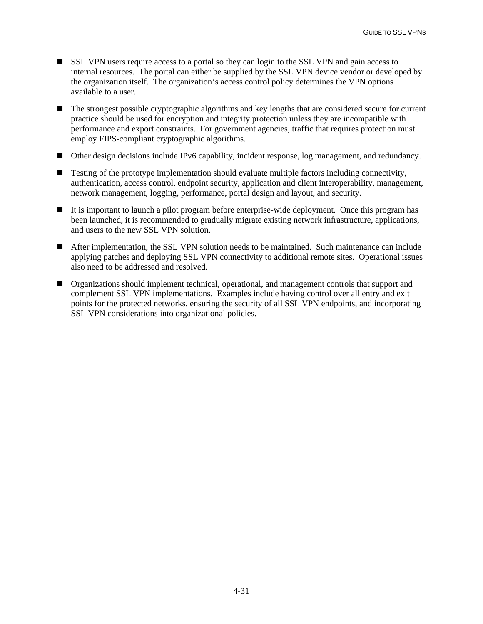- SSL VPN users require access to a portal so they can login to the SSL VPN and gain access to internal resources. The portal can either be supplied by the SSL VPN device vendor or developed by the organization itself. The organization's access control policy determines the VPN options available to a user.
- The strongest possible cryptographic algorithms and key lengths that are considered secure for current practice should be used for encryption and integrity protection unless they are incompatible with performance and export constraints. For government agencies, traffic that requires protection must employ FIPS-compliant cryptographic algorithms.
- Other design decisions include IPv6 capability, incident response, log management, and redundancy.
- $\blacksquare$  Testing of the prototype implementation should evaluate multiple factors including connectivity, authentication, access control, endpoint security, application and client interoperability, management, network management, logging, performance, portal design and layout, and security.
- $\blacksquare$  It is important to launch a pilot program before enterprise-wide deployment. Once this program has been launched, it is recommended to gradually migrate existing network infrastructure, applications, and users to the new SSL VPN solution.
- After implementation, the SSL VPN solution needs to be maintained. Such maintenance can include applying patches and deploying SSL VPN connectivity to additional remote sites. Operational issues also need to be addressed and resolved.
- Organizations should implement technical, operational, and management controls that support and complement SSL VPN implementations. Examples include having control over all entry and exit points for the protected networks, ensuring the security of all SSL VPN endpoints, and incorporating SSL VPN considerations into organizational policies.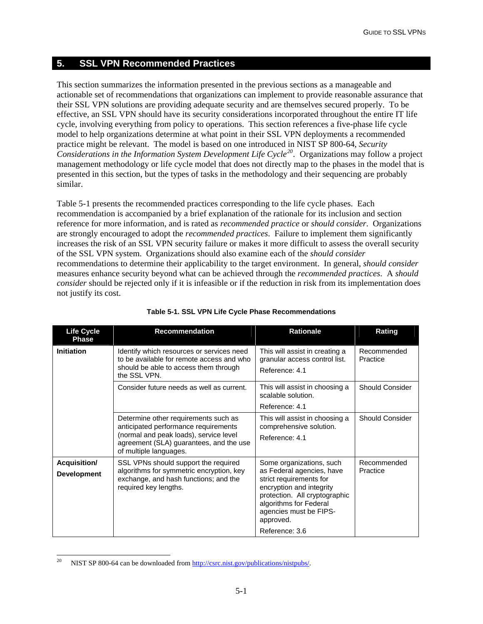## **5. SSL VPN Recommended Practices**

This section summarizes the information presented in the previous sections as a manageable and actionable set of recommendations that organizations can implement to provide reasonable assurance that their SSL VPN solutions are providing adequate security and are themselves secured properly. To be effective, an SSL VPN should have its security considerations incorporated throughout the entire IT life cycle, involving everything from policy to operations. This section references a five-phase life cycle model to help organizations determine at what point in their SSL VPN deployments a recommended practice might be relevant. The model is based on one introduced in NIST SP 800-64, *Security Considerations in the Information System Development Life Cycle[20](#page-63-0).* Organizations may follow a project management methodology or life cycle model that does not directly map to the phases in the model that is presented in this section, but the types of tasks in the methodology and their sequencing are probably similar.

Table 5-1 presents the recommended practices corresponding to the life cycle phases. Each recommendation is accompanied by a brief explanation of the rationale for its inclusion and section reference for more information, and is rated as *recommended practice* or *should consider*. Organizations are strongly encouraged to adopt the *recommended practices*. Failure to implement them significantly increases the risk of an SSL VPN security failure or makes it more difficult to assess the overall security of the SSL VPN system. Organizations should also examine each of the *should consider* recommendations to determine their applicability to the target environment. In general, *should consider* measures enhance security beyond what can be achieved through the *recommended practices*. A *should consider* should be rejected only if it is infeasible or if the reduction in risk from its implementation does not justify its cost.

| <b>Life Cycle</b><br>Phase                | <b>Recommendation</b>                                                                                                                                                                       | <b>Rationale</b>                                                                                                                                                                                                                 | Rating                  |
|-------------------------------------------|---------------------------------------------------------------------------------------------------------------------------------------------------------------------------------------------|----------------------------------------------------------------------------------------------------------------------------------------------------------------------------------------------------------------------------------|-------------------------|
| <b>Initiation</b>                         | Identify which resources or services need<br>to be available for remote access and who<br>should be able to access them through<br>the SSL VPN.                                             | This will assist in creating a<br>granular access control list.<br>Reference: 4.1                                                                                                                                                | Recommended<br>Practice |
|                                           | Consider future needs as well as current.                                                                                                                                                   | This will assist in choosing a<br>scalable solution.<br>Reference: 4.1                                                                                                                                                           | Should Consider         |
|                                           | Determine other requirements such as<br>anticipated performance requirements<br>(normal and peak loads), service level<br>agreement (SLA) guarantees, and the use<br>of multiple languages. | This will assist in choosing a<br>comprehensive solution.<br>Reference: 4.1                                                                                                                                                      | <b>Should Consider</b>  |
| <b>Acquisition/</b><br><b>Development</b> | SSL VPNs should support the required<br>algorithms for symmetric encryption, key<br>exchange, and hash functions; and the<br>required key lengths.                                          | Some organizations, such<br>as Federal agencies, have<br>strict requirements for<br>encryption and integrity<br>protection. All cryptographic<br>algorithms for Federal<br>agencies must be FIPS-<br>approved.<br>Reference: 3.6 | Recommended<br>Practice |

| Table 5-1. SSL VPN Life Cycle Phase Recommendations |  |  |  |  |  |  |  |
|-----------------------------------------------------|--|--|--|--|--|--|--|
|-----------------------------------------------------|--|--|--|--|--|--|--|

<span id="page-63-0"></span>l 20 NIST SP 800-64 can be downloaded from <http://csrc.nist.gov/publications/nistpubs/>.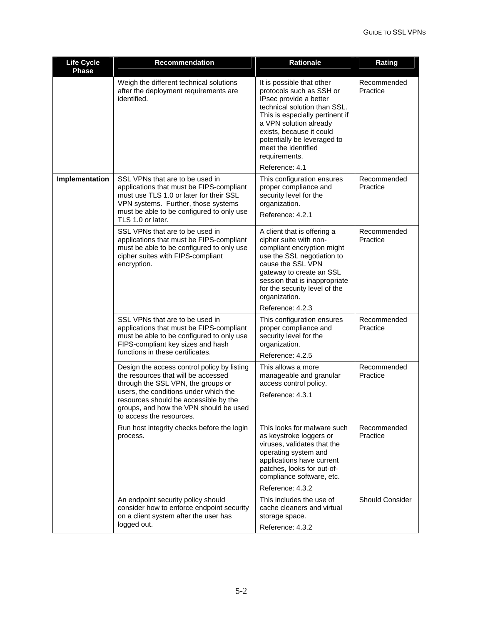| <b>Life Cycle</b><br><b>Phase</b> | <b>Recommendation</b>                                                                                                                                                                                                                                                            | <b>Rationale</b>                                                                                                                                                                                                                                                                                  | Rating                  |
|-----------------------------------|----------------------------------------------------------------------------------------------------------------------------------------------------------------------------------------------------------------------------------------------------------------------------------|---------------------------------------------------------------------------------------------------------------------------------------------------------------------------------------------------------------------------------------------------------------------------------------------------|-------------------------|
|                                   | Weigh the different technical solutions<br>after the deployment requirements are<br>identified.                                                                                                                                                                                  | It is possible that other<br>protocols such as SSH or<br>IPsec provide a better<br>technical solution than SSL.<br>This is especially pertinent if<br>a VPN solution already<br>exists, because it could<br>potentially be leveraged to<br>meet the identified<br>requirements.<br>Reference: 4.1 | Recommended<br>Practice |
| Implementation                    | SSL VPNs that are to be used in<br>applications that must be FIPS-compliant<br>must use TLS 1.0 or later for their SSL<br>VPN systems. Further, those systems<br>must be able to be configured to only use<br>TLS 1.0 or later.                                                  | This configuration ensures<br>proper compliance and<br>security level for the<br>organization.<br>Reference: 4.2.1                                                                                                                                                                                | Recommended<br>Practice |
|                                   | SSL VPNs that are to be used in<br>applications that must be FIPS-compliant<br>must be able to be configured to only use<br>cipher suites with FIPS-compliant<br>encryption.                                                                                                     | A client that is offering a<br>cipher suite with non-<br>compliant encryption might<br>use the SSL negotiation to<br>cause the SSL VPN<br>gateway to create an SSL<br>session that is inappropriate<br>for the security level of the<br>organization.<br>Reference: 4.2.3                         | Recommended<br>Practice |
|                                   | SSL VPNs that are to be used in<br>applications that must be FIPS-compliant<br>must be able to be configured to only use<br>FIPS-compliant key sizes and hash<br>functions in these certificates.                                                                                | This configuration ensures<br>proper compliance and<br>security level for the<br>organization.<br>Reference: 4.2.5                                                                                                                                                                                | Recommended<br>Practice |
|                                   | Design the access control policy by listing<br>the resources that will be accessed<br>through the SSL VPN, the groups or<br>users, the conditions under which the<br>resources should be accessible by the<br>groups, and how the VPN should be used<br>to access the resources. | This allows a more<br>manageable and granular<br>access control policy.<br>Reference: 4.3.1                                                                                                                                                                                                       | Recommended<br>Practice |
|                                   | Run host integrity checks before the login<br>process.                                                                                                                                                                                                                           | This looks for malware such<br>as keystroke loggers or<br>viruses, validates that the<br>operating system and<br>applications have current<br>patches, looks for out-of-<br>compliance software, etc.<br>Reference: 4.3.2                                                                         | Recommended<br>Practice |
|                                   | An endpoint security policy should<br>consider how to enforce endpoint security<br>on a client system after the user has<br>logged out.                                                                                                                                          | This includes the use of<br>cache cleaners and virtual<br>storage space.<br>Reference: 4.3.2                                                                                                                                                                                                      | <b>Should Consider</b>  |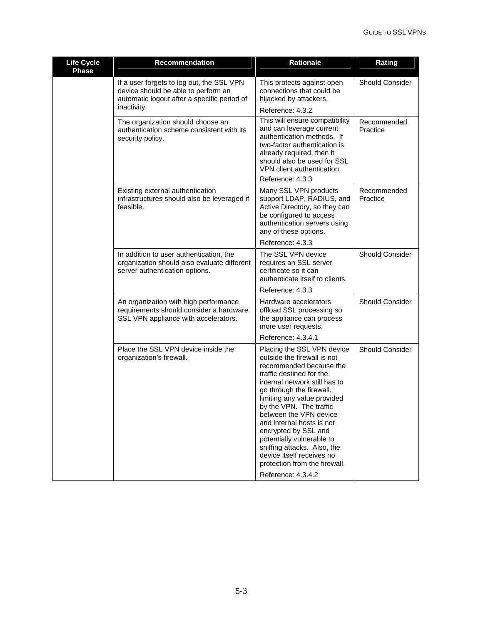| <b>Life Cycle</b><br><b>Phase</b> | <b>Recommendation</b>                                                                                                                          | <b>Rationale</b>                                                                                                                                                                                                                                                                                                                                                                                                                                                       | Rating                  |
|-----------------------------------|------------------------------------------------------------------------------------------------------------------------------------------------|------------------------------------------------------------------------------------------------------------------------------------------------------------------------------------------------------------------------------------------------------------------------------------------------------------------------------------------------------------------------------------------------------------------------------------------------------------------------|-------------------------|
|                                   | If a user forgets to log out, the SSL VPN<br>device should be able to perform an<br>automatic logout after a specific period of<br>inactivity. | This protects against open<br>connections that could be<br>hijacked by attackers.<br>Reference: 4.3.2                                                                                                                                                                                                                                                                                                                                                                  | Should Consider         |
|                                   | The organization should choose an<br>authentication scheme consistent with its<br>security policy.                                             | This will ensure compatibility<br>and can leverage current<br>authentication methods. If<br>two-factor authentication is<br>already required, then it<br>should also be used for SSL<br>VPN client authentication.<br>Reference: 4.3.3                                                                                                                                                                                                                                 | Recommended<br>Practice |
|                                   | Existing external authentication<br>infrastructures should also be leveraged if<br>feasible.                                                   | Many SSL VPN products<br>support LDAP, RADIUS, and<br>Active Directory, so they can<br>be configured to access<br>authentication servers using<br>any of these options.<br>Reference: 4.3.3                                                                                                                                                                                                                                                                            | Recommended<br>Practice |
|                                   | In addition to user authentication, the<br>organization should also evaluate different<br>server authentication options.                       | The SSL VPN device<br>requires an SSL server<br>certificate so it can<br>authenticate itself to clients.                                                                                                                                                                                                                                                                                                                                                               | <b>Should Consider</b>  |
|                                   | An organization with high performance<br>requirements should consider a hardware<br>SSL VPN appliance with accelerators.                       | Reference: 4.3.3<br>Hardware accelerators<br>offload SSL processing so<br>the appliance can process<br>more user requests.<br>Reference: 4.3.4.1                                                                                                                                                                                                                                                                                                                       | <b>Should Consider</b>  |
|                                   | Place the SSL VPN device inside the<br>organization's firewall.                                                                                | Placing the SSL VPN device<br>outside the firewall is not<br>recommended because the<br>traffic destined for the<br>internal network still has to<br>go through the firewall,<br>limiting any value provided<br>by the VPN. The traffic<br>between the VPN device<br>and internal hosts is not<br>encrypted by SSL and<br>potentially vulnerable to<br>sniffing attacks. Also, the<br>device itself receives no<br>protection from the firewall.<br>Reference: 4.3.4.2 | Should Consider         |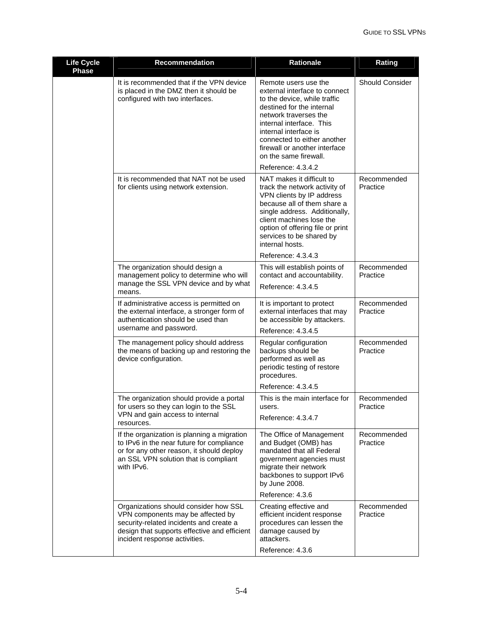| <b>Life Cycle</b><br><b>Phase</b> | <b>Recommendation</b>                                                                                                                                                                                  | <b>Rationale</b>                                                                                                                                                                                                                                                                          | Rating                  |
|-----------------------------------|--------------------------------------------------------------------------------------------------------------------------------------------------------------------------------------------------------|-------------------------------------------------------------------------------------------------------------------------------------------------------------------------------------------------------------------------------------------------------------------------------------------|-------------------------|
|                                   | It is recommended that if the VPN device<br>is placed in the DMZ then it should be<br>configured with two interfaces.                                                                                  | Remote users use the<br>external interface to connect<br>to the device, while traffic<br>destined for the internal<br>network traverses the<br>internal interface. This<br>internal interface is<br>connected to either another<br>firewall or another interface<br>on the same firewall. | <b>Should Consider</b>  |
|                                   |                                                                                                                                                                                                        | Reference: 4.3.4.2                                                                                                                                                                                                                                                                        |                         |
|                                   | It is recommended that NAT not be used<br>for clients using network extension.                                                                                                                         | NAT makes it difficult to<br>track the network activity of<br>VPN clients by IP address<br>because all of them share a<br>single address. Additionally,<br>client machines lose the<br>option of offering file or print<br>services to be shared by<br>internal hosts.                    | Recommended<br>Practice |
|                                   |                                                                                                                                                                                                        | Reference: 4.3.4.3                                                                                                                                                                                                                                                                        |                         |
|                                   | The organization should design a<br>management policy to determine who will                                                                                                                            | This will establish points of<br>contact and accountability.                                                                                                                                                                                                                              | Recommended<br>Practice |
|                                   | manage the SSL VPN device and by what<br>means.                                                                                                                                                        | Reference: 4.3.4.5                                                                                                                                                                                                                                                                        |                         |
|                                   | If administrative access is permitted on<br>the external interface, a stronger form of<br>authentication should be used than                                                                           | It is important to protect<br>external interfaces that may<br>be accessible by attackers.                                                                                                                                                                                                 | Recommended<br>Practice |
|                                   | username and password.                                                                                                                                                                                 | Reference: 4.3.4.5                                                                                                                                                                                                                                                                        |                         |
|                                   | The management policy should address<br>the means of backing up and restoring the<br>device configuration.                                                                                             | Regular configuration<br>backups should be<br>performed as well as<br>periodic testing of restore<br>procedures.                                                                                                                                                                          | Recommended<br>Practice |
|                                   |                                                                                                                                                                                                        | Reference: 4.3.4.5                                                                                                                                                                                                                                                                        |                         |
|                                   | The organization should provide a portal<br>for users so they can login to the SSL<br>VPN and gain access to internal<br>resources.                                                                    | This is the main interface for<br>users.<br>Reference: 4.3.4.7                                                                                                                                                                                                                            | Recommended<br>Practice |
|                                   | If the organization is planning a migration<br>to IPv6 in the near future for compliance<br>or for any other reason, it should deploy<br>an SSL VPN solution that is compliant<br>with IPv6.           | The Office of Management<br>and Budget (OMB) has<br>mandated that all Federal<br>government agencies must<br>migrate their network<br>backbones to support IPv6<br>by June 2008.                                                                                                          | Recommended<br>Practice |
|                                   |                                                                                                                                                                                                        | Reference: 4.3.6                                                                                                                                                                                                                                                                          |                         |
|                                   | Organizations should consider how SSL<br>VPN components may be affected by<br>security-related incidents and create a<br>design that supports effective and efficient<br>incident response activities. | Creating effective and<br>efficient incident response<br>procedures can lessen the<br>damage caused by<br>attackers.                                                                                                                                                                      | Recommended<br>Practice |
|                                   |                                                                                                                                                                                                        | Reference: 4.3.6                                                                                                                                                                                                                                                                          |                         |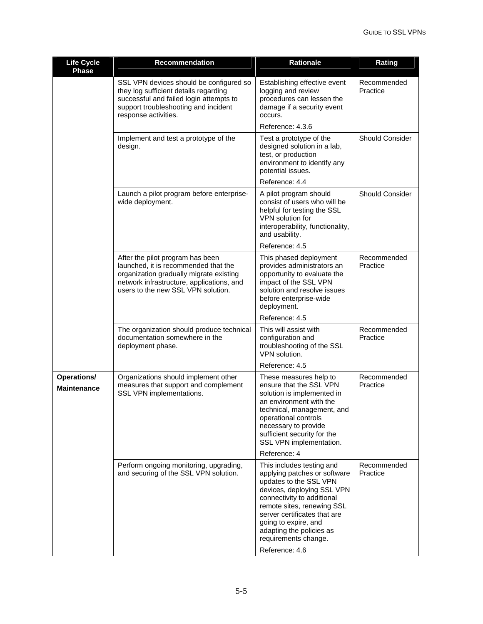| <b>Life Cycle</b><br><b>Phase</b> | Recommendation                                                                                                                                                                                         | <b>Rationale</b>                                                                                                                                                                                                                                                               | Rating                  |
|-----------------------------------|--------------------------------------------------------------------------------------------------------------------------------------------------------------------------------------------------------|--------------------------------------------------------------------------------------------------------------------------------------------------------------------------------------------------------------------------------------------------------------------------------|-------------------------|
|                                   | SSL VPN devices should be configured so<br>they log sufficient details regarding<br>successful and failed login attempts to<br>support troubleshooting and incident<br>response activities.            | Establishing effective event<br>logging and review<br>procedures can lessen the<br>damage if a security event<br>occurs.                                                                                                                                                       | Recommended<br>Practice |
|                                   |                                                                                                                                                                                                        | Reference: 4.3.6                                                                                                                                                                                                                                                               |                         |
|                                   | Implement and test a prototype of the<br>design.                                                                                                                                                       | Test a prototype of the<br>designed solution in a lab,<br>test, or production<br>environment to identify any<br>potential issues.                                                                                                                                              | <b>Should Consider</b>  |
|                                   |                                                                                                                                                                                                        | Reference: 4.4                                                                                                                                                                                                                                                                 |                         |
|                                   | Launch a pilot program before enterprise-<br>wide deployment.                                                                                                                                          | A pilot program should<br>consist of users who will be<br>helpful for testing the SSL<br>VPN solution for<br>interoperability, functionality,<br>and usability.                                                                                                                | <b>Should Consider</b>  |
|                                   |                                                                                                                                                                                                        | Reference: 4.5                                                                                                                                                                                                                                                                 |                         |
|                                   | After the pilot program has been<br>launched, it is recommended that the<br>organization gradually migrate existing<br>network infrastructure, applications, and<br>users to the new SSL VPN solution. | This phased deployment<br>provides administrators an<br>opportunity to evaluate the<br>impact of the SSL VPN<br>solution and resolve issues<br>before enterprise-wide<br>deployment.                                                                                           | Recommended<br>Practice |
|                                   |                                                                                                                                                                                                        | Reference: 4.5                                                                                                                                                                                                                                                                 |                         |
|                                   | The organization should produce technical<br>documentation somewhere in the<br>deployment phase.                                                                                                       | This will assist with<br>configuration and<br>troubleshooting of the SSL<br>VPN solution.                                                                                                                                                                                      | Recommended<br>Practice |
|                                   |                                                                                                                                                                                                        | Reference: 4.5                                                                                                                                                                                                                                                                 |                         |
| Operations/<br><b>Maintenance</b> | Organizations should implement other<br>measures that support and complement<br>SSL VPN implementations.                                                                                               | These measures help to<br>ensure that the SSL VPN<br>solution is implemented in<br>an environment with the<br>technical, management, and<br>operational controls<br>necessary to provide<br>sufficient security for the<br>SSL VPN implementation.<br>Reference: 4             | Recommended<br>Practice |
|                                   | Perform ongoing monitoring, upgrading,                                                                                                                                                                 | This includes testing and                                                                                                                                                                                                                                                      | Recommended             |
|                                   | and securing of the SSL VPN solution.                                                                                                                                                                  | applying patches or software<br>updates to the SSL VPN<br>devices, deploying SSL VPN<br>connectivity to additional<br>remote sites, renewing SSL<br>server certificates that are<br>going to expire, and<br>adapting the policies as<br>requirements change.<br>Reference: 4.6 | Practice                |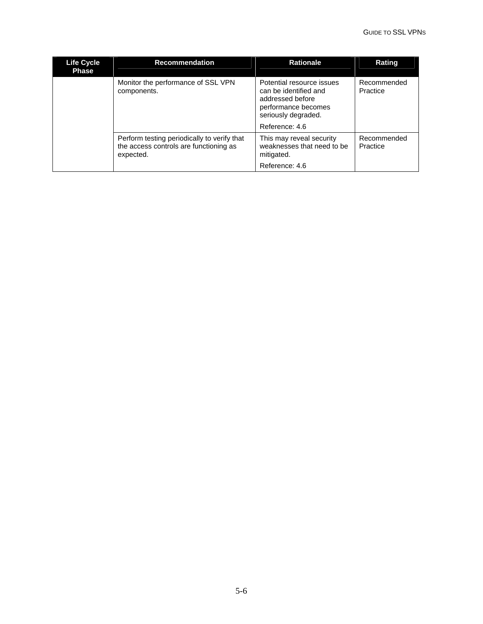| <b>Life Cycle</b><br><b>Phase</b> | <b>Recommendation</b>                                                                 | <b>Rationale</b>                                                                                                                       | Rating                  |
|-----------------------------------|---------------------------------------------------------------------------------------|----------------------------------------------------------------------------------------------------------------------------------------|-------------------------|
|                                   | Monitor the performance of SSL VPN<br>components.                                     | Potential resource issues<br>can be identified and<br>addressed before<br>performance becomes<br>seriously degraded.<br>Reference: 4.6 | Recommended<br>Practice |
|                                   | Perform testing periodically to verify that<br>the access controls are functioning as | This may reveal security<br>weaknesses that need to be                                                                                 | Recommended<br>Practice |
|                                   | expected.                                                                             | mitigated.<br>Reference: 4.6                                                                                                           |                         |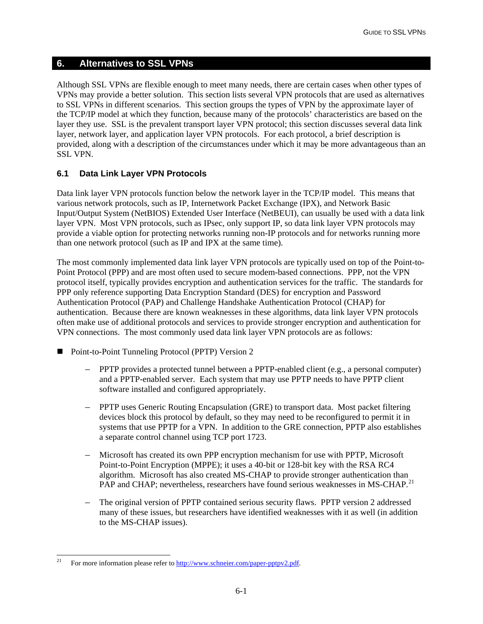## **6. Alternatives to SSL VPNs**

Although SSL VPNs are flexible enough to meet many needs, there are certain cases when other types of VPNs may provide a better solution. This section lists several VPN protocols that are used as alternatives to SSL VPNs in different scenarios. This section groups the types of VPN by the approximate layer of the TCP/IP model at which they function, because many of the protocols' characteristics are based on the layer they use. SSL is the prevalent transport layer VPN protocol; this section discusses several data link layer, network layer, and application layer VPN protocols. For each protocol, a brief description is provided, along with a description of the circumstances under which it may be more advantageous than an SSL VPN.

## **6.1 Data Link Layer VPN Protocols**

Data link layer VPN protocols function below the network layer in the TCP/IP model. This means that various network protocols, such as IP, Internetwork Packet Exchange (IPX), and Network Basic Input/Output System (NetBIOS) Extended User Interface (NetBEUI), can usually be used with a data link layer VPN. Most VPN protocols, such as IPsec, only support IP, so data link layer VPN protocols may provide a viable option for protecting networks running non-IP protocols and for networks running more than one network protocol (such as IP and IPX at the same time).

The most commonly implemented data link layer VPN protocols are typically used on top of the Point-to-Point Protocol (PPP) and are most often used to secure modem-based connections. PPP, not the VPN protocol itself, typically provides encryption and authentication services for the traffic. The standards for PPP only reference supporting Data Encryption Standard (DES) for encryption and Password Authentication Protocol (PAP) and Challenge Handshake Authentication Protocol (CHAP) for authentication. Because there are known weaknesses in these algorithms, data link layer VPN protocols often make use of additional protocols and services to provide stronger encryption and authentication for VPN connections. The most commonly used data link layer VPN protocols are as follows:

■ Point-to-Point Tunneling Protocol (PPTP) Version 2

- PPTP provides a protected tunnel between a PPTP-enabled client (e.g., a personal computer) and a PPTP-enabled server. Each system that may use PPTP needs to have PPTP client software installed and configured appropriately.
- PPTP uses Generic Routing Encapsulation (GRE) to transport data. Most packet filtering devices block this protocol by default, so they may need to be reconfigured to permit it in systems that use PPTP for a VPN. In addition to the GRE connection, PPTP also establishes a separate control channel using TCP port 1723.
- Microsoft has created its own PPP encryption mechanism for use with PPTP, Microsoft Point-to-Point Encryption (MPPE); it uses a 40-bit or 128-bit key with the RSA RC4 algorithm. Microsoft has also created MS-CHAP to provide stronger authentication than PAP and CHAP; nevertheless, researchers have found serious weaknesses in MS-CHAP.<sup>[21](#page-69-0)</sup>
- The original version of PPTP contained serious security flaws. PPTP version 2 addressed many of these issues, but researchers have identified weaknesses with it as well (in addition to the MS-CHAP issues).

<span id="page-69-0"></span>l 21 For more information please refer to <http://www.schneier.com/paper-pptpv2.pdf>.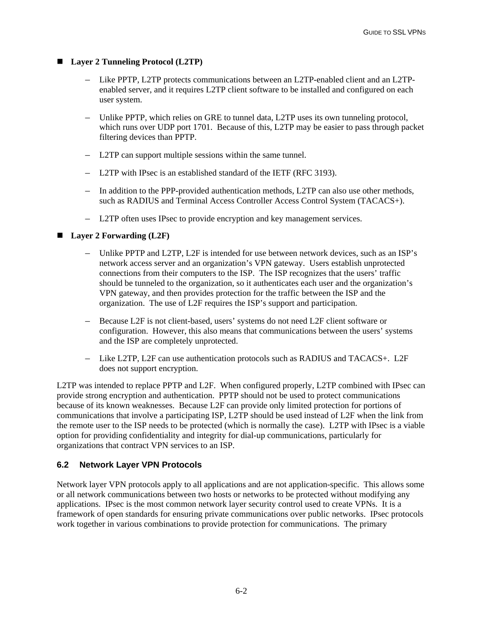### ■ Layer 2 Tunneling Protocol (L2TP)

- Like PPTP, L2TP protects communications between an L2TP-enabled client and an L2TPenabled server, and it requires L2TP client software to be installed and configured on each user system.
- Unlike PPTP, which relies on GRE to tunnel data, L2TP uses its own tunneling protocol, which runs over UDP port 1701. Because of this, L2TP may be easier to pass through packet filtering devices than PPTP.
- L2TP can support multiple sessions within the same tunnel.
- L2TP with IPsec is an established standard of the IETF (RFC 3193).
- In addition to the PPP-provided authentication methods, L2TP can also use other methods, such as RADIUS and Terminal Access Controller Access Control System (TACACS+).
- L2TP often uses IPsec to provide encryption and key management services.

### ■ Layer 2 Forwarding (L2F)

- Unlike PPTP and L2TP, L2F is intended for use between network devices, such as an ISP's network access server and an organization's VPN gateway. Users establish unprotected connections from their computers to the ISP. The ISP recognizes that the users' traffic should be tunneled to the organization, so it authenticates each user and the organization's VPN gateway, and then provides protection for the traffic between the ISP and the organization. The use of L2F requires the ISP's support and participation.
- Because L2F is not client-based, users' systems do not need L2F client software or configuration. However, this also means that communications between the users' systems and the ISP are completely unprotected.
- Like L2TP, L2F can use authentication protocols such as RADIUS and TACACS+. L2F does not support encryption.

L2TP was intended to replace PPTP and L2F. When configured properly, L2TP combined with IPsec can provide strong encryption and authentication. PPTP should not be used to protect communications because of its known weaknesses. Because L2F can provide only limited protection for portions of communications that involve a participating ISP, L2TP should be used instead of L2F when the link from the remote user to the ISP needs to be protected (which is normally the case). L2TP with IPsec is a viable option for providing confidentiality and integrity for dial-up communications, particularly for organizations that contract VPN services to an ISP.

### **6.2 Network Layer VPN Protocols**

Network layer VPN protocols apply to all applications and are not application-specific. This allows some or all network communications between two hosts or networks to be protected without modifying any applications. IPsec is the most common network layer security control used to create VPNs. It is a framework of open standards for ensuring private communications over public networks. IPsec protocols work together in various combinations to provide protection for communications. The primary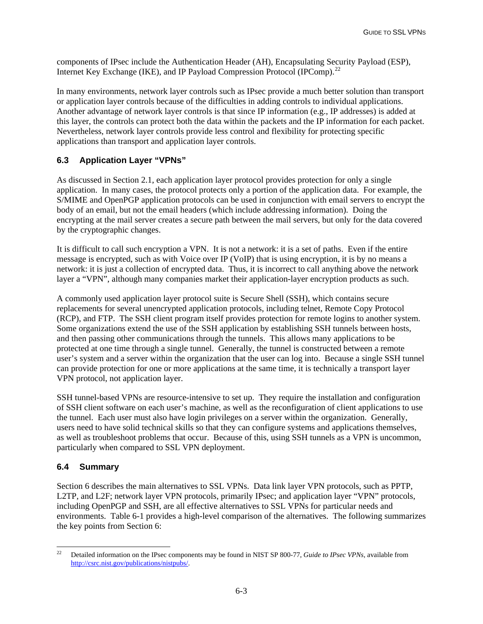components of IPsec include the Authentication Header (AH), Encapsulating Security Payload (ESP), Internet Key Exchange (IKE), and IP Payload Compression Protocol (IPComp).<sup>[22](#page-71-0)</sup>

In many environments, network layer controls such as IPsec provide a much better solution than transport or application layer controls because of the difficulties in adding controls to individual applications. Another advantage of network layer controls is that since IP information (e.g., IP addresses) is added at this layer, the controls can protect both the data within the packets and the IP information for each packet. Nevertheless, network layer controls provide less control and flexibility for protecting specific applications than transport and application layer controls.

# **6.3 Application Layer "VPNs"**

As discussed in Section 2.1, each application layer protocol provides protection for only a single application. In many cases, the protocol protects only a portion of the application data. For example, the S/MIME and OpenPGP application protocols can be used in conjunction with email servers to encrypt the body of an email, but not the email headers (which include addressing information). Doing the encrypting at the mail server creates a secure path between the mail servers, but only for the data covered by the cryptographic changes.

It is difficult to call such encryption a VPN. It is not a network: it is a set of paths. Even if the entire message is encrypted, such as with Voice over IP (VoIP) that is using encryption, it is by no means a network: it is just a collection of encrypted data. Thus, it is incorrect to call anything above the network layer a "VPN", although many companies market their application-layer encryption products as such.

A commonly used application layer protocol suite is Secure Shell (SSH), which contains secure replacements for several unencrypted application protocols, including telnet, Remote Copy Protocol (RCP), and FTP. The SSH client program itself provides protection for remote logins to another system. Some organizations extend the use of the SSH application by establishing SSH tunnels between hosts, and then passing other communications through the tunnels. This allows many applications to be protected at one time through a single tunnel. Generally, the tunnel is constructed between a remote user's system and a server within the organization that the user can log into. Because a single SSH tunnel can provide protection for one or more applications at the same time, it is technically a transport layer VPN protocol, not application layer.

SSH tunnel-based VPNs are resource-intensive to set up. They require the installation and configuration of SSH client software on each user's machine, as well as the reconfiguration of client applications to use the tunnel. Each user must also have login privileges on a server within the organization. Generally, users need to have solid technical skills so that they can configure systems and applications themselves, as well as troubleshoot problems that occur. Because of this, using SSH tunnels as a VPN is uncommon, particularly when compared to SSL VPN deployment.

# **6.4 Summary**

Section 6 describes the main alternatives to SSL VPNs. Data link layer VPN protocols, such as PPTP, L2TP, and L2F; network layer VPN protocols, primarily IPsec; and application layer "VPN" protocols, including OpenPGP and SSH, are all effective alternatives to SSL VPNs for particular needs and environments. Table 6-1 provides a high-level comparison of the alternatives. The following summarizes the key points from Section 6:

<span id="page-71-0"></span> $22$ 22 Detailed information on the IPsec components may be found in NIST SP 800-77, *Guide to IPsec VPNs*, available from [http://csrc.nist.gov/publications/nistpubs/.](http://csrc.nist.gov/publications/nistpubs/)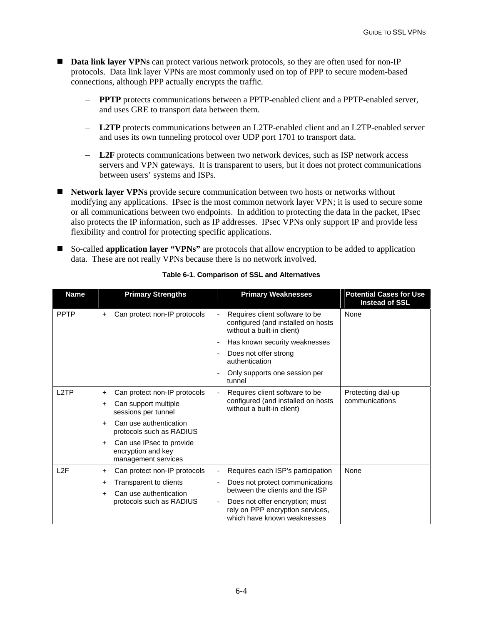- **Data link layer VPNs** can protect various network protocols, so they are often used for non-IP protocols. Data link layer VPNs are most commonly used on top of PPP to secure modem-based connections, although PPP actually encrypts the traffic.
	- **PPTP** protects communications between a PPTP-enabled client and a PPTP-enabled server, and uses GRE to transport data between them.
	- **L2TP** protects communications between an L2TP-enabled client and an L2TP-enabled server and uses its own tunneling protocol over UDP port 1701 to transport data.
	- **L2F** protects communications between two network devices, such as ISP network access servers and VPN gateways. It is transparent to users, but it does not protect communications between users' systems and ISPs.
- **Network layer VPNs** provide secure communication between two hosts or networks without modifying any applications. IPsec is the most common network layer VPN; it is used to secure some or all communications between two endpoints. In addition to protecting the data in the packet, IPsec also protects the IP information, such as IP addresses. IPsec VPNs only support IP and provide less flexibility and control for protecting specific applications.
- So-called **application layer "VPNs"** are protocols that allow encryption to be added to application data. These are not really VPNs because there is no network involved.

| <b>Name</b>       |                                                                 | <b>Primary Strengths</b>                                              |                                                                                                                                       | <b>Primary Weaknesses</b>                                                                          | <b>Potential Cases for Use</b><br><b>Instead of SSL</b> |
|-------------------|-----------------------------------------------------------------|-----------------------------------------------------------------------|---------------------------------------------------------------------------------------------------------------------------------------|----------------------------------------------------------------------------------------------------|---------------------------------------------------------|
| <b>PPTP</b>       | +                                                               | Can protect non-IP protocols                                          |                                                                                                                                       | Requires client software to be<br>configured (and installed on hosts<br>without a built-in client) | None                                                    |
|                   |                                                                 |                                                                       |                                                                                                                                       | Has known security weaknesses                                                                      |                                                         |
|                   |                                                                 |                                                                       |                                                                                                                                       | Does not offer strong<br>authentication                                                            |                                                         |
|                   |                                                                 |                                                                       |                                                                                                                                       | Only supports one session per<br>tunnel                                                            |                                                         |
| L <sub>2</sub> TP | Can protect non-IP protocols<br>+                               |                                                                       | Requires client software to be                                                                                                        | Protecting dial-up                                                                                 |                                                         |
|                   | $\ddot{}$                                                       | Can support multiple<br>sessions per tunnel                           |                                                                                                                                       | configured (and installed on hosts<br>without a built-in client)                                   | communications                                          |
|                   | $\ddot{}$                                                       | Can use authentication<br>protocols such as RADIUS                    |                                                                                                                                       |                                                                                                    |                                                         |
|                   | $+$                                                             | Can use IPsec to provide<br>encryption and key<br>management services |                                                                                                                                       |                                                                                                    |                                                         |
| L2F               | +                                                               | Can protect non-IP protocols                                          |                                                                                                                                       | Requires each ISP's participation                                                                  | None                                                    |
|                   | +                                                               | Transparent to clients                                                | ٠                                                                                                                                     | Does not protect communications                                                                    |                                                         |
|                   | Can use authentication<br>$\ddot{}$<br>protocols such as RADIUS |                                                                       | between the clients and the ISP<br>Does not offer encryption; must<br>rely on PPP encryption services,<br>which have known weaknesses |                                                                                                    |                                                         |

#### **Table 6-1. Comparison of SSL and Alternatives**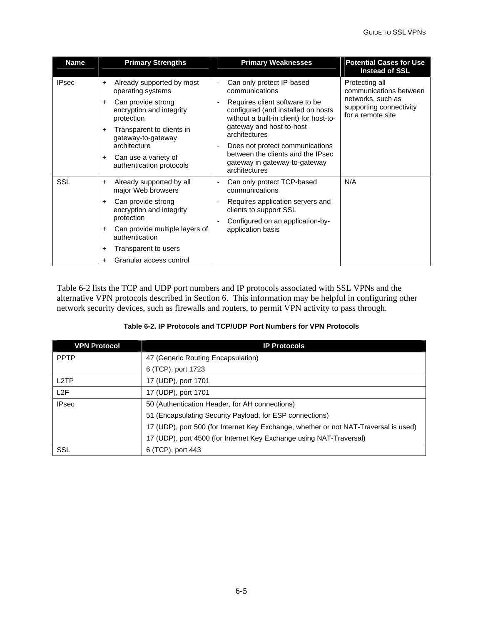| <b>Name</b>                                                          |                                                               | <b>Primary Strengths</b>                                     |                                                                                                | <b>Primary Weaknesses</b>                                                                                       | <b>Potential Cases for Use</b><br><b>Instead of SSL</b>           |
|----------------------------------------------------------------------|---------------------------------------------------------------|--------------------------------------------------------------|------------------------------------------------------------------------------------------------|-----------------------------------------------------------------------------------------------------------------|-------------------------------------------------------------------|
| <b>IPsec</b>                                                         | Already supported by most<br>$\ddot{}$<br>operating systems   |                                                              | Can only protect IP-based<br>communications                                                    | Protecting all<br>communications between                                                                        |                                                                   |
|                                                                      | +                                                             | Can provide strong<br>encryption and integrity<br>protection |                                                                                                | Requires client software to be<br>configured (and installed on hosts<br>without a built-in client) for host-to- | networks, such as<br>supporting connectivity<br>for a remote site |
| Transparent to clients in<br>+<br>gateway-to-gateway<br>architecture |                                                               | gateway and host-to-host<br>architectures                    |                                                                                                |                                                                                                                 |                                                                   |
|                                                                      | Does not protect communications                               |                                                              |                                                                                                |                                                                                                                 |                                                                   |
|                                                                      | $\ddot{}$                                                     | Can use a variety of<br>authentication protocols             |                                                                                                | between the clients and the IPsec<br>gateway in gateway-to-gateway<br>architectures                             |                                                                   |
| <b>SSL</b>                                                           | $\ddot{}$                                                     | Already supported by all<br>major Web browsers               |                                                                                                | Can only protect TCP-based<br>communications                                                                    | N/A                                                               |
| $\ddot{}$                                                            | Can provide strong<br>encryption and integrity<br>protection  |                                                              | Requires application servers and<br>clients to support SSL<br>Configured on an application-by- |                                                                                                                 |                                                                   |
|                                                                      | Can provide multiple layers of<br>$\ddot{}$<br>authentication | application basis                                            |                                                                                                |                                                                                                                 |                                                                   |
|                                                                      | ٠                                                             | Transparent to users                                         |                                                                                                |                                                                                                                 |                                                                   |
|                                                                      | +                                                             | Granular access control                                      |                                                                                                |                                                                                                                 |                                                                   |

Table 6-2 lists the TCP and UDP port numbers and IP protocols associated with SSL VPNs and the alternative VPN protocols described in Section 6. This information may be helpful in configuring other network security devices, such as firewalls and routers, to permit VPN activity to pass through.

#### **Table 6-2. IP Protocols and TCP/UDP Port Numbers for VPN Protocols**

| <b>VPN Protocol</b> | <b>IP Protocols</b>                                                                  |
|---------------------|--------------------------------------------------------------------------------------|
| <b>PPTP</b>         | 47 (Generic Routing Encapsulation)                                                   |
|                     | 6 (TCP), port 1723                                                                   |
| L <sub>2</sub> TP   | 17 (UDP), port 1701                                                                  |
| L2F                 | 17 (UDP), port 1701                                                                  |
| <b>IPsec</b>        | 50 (Authentication Header, for AH connections)                                       |
|                     | 51 (Encapsulating Security Payload, for ESP connections)                             |
|                     | 17 (UDP), port 500 (for Internet Key Exchange, whether or not NAT-Traversal is used) |
|                     | 17 (UDP), port 4500 (for Internet Key Exchange using NAT-Traversal)                  |
| SSL                 | 6 (TCP), port 443                                                                    |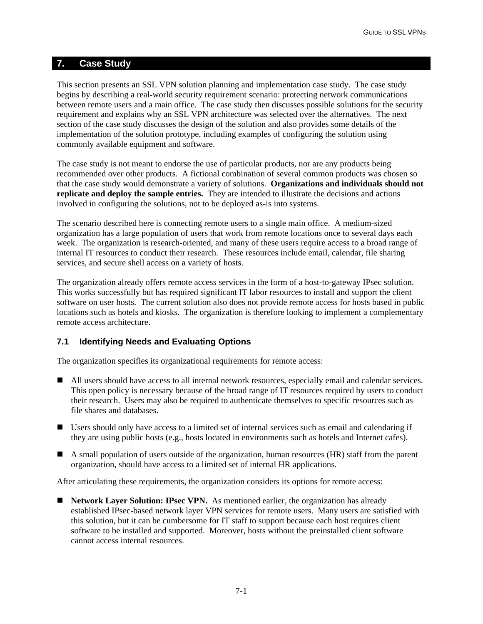#### **7. Case Study**

This section presents an SSL VPN solution planning and implementation case study. The case study begins by describing a real-world security requirement scenario: protecting network communications between remote users and a main office. The case study then discusses possible solutions for the security requirement and explains why an SSL VPN architecture was selected over the alternatives. The next section of the case study discusses the design of the solution and also provides some details of the implementation of the solution prototype, including examples of configuring the solution using commonly available equipment and software.

The case study is not meant to endorse the use of particular products, nor are any products being recommended over other products. A fictional combination of several common products was chosen so that the case study would demonstrate a variety of solutions. **Organizations and individuals should not replicate and deploy the sample entries.** They are intended to illustrate the decisions and actions involved in configuring the solutions, not to be deployed as-is into systems.

The scenario described here is connecting remote users to a single main office. A medium-sized organization has a large population of users that work from remote locations once to several days each week. The organization is research-oriented, and many of these users require access to a broad range of internal IT resources to conduct their research. These resources include email, calendar, file sharing services, and secure shell access on a variety of hosts.

The organization already offers remote access services in the form of a host-to-gateway IPsec solution. This works successfully but has required significant IT labor resources to install and support the client software on user hosts. The current solution also does not provide remote access for hosts based in public locations such as hotels and kiosks. The organization is therefore looking to implement a complementary remote access architecture.

#### **7.1 Identifying Needs and Evaluating Options**

The organization specifies its organizational requirements for remote access:

- All users should have access to all internal network resources, especially email and calendar services. This open policy is necessary because of the broad range of IT resources required by users to conduct their research. Users may also be required to authenticate themselves to specific resources such as file shares and databases.
- Users should only have access to a limited set of internal services such as email and calendaring if they are using public hosts (e.g., hosts located in environments such as hotels and Internet cafes).
- A small population of users outside of the organization, human resources (HR) staff from the parent organization, should have access to a limited set of internal HR applications.

After articulating these requirements, the organization considers its options for remote access:

**Network Layer Solution: IPsec VPN.** As mentioned earlier, the organization has already established IPsec-based network layer VPN services for remote users. Many users are satisfied with this solution, but it can be cumbersome for IT staff to support because each host requires client software to be installed and supported. Moreover, hosts without the preinstalled client software cannot access internal resources.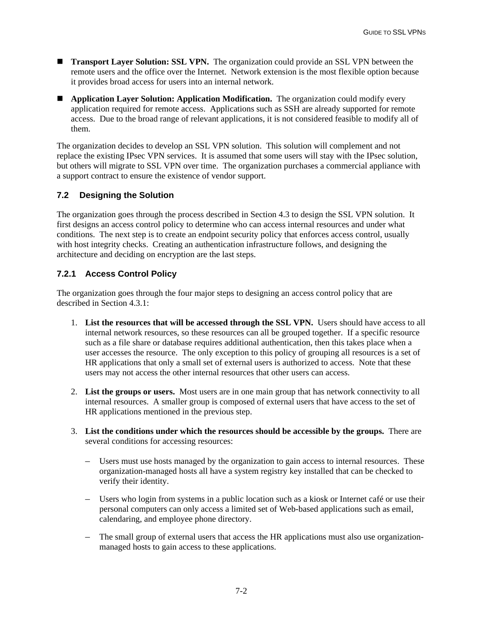- **Transport Layer Solution: SSL VPN.** The organization could provide an SSL VPN between the remote users and the office over the Internet. Network extension is the most flexible option because it provides broad access for users into an internal network.
- **Application Layer Solution: Application Modification.** The organization could modify every application required for remote access. Applications such as SSH are already supported for remote access. Due to the broad range of relevant applications, it is not considered feasible to modify all of them.

The organization decides to develop an SSL VPN solution. This solution will complement and not replace the existing IPsec VPN services. It is assumed that some users will stay with the IPsec solution, but others will migrate to SSL VPN over time. The organization purchases a commercial appliance with a support contract to ensure the existence of vendor support.

# **7.2 Designing the Solution**

The organization goes through the process described in Section 4.3 to design the SSL VPN solution. It first designs an access control policy to determine who can access internal resources and under what conditions. The next step is to create an endpoint security policy that enforces access control, usually with host integrity checks. Creating an authentication infrastructure follows, and designing the architecture and deciding on encryption are the last steps.

# **7.2.1 Access Control Policy**

The organization goes through the four major steps to designing an access control policy that are described in Section 4.3.1:

- 1. **List the resources that will be accessed through the SSL VPN.** Users should have access to all internal network resources, so these resources can all be grouped together. If a specific resource such as a file share or database requires additional authentication, then this takes place when a user accesses the resource. The only exception to this policy of grouping all resources is a set of HR applications that only a small set of external users is authorized to access. Note that these users may not access the other internal resources that other users can access.
- 2. **List the groups or users.** Most users are in one main group that has network connectivity to all internal resources. A smaller group is composed of external users that have access to the set of HR applications mentioned in the previous step.
- 3. **List the conditions under which the resources should be accessible by the groups.** There are several conditions for accessing resources:
	- Users must use hosts managed by the organization to gain access to internal resources. These organization-managed hosts all have a system registry key installed that can be checked to verify their identity.
	- Users who login from systems in a public location such as a kiosk or Internet café or use their personal computers can only access a limited set of Web-based applications such as email, calendaring, and employee phone directory.
	- The small group of external users that access the HR applications must also use organizationmanaged hosts to gain access to these applications.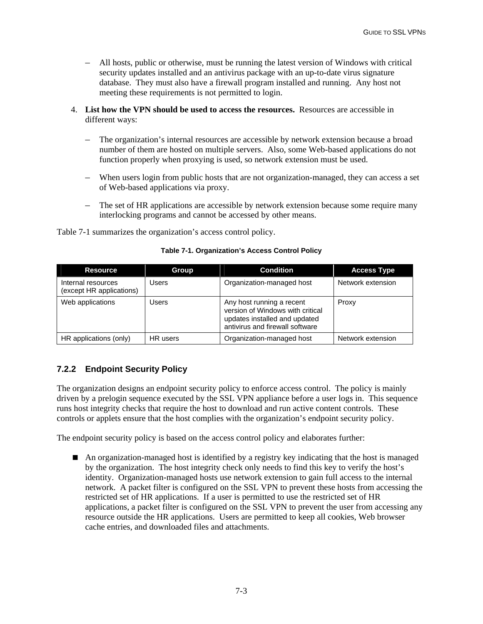- All hosts, public or otherwise, must be running the latest version of Windows with critical security updates installed and an antivirus package with an up-to-date virus signature database. They must also have a firewall program installed and running. Any host not meeting these requirements is not permitted to login.
- 4. **List how the VPN should be used to access the resources.** Resources are accessible in different ways:
	- The organization's internal resources are accessible by network extension because a broad number of them are hosted on multiple servers. Also, some Web-based applications do not function properly when proxying is used, so network extension must be used.
	- When users login from public hosts that are not organization-managed, they can access a set of Web-based applications via proxy.
	- The set of HR applications are accessible by network extension because some require many interlocking programs and cannot be accessed by other means.

Table 7-1 summarizes the organization's access control policy.

| <b>Resource</b>                                | Group    | <b>Condition</b>                                                                                                                  | <b>Access Type</b> |
|------------------------------------------------|----------|-----------------------------------------------------------------------------------------------------------------------------------|--------------------|
| Internal resources<br>(except HR applications) | Users    | Organization-managed host                                                                                                         | Network extension  |
| Web applications                               | Users    | Any host running a recent<br>version of Windows with critical<br>updates installed and updated<br>antivirus and firewall software | Proxy              |
| HR applications (only)                         | HR users | Organization-managed host                                                                                                         | Network extension  |

#### **Table 7-1. Organization's Access Control Policy**

# **7.2.2 Endpoint Security Policy**

The organization designs an endpoint security policy to enforce access control. The policy is mainly driven by a prelogin sequence executed by the SSL VPN appliance before a user logs in. This sequence runs host integrity checks that require the host to download and run active content controls. These controls or applets ensure that the host complies with the organization's endpoint security policy.

The endpoint security policy is based on the access control policy and elaborates further:

 An organization-managed host is identified by a registry key indicating that the host is managed by the organization. The host integrity check only needs to find this key to verify the host's identity. Organization-managed hosts use network extension to gain full access to the internal network. A packet filter is configured on the SSL VPN to prevent these hosts from accessing the restricted set of HR applications. If a user is permitted to use the restricted set of HR applications, a packet filter is configured on the SSL VPN to prevent the user from accessing any resource outside the HR applications. Users are permitted to keep all cookies, Web browser cache entries, and downloaded files and attachments.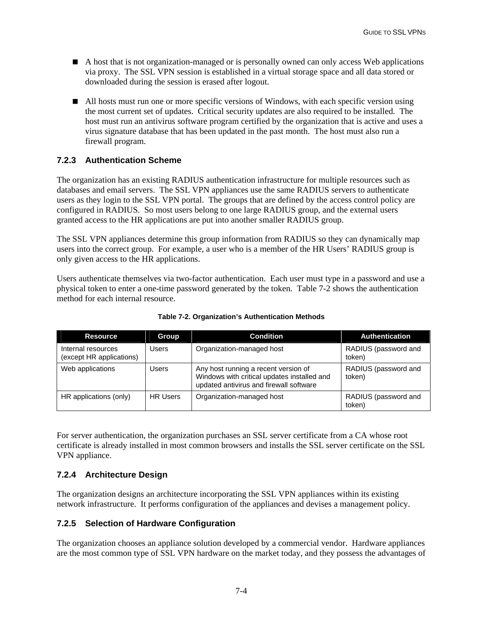- A host that is not organization-managed or is personally owned can only access Web applications via proxy. The SSL VPN session is established in a virtual storage space and all data stored or downloaded during the session is erased after logout.
- All hosts must run one or more specific versions of Windows, with each specific version using the most current set of updates. Critical security updates are also required to be installed. The host must run an antivirus software program certified by the organization that is active and uses a virus signature database that has been updated in the past month. The host must also run a firewall program.

## **7.2.3 Authentication Scheme**

The organization has an existing RADIUS authentication infrastructure for multiple resources such as databases and email servers. The SSL VPN appliances use the same RADIUS servers to authenticate users as they login to the SSL VPN portal. The groups that are defined by the access control policy are configured in RADIUS. So most users belong to one large RADIUS group, and the external users granted access to the HR applications are put into another smaller RADIUS group.

The SSL VPN appliances determine this group information from RADIUS so they can dynamically map users into the correct group. For example, a user who is a member of the HR Users' RADIUS group is only given access to the HR applications.

Users authenticate themselves via two-factor authentication. Each user must type in a password and use a physical token to enter a one-time password generated by the token. Table 7-2 shows the authentication method for each internal resource.

| <b>Resource</b>                                | Group           | <b>Condition</b>                                                                                                               | <b>Authentication</b>          |
|------------------------------------------------|-----------------|--------------------------------------------------------------------------------------------------------------------------------|--------------------------------|
| Internal resources<br>(except HR applications) | Users           | Organization-managed host                                                                                                      | RADIUS (password and<br>token) |
| Web applications                               | Users           | Any host running a recent version of<br>Windows with critical updates installed and<br>updated antivirus and firewall software | RADIUS (password and<br>token) |
| HR applications (only)                         | <b>HR Users</b> | Organization-managed host                                                                                                      | RADIUS (password and<br>token) |

**Table 7-2. Organization's Authentication Methods** 

For server authentication, the organization purchases an SSL server certificate from a CA whose root certificate is already installed in most common browsers and installs the SSL server certificate on the SSL VPN appliance.

# **7.2.4 Architecture Design**

The organization designs an architecture incorporating the SSL VPN appliances within its existing network infrastructure. It performs configuration of the appliances and devises a management policy.

#### **7.2.5 Selection of Hardware Configuration**

The organization chooses an appliance solution developed by a commercial vendor. Hardware appliances are the most common type of SSL VPN hardware on the market today, and they possess the advantages of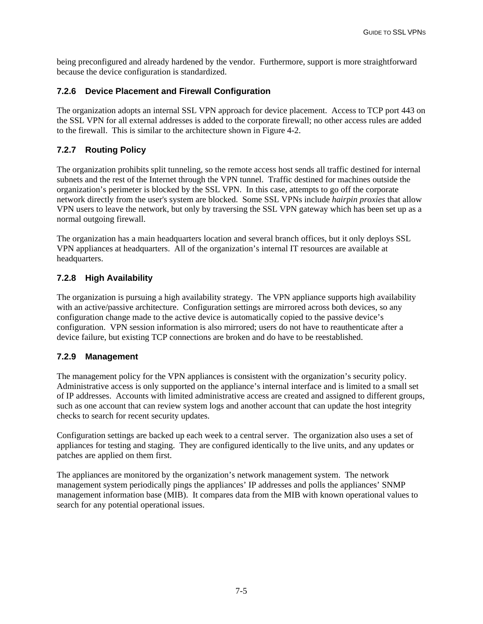being preconfigured and already hardened by the vendor. Furthermore, support is more straightforward because the device configuration is standardized.

## **7.2.6 Device Placement and Firewall Configuration**

The organization adopts an internal SSL VPN approach for device placement. Access to TCP port 443 on the SSL VPN for all external addresses is added to the corporate firewall; no other access rules are added to the firewall. This is similar to the architecture shown in Figure 4-2.

# **7.2.7 Routing Policy**

The organization prohibits split tunneling, so the remote access host sends all traffic destined for internal subnets and the rest of the Internet through the VPN tunnel. Traffic destined for machines outside the organization's perimeter is blocked by the SSL VPN. In this case, attempts to go off the corporate network directly from the user's system are blocked. Some SSL VPNs include *hairpin proxies* that allow VPN users to leave the network, but only by traversing the SSL VPN gateway which has been set up as a normal outgoing firewall.

The organization has a main headquarters location and several branch offices, but it only deploys SSL VPN appliances at headquarters. All of the organization's internal IT resources are available at headquarters.

# **7.2.8 High Availability**

The organization is pursuing a high availability strategy. The VPN appliance supports high availability with an active/passive architecture. Configuration settings are mirrored across both devices, so any configuration change made to the active device is automatically copied to the passive device's configuration. VPN session information is also mirrored; users do not have to reauthenticate after a device failure, but existing TCP connections are broken and do have to be reestablished.

#### **7.2.9 Management**

The management policy for the VPN appliances is consistent with the organization's security policy. Administrative access is only supported on the appliance's internal interface and is limited to a small set of IP addresses. Accounts with limited administrative access are created and assigned to different groups, such as one account that can review system logs and another account that can update the host integrity checks to search for recent security updates.

Configuration settings are backed up each week to a central server. The organization also uses a set of appliances for testing and staging. They are configured identically to the live units, and any updates or patches are applied on them first.

The appliances are monitored by the organization's network management system. The network management system periodically pings the appliances' IP addresses and polls the appliances' SNMP management information base (MIB). It compares data from the MIB with known operational values to search for any potential operational issues.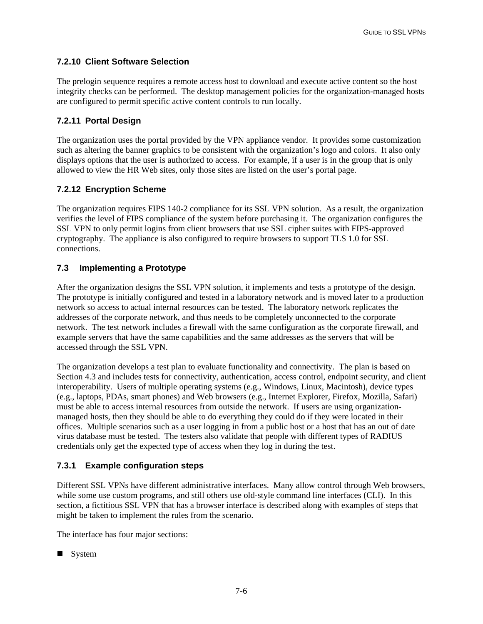## **7.2.10 Client Software Selection**

The prelogin sequence requires a remote access host to download and execute active content so the host integrity checks can be performed. The desktop management policies for the organization-managed hosts are configured to permit specific active content controls to run locally.

## **7.2.11 Portal Design**

The organization uses the portal provided by the VPN appliance vendor. It provides some customization such as altering the banner graphics to be consistent with the organization's logo and colors. It also only displays options that the user is authorized to access. For example, if a user is in the group that is only allowed to view the HR Web sites, only those sites are listed on the user's portal page.

## **7.2.12 Encryption Scheme**

The organization requires FIPS 140-2 compliance for its SSL VPN solution. As a result, the organization verifies the level of FIPS compliance of the system before purchasing it. The organization configures the SSL VPN to only permit logins from client browsers that use SSL cipher suites with FIPS-approved cryptography. The appliance is also configured to require browsers to support TLS 1.0 for SSL connections.

## **7.3 Implementing a Prototype**

After the organization designs the SSL VPN solution, it implements and tests a prototype of the design. The prototype is initially configured and tested in a laboratory network and is moved later to a production network so access to actual internal resources can be tested. The laboratory network replicates the addresses of the corporate network, and thus needs to be completely unconnected to the corporate network. The test network includes a firewall with the same configuration as the corporate firewall, and example servers that have the same capabilities and the same addresses as the servers that will be accessed through the SSL VPN.

The organization develops a test plan to evaluate functionality and connectivity. The plan is based on Section 4.3 and includes tests for connectivity, authentication, access control, endpoint security, and client interoperability. Users of multiple operating systems (e.g., Windows, Linux, Macintosh), device types (e.g., laptops, PDAs, smart phones) and Web browsers (e.g., Internet Explorer, Firefox, Mozilla, Safari) must be able to access internal resources from outside the network. If users are using organizationmanaged hosts, then they should be able to do everything they could do if they were located in their offices. Multiple scenarios such as a user logging in from a public host or a host that has an out of date virus database must be tested. The testers also validate that people with different types of RADIUS credentials only get the expected type of access when they log in during the test.

#### **7.3.1 Example configuration steps**

Different SSL VPNs have different administrative interfaces. Many allow control through Web browsers, while some use custom programs, and still others use old-style command line interfaces (CLI). In this section, a fictitious SSL VPN that has a browser interface is described along with examples of steps that might be taken to implement the rules from the scenario.

The interface has four major sections:

System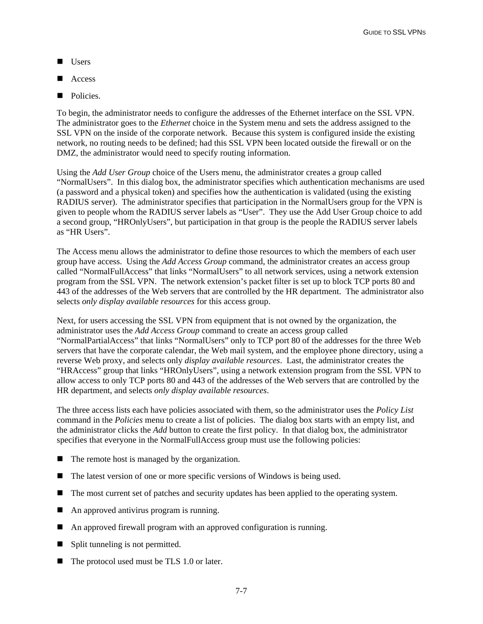- **Users**
- Access
- Policies.

To begin, the administrator needs to configure the addresses of the Ethernet interface on the SSL VPN. The administrator goes to the *Ethernet* choice in the System menu and sets the address assigned to the SSL VPN on the inside of the corporate network. Because this system is configured inside the existing network, no routing needs to be defined; had this SSL VPN been located outside the firewall or on the DMZ, the administrator would need to specify routing information.

Using the *Add User Group* choice of the Users menu, the administrator creates a group called "NormalUsers". In this dialog box, the administrator specifies which authentication mechanisms are used (a password and a physical token) and specifies how the authentication is validated (using the existing RADIUS server). The administrator specifies that participation in the NormalUsers group for the VPN is given to people whom the RADIUS server labels as "User". They use the Add User Group choice to add a second group, "HROnlyUsers", but participation in that group is the people the RADIUS server labels as "HR Users".

The Access menu allows the administrator to define those resources to which the members of each user group have access. Using the *Add Access Group* command, the administrator creates an access group called "NormalFullAccess" that links "NormalUsers" to all network services, using a network extension program from the SSL VPN. The network extension's packet filter is set up to block TCP ports 80 and 443 of the addresses of the Web servers that are controlled by the HR department. The administrator also selects *only display available resources* for this access group.

Next, for users accessing the SSL VPN from equipment that is not owned by the organization, the administrator uses the *Add Access Group* command to create an access group called "NormalPartialAccess" that links "NormalUsers" only to TCP port 80 of the addresses for the three Web servers that have the corporate calendar, the Web mail system, and the employee phone directory, using a reverse Web proxy, and selects only *display available resources*. Last, the administrator creates the "HRAccess" group that links "HROnlyUsers", using a network extension program from the SSL VPN to allow access to only TCP ports 80 and 443 of the addresses of the Web servers that are controlled by the HR department, and selects *only display available resources*.

The three access lists each have policies associated with them, so the administrator uses the *Policy List* command in the *Policies* menu to create a list of policies. The dialog box starts with an empty list, and the administrator clicks the *Add* button to create the first policy. In that dialog box, the administrator specifies that everyone in the NormalFullAccess group must use the following policies:

- The remote host is managed by the organization.
- The latest version of one or more specific versions of Windows is being used.
- The most current set of patches and security updates has been applied to the operating system.
- An approved antivirus program is running.
- An approved firewall program with an approved configuration is running.
- Split tunneling is not permitted.
- The protocol used must be TLS 1.0 or later.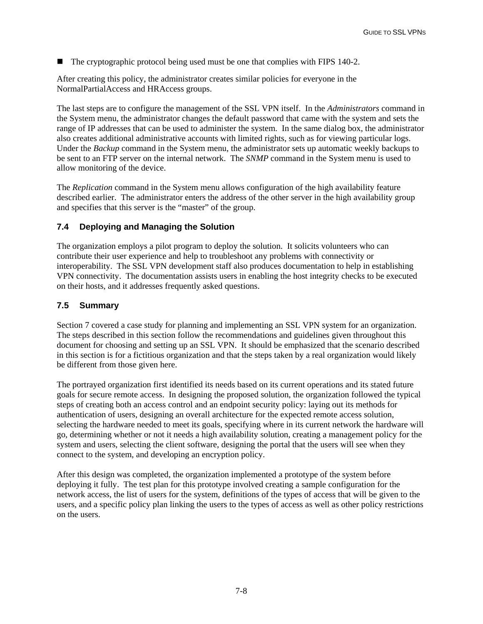The cryptographic protocol being used must be one that complies with FIPS 140-2.

After creating this policy, the administrator creates similar policies for everyone in the NormalPartialAccess and HRAccess groups.

The last steps are to configure the management of the SSL VPN itself. In the *Administrators* command in the System menu, the administrator changes the default password that came with the system and sets the range of IP addresses that can be used to administer the system. In the same dialog box, the administrator also creates additional administrative accounts with limited rights, such as for viewing particular logs. Under the *Backup* command in the System menu, the administrator sets up automatic weekly backups to be sent to an FTP server on the internal network. The *SNMP* command in the System menu is used to allow monitoring of the device.

The *Replication* command in the System menu allows configuration of the high availability feature described earlier. The administrator enters the address of the other server in the high availability group and specifies that this server is the "master" of the group.

#### **7.4 Deploying and Managing the Solution**

The organization employs a pilot program to deploy the solution. It solicits volunteers who can contribute their user experience and help to troubleshoot any problems with connectivity or interoperability. The SSL VPN development staff also produces documentation to help in establishing VPN connectivity. The documentation assists users in enabling the host integrity checks to be executed on their hosts, and it addresses frequently asked questions.

## **7.5 Summary**

Section 7 covered a case study for planning and implementing an SSL VPN system for an organization. The steps described in this section follow the recommendations and guidelines given throughout this document for choosing and setting up an SSL VPN. It should be emphasized that the scenario described in this section is for a fictitious organization and that the steps taken by a real organization would likely be different from those given here.

The portrayed organization first identified its needs based on its current operations and its stated future goals for secure remote access. In designing the proposed solution, the organization followed the typical steps of creating both an access control and an endpoint security policy: laying out its methods for authentication of users, designing an overall architecture for the expected remote access solution, selecting the hardware needed to meet its goals, specifying where in its current network the hardware will go, determining whether or not it needs a high availability solution, creating a management policy for the system and users, selecting the client software, designing the portal that the users will see when they connect to the system, and developing an encryption policy.

After this design was completed, the organization implemented a prototype of the system before deploying it fully. The test plan for this prototype involved creating a sample configuration for the network access, the list of users for the system, definitions of the types of access that will be given to the users, and a specific policy plan linking the users to the types of access as well as other policy restrictions on the users.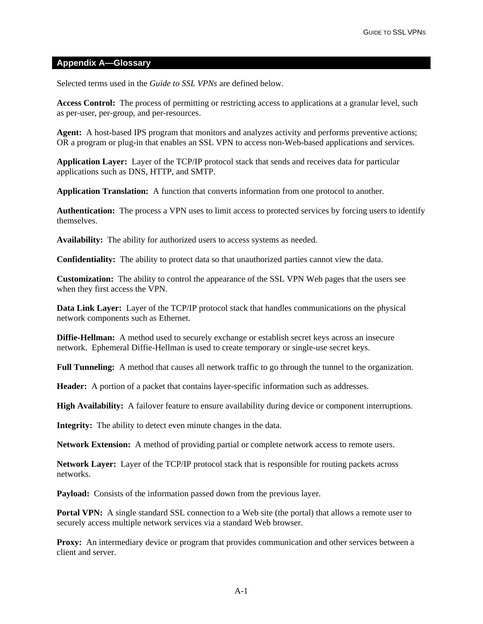#### **Appendix A—Glossary**

Selected terms used in the *Guide to SSL VPNs* are defined below.

**Access Control:** The process of permitting or restricting access to applications at a granular level, such as per-user, per-group, and per-resources.

**Agent:** A host-based IPS program that monitors and analyzes activity and performs preventive actions; OR a program or plug-in that enables an SSL VPN to access non-Web-based applications and services.

**Application Layer:** Layer of the TCP/IP protocol stack that sends and receives data for particular applications such as DNS, HTTP, and SMTP.

**Application Translation:** A function that converts information from one protocol to another.

**Authentication:** The process a VPN uses to limit access to protected services by forcing users to identify themselves.

**Availability:** The ability for authorized users to access systems as needed.

**Confidentiality:** The ability to protect data so that unauthorized parties cannot view the data.

**Customization:** The ability to control the appearance of the SSL VPN Web pages that the users see when they first access the VPN.

**Data Link Layer:** Layer of the TCP/IP protocol stack that handles communications on the physical network components such as Ethernet.

**Diffie-Hellman:** A method used to securely exchange or establish secret keys across an insecure network. Ephemeral Diffie-Hellman is used to create temporary or single-use secret keys.

**Full Tunneling:** A method that causes all network traffic to go through the tunnel to the organization.

**Header:** A portion of a packet that contains layer-specific information such as addresses.

**High Availability:** A failover feature to ensure availability during device or component interruptions.

**Integrity:** The ability to detect even minute changes in the data.

**Network Extension:** A method of providing partial or complete network access to remote users.

**Network Layer:** Layer of the TCP/IP protocol stack that is responsible for routing packets across networks.

**Payload:** Consists of the information passed down from the previous layer.

**Portal VPN:** A single standard SSL connection to a Web site (the portal) that allows a remote user to securely access multiple network services via a standard Web browser.

**Proxy:** An intermediary device or program that provides communication and other services between a client and server.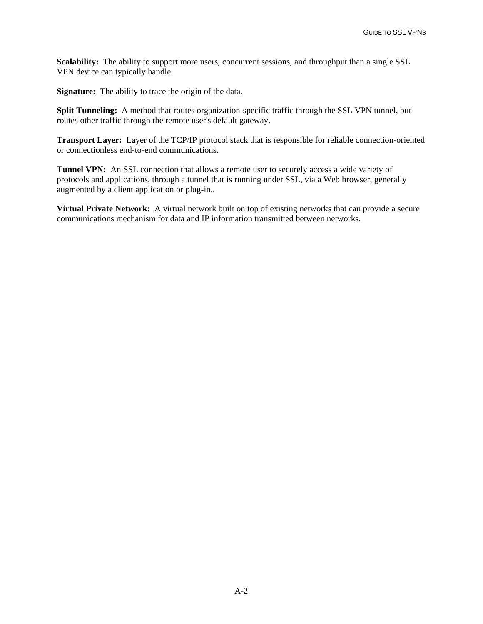**Scalability:** The ability to support more users, concurrent sessions, and throughput than a single SSL VPN device can typically handle.

**Signature:** The ability to trace the origin of the data.

**Split Tunneling:** A method that routes organization-specific traffic through the SSL VPN tunnel, but routes other traffic through the remote user's default gateway.

**Transport Layer:** Layer of the TCP/IP protocol stack that is responsible for reliable connection-oriented or connectionless end-to-end communications.

**Tunnel VPN:** An SSL connection that allows a remote user to securely access a wide variety of protocols and applications, through a tunnel that is running under SSL, via a Web browser, generally augmented by a client application or plug-in..

**Virtual Private Network:** A virtual network built on top of existing networks that can provide a secure communications mechanism for data and IP information transmitted between networks.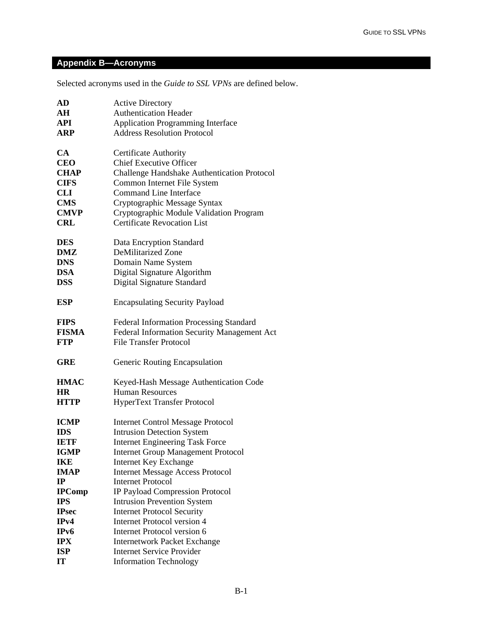# **Appendix B—Acronyms**

Selected acronyms used in the *Guide to SSL VPNs* are defined below.

| AD                | <b>Active Directory</b>                        |
|-------------------|------------------------------------------------|
| AH                | <b>Authentication Header</b>                   |
| API               | <b>Application Programming Interface</b>       |
| <b>ARP</b>        | <b>Address Resolution Protocol</b>             |
|                   |                                                |
| CA                | Certificate Authority                          |
| <b>CEO</b>        | <b>Chief Executive Officer</b>                 |
| <b>CHAP</b>       | Challenge Handshake Authentication Protocol    |
| <b>CIFS</b>       | Common Internet File System                    |
| <b>CLI</b>        | <b>Command Line Interface</b>                  |
| <b>CMS</b>        | Cryptographic Message Syntax                   |
| <b>CMVP</b>       | Cryptographic Module Validation Program        |
| <b>CRL</b>        | <b>Certificate Revocation List</b>             |
|                   |                                                |
| <b>DES</b>        | Data Encryption Standard                       |
| DMZ               | <b>DeMilitarized Zone</b>                      |
| <b>DNS</b>        | Domain Name System                             |
| <b>DSA</b>        | Digital Signature Algorithm                    |
| <b>DSS</b>        | Digital Signature Standard                     |
| <b>ESP</b>        | <b>Encapsulating Security Payload</b>          |
|                   |                                                |
| <b>FIPS</b>       | <b>Federal Information Processing Standard</b> |
| <b>FISMA</b>      | Federal Information Security Management Act    |
| <b>FTP</b>        | <b>File Transfer Protocol</b>                  |
| <b>GRE</b>        | Generic Routing Encapsulation                  |
| <b>HMAC</b>       | Keyed-Hash Message Authentication Code         |
| <b>HR</b>         | <b>Human Resources</b>                         |
| <b>HTTP</b>       | <b>HyperText Transfer Protocol</b>             |
| <b>ICMP</b>       | <b>Internet Control Message Protocol</b>       |
| <b>IDS</b>        | <b>Intrusion Detection System</b>              |
| <b>IETF</b>       | <b>Internet Engineering Task Force</b>         |
| <b>IGMP</b>       | <b>Internet Group Management Protocol</b>      |
| <b>IKE</b>        | <b>Internet Key Exchange</b>                   |
| <b>IMAP</b>       | <b>Internet Message Access Protocol</b>        |
| IP                | <b>Internet Protocol</b>                       |
| <b>IPComp</b>     | <b>IP Payload Compression Protocol</b>         |
| <b>IPS</b>        | <b>Intrusion Prevention System</b>             |
| <b>IPsec</b>      | <b>Internet Protocol Security</b>              |
| IPv4              | <b>Internet Protocol version 4</b>             |
| IP <sub>v</sub> 6 | <b>Internet Protocol version 6</b>             |
| <b>IPX</b>        | <b>Internetwork Packet Exchange</b>            |
| <b>ISP</b>        | <b>Internet Service Provider</b>               |
| <b>IT</b>         | <b>Information Technology</b>                  |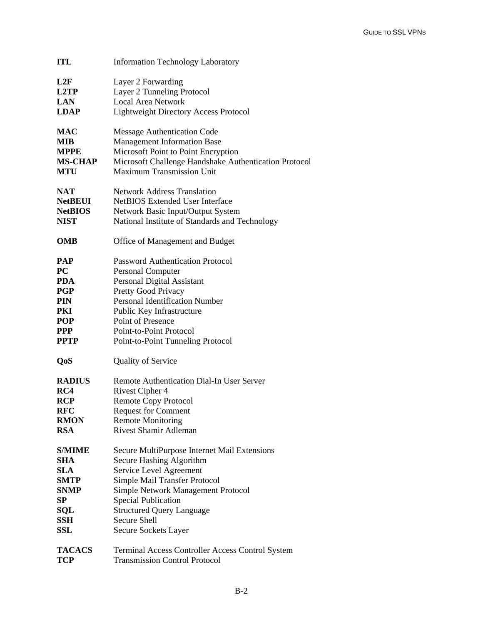| <b>ITL</b>                | <b>Information Technology Laboratory</b>                                                  |
|---------------------------|-------------------------------------------------------------------------------------------|
| L2F<br>L2TP<br><b>LAN</b> | Layer 2 Forwarding<br>Layer 2 Tunneling Protocol<br><b>Local Area Network</b>             |
| <b>LDAP</b>               | <b>Lightweight Directory Access Protocol</b>                                              |
| MAC                       | Message Authentication Code                                                               |
| MIB                       | <b>Management Information Base</b>                                                        |
| <b>MPPE</b>               | Microsoft Point to Point Encryption                                                       |
| <b>MS-CHAP</b>            | Microsoft Challenge Handshake Authentication Protocol<br><b>Maximum Transmission Unit</b> |
| <b>MTU</b>                |                                                                                           |
| <b>NAT</b>                | <b>Network Address Translation</b>                                                        |
| <b>NetBEUI</b>            | <b>NetBIOS</b> Extended User Interface                                                    |
| <b>NetBIOS</b>            | Network Basic Input/Output System                                                         |
| <b>NIST</b>               | National Institute of Standards and Technology                                            |
| <b>OMB</b>                | Office of Management and Budget                                                           |
| PAP                       | <b>Password Authentication Protocol</b>                                                   |
| $\bf PC$                  | Personal Computer                                                                         |
| <b>PDA</b>                | Personal Digital Assistant                                                                |
| PGP                       | Pretty Good Privacy                                                                       |
| <b>PIN</b>                | <b>Personal Identification Number</b>                                                     |
| PKI                       | Public Key Infrastructure                                                                 |
| <b>POP</b>                | Point of Presence                                                                         |
| <b>PPP</b>                | Point-to-Point Protocol                                                                   |
| <b>PPTP</b>               | Point-to-Point Tunneling Protocol                                                         |
| QoS                       | <b>Quality of Service</b>                                                                 |
| <b>RADIUS</b>             | Remote Authentication Dial-In User Server                                                 |
| RC4                       | <b>Rivest Cipher 4</b>                                                                    |
| <b>RCP</b>                | <b>Remote Copy Protocol</b>                                                               |
| <b>RFC</b>                | <b>Request for Comment</b>                                                                |
| <b>RMON</b>               | <b>Remote Monitoring</b>                                                                  |
| <b>RSA</b>                | <b>Rivest Shamir Adleman</b>                                                              |
| <b>S/MIME</b>             | Secure MultiPurpose Internet Mail Extensions                                              |
| SHA                       | Secure Hashing Algorithm                                                                  |
| <b>SLA</b>                | Service Level Agreement                                                                   |
| <b>SMTP</b>               | Simple Mail Transfer Protocol                                                             |
| <b>SNMP</b>               | Simple Network Management Protocol                                                        |
| SP                        | <b>Special Publication</b>                                                                |
| SQL                       | <b>Structured Query Language</b>                                                          |
| <b>SSH</b>                | <b>Secure Shell</b>                                                                       |
| SSL                       | Secure Sockets Layer                                                                      |
| <b>TACACS</b>             | <b>Terminal Access Controller Access Control System</b>                                   |
| <b>TCP</b>                | <b>Transmission Control Protocol</b>                                                      |